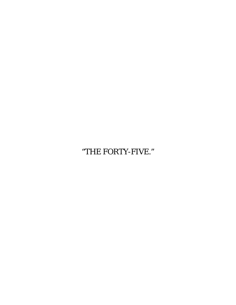"THE FORTY-FIVE."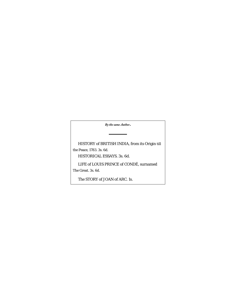*By the same Author***.**

HISTORY of BRITISH INDIA, from its Origin till the Peace, 1783. 3s. 6d.

HISTORICAL ESSAYS. 3s. 6d.

LIFE of LOUIS PRINCE of CONDÉ, surnamed

The Great. 3s. 6d.

The STORY of JOAN of ARC. 1s.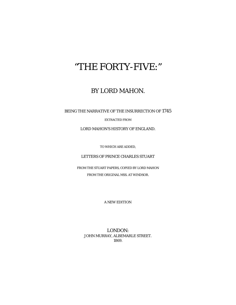# "THE FORTY-FIVE:"

## BY LORD MAHON.

BEING THE NARRATIVE OF THE INSURRECTION OF 1745

EXTRACTED FROM

LORD MAHON'S HISTORY OF ENGLAND.

TO WHICH ARE ADDED,

LETTERS OF PRINCE CHARLES STUART

FROM THE STUART PAPERS, COPIED BY LORD MAHON FROM THE ORIGINAL MSS. AT WINDSOR.

A NEW EDITION.

LONDON: JOHN MURRAY, ALBEMARLE STREET. 1869.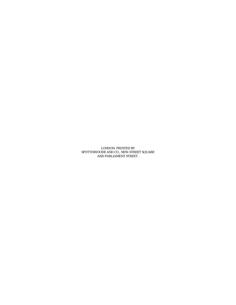LONDON: PRINTED BY SPOTTISWOODE AND CO., NEW-STREET SQUARE AND PARLIAMENT STREET.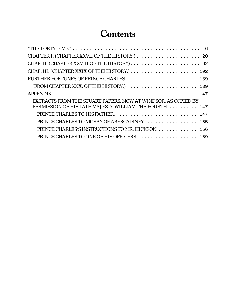## **Contents**

| (FROM CHAPTER XXX. OF THE HISTORY.)  139                      |  |
|---------------------------------------------------------------|--|
|                                                               |  |
| EXTRACTS FROM THE STUART PAPERS, NOW AT WINDSOR, AS COPIED BY |  |
| PERMISSION OF HIS LATE MAJESTY WILLIAM THE FOURTH.  147       |  |
| PRINCE CHARLES TO HIS FATHER.  147                            |  |
| PRINCE CHARLES TO MORAY OF ABERCAIRNEY.  155                  |  |
| PRINCE CHARLES'S INSTRUCTIONS TO MR. HICKSON. 156             |  |
|                                                               |  |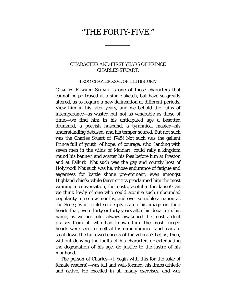## <span id="page-5-0"></span>"THE FORTY-FIVE."

### CHARACTER AND FIRST YEARS OF PRINCE CHARLES STUART.

#### (FROM CHAPTER XXVI. OF THE HISTORY.)

CHARLES EDWARD STUART is one of those characters that cannot be portrayed at a single sketch, but have so greatly altered, as to require a new delineation at different periods. View him in his later years, and we behold the ruins of intemperance—as wasted but not as venerable as those of time;—we find him in his anticipated age a besotted drunkard, a peevish husband, a tyrannical master—his understanding debased, and his temper soured. But not such was the Charles Stuart of 1745! Not such was the gallant Prince full of youth, of hope, of courage, who, landing with seven men in the wilds of Moidart, could rally a kingdom round his banner, and scatter his foes before him at Preston and at Falkirk! Not such was the gay and courtly host of Holyrood! Not such was he, whose endurance of fatigue and eagerness for battle shone pre-eminent, even amongst Highland chiefs; while fairer critics proclaimed him the most winning in conversation, the most graceful in the dance! Can we think lowly of one who could acquire such unbounded popularity in so few months, and over so noble a nation as the Scots; who could so deeply stamp his image on their hearts that, even thirty or forty years after his departure, his name, as we are told, always awakened the most ardent praises from all who had known him—the most rugged hearts were seen to melt at his remembrance—and tears to steal down the furrowed cheeks of the veteran? Let us, then, without denying the faults of his character, or extenuating the degradation of his age, do justice to the lustre of his manhood.

The person of Charles—(I begin with this for the sake of female readers)—was tall and well-formed; his limbs athletic and active. He excelled in all manly exercises, and was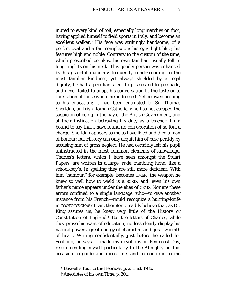inured to every kind of toil, especially long marches on foot, having applied himself to field sports in Italy, and become an excellent walker.[\\*](#page-6-0) His face was strikingly handsome, of a perfect oval and a fair complexion; his eyes light blue; his features high and noble. Contrary to the custom of the time, which prescribed perukes, his own fair hair usually fell in long ringlets on his neck. This goodly person was enhanced by his graceful manners: frequently condescending to the most familiar kindness, yet always shielded by a regal dignity, he had a peculiar talent to please and to persuade, and never failed to adapt his conversation to the taste or to the station of those whom he addressed. Yet he owed nothing to his education: it had been entrusted to Sir Thomas Sheridan, an Irish Roman Catholic, who has not escaped the suspicion of being in the pay of the British Government, and at their instigation betraying his duty as a teacher. I am bound to say that I have found no corroboration of so foul a charge. Sheridan appears to me to have lived and died a man of honour; but History can only acquit him of base perfidy by accusing him of gross neglect. He had certainly left his pupil uninstructed in the most common elements of knowledge. Charles's letters, which I have seen amongst the Stuart Papers, are written in a large, rude, rambling hand, like a school-boy's. In spelling they are still more deficient. With him "humour," for example, becomes UMER; the weapon he knew so well how to wield is a SORD; and, even his own father's name appears under the alias of GEMS. Nor are these errors confined to a single language: who—to give another instance from his French—would recognize a hunting-knife in COOTO DE CHAS? I can, therefore, readily believe that, as Dr. King assures us, he knew very little of the History or Constitution of England.[†](#page-6-1) But the letters of Charles, while they prove his want of education, no less clearly display his natural powers, great energy of character, and great warmth of heart. Writing confidentially, just before he sailed for Scotland, he says, "I made my devotions on Pentecost Day, recommending myself particularly to the Almighty on this occasion to guide and direct me, and to continue to me

<sup>\*</sup> Boswell's Tour to the Hebrides, p. 231. ed. 1785.

<span id="page-6-1"></span><span id="page-6-0"></span><sup>†</sup> Anecdotes of his own Time, p. 201.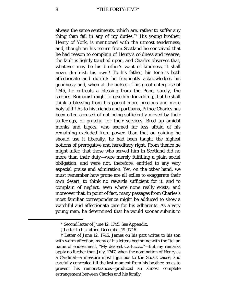always the same sentiments, which are, rather to suffer any thing than fail in any of my duties."[\\*](#page-7-0) His young brother, Henry of York, is mentioned with the utmost tenderness; and, though on his return from Scotland he conceived that he had reason to complain of Henry's coldness and reserve, the fault is lightly touched upon, and Charles observes that, whatever may be his brother's want of kindness, it shall never diminish his own.[†](#page-7-1) To his father, his tone is both affectionate and dutiful: he frequently acknowledges his goodness; and, when at the outset of his great enterprise of 1745, he entreats a blessing from the Pope, surely, the sternest Romanist might forgive him for adding, that he shall think a blessing from his parent more precious and more holy still.[‡](#page-7-2) As to his friends and partisans, Prince Charles has been often accused of not being sufficiently moved by their sufferings, or grateful for their services. Bred up amidst monks and bigots, who seemed far less afraid of his remaining excluded from power, than that on gaining he should use it liberally, he had been taught the highest notions of prerogative and hereditary right. From thence he might infer, that those who served him in Scotland did no more than their duty—were merely fulfilling a plain social obligation, and were not, therefore, entitled to any very especial praise and admiration. Yet, on the other hand, we must remember how prone are all exiles to exaggerate their own desert, to think no rewards sufficient for it, and to complain of neglect, even where none really exists; and moreover that, in point of fact, many passages from Charles's most familiar correspondence might be adduced to show a watchful and affectionate care for his adherents. As a very young man, he determined that he would sooner submit to

<sup>\*</sup> Second letter of June 12. 1745. See Appendix.

<sup>†</sup> Letter to his father, December 19. 1746.

<span id="page-7-2"></span><span id="page-7-1"></span><span id="page-7-0"></span><sup>‡</sup> Letter of June 12. 1745. James on his part writes to his son with warm affection, many of his letters beginning with the Italian name of endearment, "My dearest Carluccio."—But my remarks apply no further than July, 1747, when the nomination of Henry as a Cardinal—a measure most injurious to the Stuart cause, and carefully concealed till the last moment from his brother, so as to prevent his remonstrances—produced an almost complete estrangement between Charles and his family.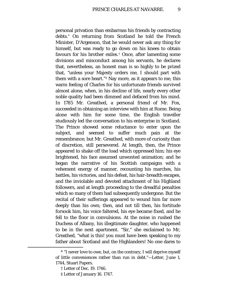personal privation than embarrass his friends by contracting debts.[\\*](#page-8-0) On returning from Scotland he told the French Minister, D'Argenson, that he would never ask any thing for himself, but was ready to go down on his knees to obtain favours for his brother exiles.[†](#page-8-1) Once, after lamenting some divisions and misconduct among his servants, he declares that, nevertheless, an honest man is so highly to be prized that, "unless your Majesty orders me, I should part with them with a sore heart."[‡](#page-8-2) Nay more, as it appears to me, this warm feeling of Charles for his unfortunate friends survived almost alone, when, in his decline of life, nearly every other noble quality had been dimmed and defaced from his mind. In 1785 Mr. Greathed, a personal friend of Mr. Fox, succeeded in obtaining an interview with him at Rome. Being alone with him for some time, the English traveller studiously led the conversation to his enterprise in Scotland. The Prince showed some reluctance to enter upon the subject, and seemed to suffer much pain at the remembrance; but Mr. Greathed, with more of curiosity than of discretion, still persevered. At length, then, the Prince appeared to shake off the load which oppressed him; his eye brightened, his face assumed unwonted animation; and he began the narrative of his Scottish campaigns with a vehement energy of manner, recounting his marches, his battles, his victories, and his defeat, his hair-breadth escapes, and the inviolable and devoted attachment of his Highland followers, and at length proceeding to the dreadful penalties which so many of them had subsequently undergone. But the recital of their sufferings appeared to wound him far more deeply than his own; then, and not till then, his fortitude forsook him, his voice faltered, his eye became fixed, and he fell to the floor in convulsions. At the noise in rushed the Duchess of Albany, his illegitimate daughter, who happened to be in the next apartment. "Sir," she exclaimed to Mr, Greathed, "what is this! you must have been speaking to my father about Scotland and the Highlanders! No one dares to

<span id="page-8-2"></span><span id="page-8-1"></span><span id="page-8-0"></span><sup>\*</sup> "I never love to owe, but, on the contrary, I will deprive myself of little conveniences rather than run in debt."—Letter, June 1, 1744, Stuart Papers.

<sup>†</sup> Letter of Dec. 19. 1746.

<sup>‡</sup> Letter of January 16. 1747.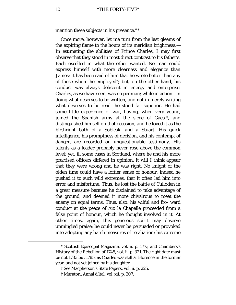mention these subjects in his presence."[\\*](#page-9-0)

Once more, however, let me turn from the last gleams of the expiring flame to the hours of its meridian brightness.— In estimating the abilities of Prince Charles, I may first observe that they stood in most direct contrast to his father's. Each excelled in what the other wanted. No man could express himself with more clearness and elegance than James: it has been said of him that he wrote better than any of those whom he employed[†](#page-9-1); but, on the other hand, his conduct was always deficient in energy and enterprise. Charles, as we have seen, was no penman; while in action—in doing what deserves to be written, and not in merely writing what deserves to be read—he stood far superior. He had some little experience of war, having, when very young, joined the Spanish army at the siege of Gaeta[‡,](#page-9-2) and distinguished himself on that occasion, and he loved it as the birthright both of a Sobieski and a Stuart. His quick intelligence, his promptness of decision, and his contempt of danger, are recorded on unquestionable testimony. His talents as a leader probably never rose above the common level; yet, ill some cases in Scotland, where he and his more practised officers differed in opinion, it will I think appear that they were wrong and he was right. No knight of the olden time could have a loftier sense of honour; indeed he pushed it to such wild extremes, that it often led him into error and misfortune. Thus, he lost the battle of Culloden in a great measure because he disdained to take advantage of the ground, and deemed it more chivalrous to meet the enemy on equal terms. Thus, also, his wilful and fro- ward conduct at the peace of Aix la Chapelle proceeded from a false point of honour, which he thought involved in it. At other times, again, this generous spirit may deserve unmingled praise: he could never be persuaded or provoked into adopting any harsh measures of retaliation; his extreme

<span id="page-9-1"></span><span id="page-9-0"></span><sup>\*</sup> Scottish Episcopal Magazine, vol. ii. p. 177.; and Chambers's History of the Rebellion of 1745, vol. ii. p. 321. The right date must be not 1783 but 1785, as Charles was still at Florence in the former year, and not yet joined by his daughter.

<sup>†</sup> See Macpherson's State Papers, vol. ii. p. 225.

<span id="page-9-2"></span><sup>‡</sup> Muratori, Annal d'ltal. vol. xii, p. 207.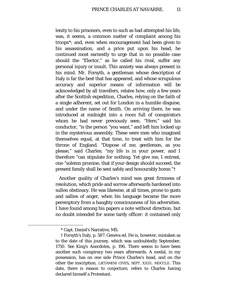lenity to his prisoners, even to such as had attempted his life, was, it seems, a common matter of complaint among his troops[\\*](#page-10-0); and, even when encouragement had been given to his assassination, and a price put upon his head, he continued most earnestly to urge that in no possible case should the "Elector," as he called his rival, suffer any personal injury or insult. This anxiety was always present in his mind. Mr. Forsyth, a gentleman whose description of Italy is far the best that has appeared, and whose scrupulous accuracy and superior means of information will be acknowledged by all travellers, relates how, only a few years after the Scottish expedition, Charles, relying on the faith of a single adherent, set out for London in a humble disguise, and under the name of Smith. On arriving there, he was introduced at midnight into a room full of conspirators whom he had never previously seen. "Here," said his conductor, "is the person "you want," and left him locked up in the mysterious assembly. These were men who imagined themselves equal, at that time, to treat with him for the throne of England. "Dispose of me, gentlemen, as you please," said Charles; "my life is in your power, and I therefore "can stipulate for nothing. Yet give me, I entreat, one "solemn promise, that if your design should succeed, the present family shall be sent safely and honourably home."[†](#page-10-1)

Another quality of Charles's mind was great firmness of resolution, which pride and sorrow afterwards hardened into sullen obstinacy. He was likewise, at all times, prone to gusts and sallies of anger, when his language became the more peremptory from a haughty consciousness of his adversities. I have found among his papers a note without direction, but no doubt intended for some tardy officer: it contained only

<sup>\*</sup> Capt. Daniel's Narrative, MS.

<span id="page-10-1"></span><span id="page-10-0"></span><sup>†</sup> Forsyth's Italy, p. 587. Geneva ed. He is, however, mistaken as to the date of this journey, which was undoubtedly September, 1750. See King's Anecdotes, p. 196. There seems to have been another such conspiracy two years afterwards. A medal, in my possession, has on one side Prince Charles's head, and on the other the inscription, LÆTAMINI CIVES, SEPT. XXIII. MDCCLII. This date, there is reason to conjecture, refers to Charles having declared himself a Protestant.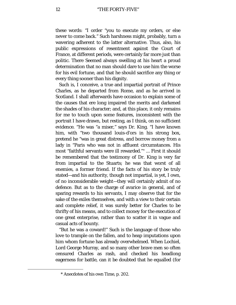these words: "I order "you to execute my orders, or else never to come back." Such harshness might, probably, turn a wavering adherent to the latter alternative. Thus, also, his public expressions of resentment against the Court of France, at different periods, were certainly far more just than politic. There Seemed always swelling at his heart a proud determination that no man should dare to use him the worse for his evil fortune, and that he should sacrifice any thing or every thing sooner than his dignity.

Such is, I conceive, a true and impartial portrait of Prince Charles, as he departed from Rome, and as he arrived in Scotland. I shall afterwards have occasion to explain some of the causes that ere long impaired the merits and darkened the shades of his character; and, at this place, it only remains for me to touch upon some features, inconsistent with the portrait I have drawn, but resting, as I think, on no sufficient evidence. "He was "a miser," says Dr. King. "I have known him, with "two thousand louis-d'ors in his strong box, pretend he "was in great distress, and borrow money from a lady in "Paris who was not in affluent circumstances. His most "faithful servants were ill rewarded."[\\*](#page-11-0) ... First it should be remembered that the testimony of Dr. King is very far from impartial to the Stuarts; he was that worst of all enemies, a former friend. If the facts of his story be truly stated—and his authority, though not impartial, is yet, I own, of no inconsiderable weight—they will certainly admit of no defence. But as to the charge of avarice in general, and of sparing rewards to his servants, I may observe that for the sake of the exiles themselves, and with a view to their certain and complete relief, it was surely better for Charles to be thrifty of his means, and to collect money for the execution of one great enterprise, rather than to scatter it in vague and casual acts of bounty.

"But he was a coward!" Such is the language of those who love to trample on the fallen, and to heap imputations upon him whom fortune has already overwhelmed. When Lochiel, Lord George Murray, and so many other brave men so often censured Charles as rash, and checked his headlong eagerness for battle, can it be doubted that he equalled (for

<span id="page-11-0"></span><sup>\*</sup> Anecdotes of his own Time, p. 202.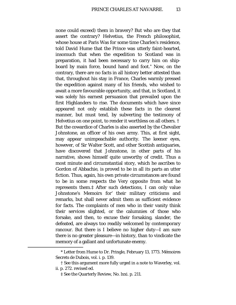none could exceed) them in bravery? But who are they that assert the contrary? Helvetius, the French philosophist, whose house at Paris Was for some time Charles's residence, told David Hume that the Prince was utterly faint-hearted, insomuch that when the expedition to Scotland was in preparation, it had been necessary to carry him on shipboard by main force, bound hand and foot.[\\*](#page-12-0) Now, on the contrary, there are no facts in all history better attested than that, throughout his stay in France, Charles warmly pressed the expedition against many of his friends, who wished to await a more favourable opportunity, and that, in Scotland, it was solely his earnest persuasion that prevailed upon the first Highlanders to rise. The documents which have since appeared not only establish these facts in the clearest manner, but must tend, by subverting the testimony of Helvetius on one point, to render it worthless on all others. [†](#page-12-1) But the cowardice of Charles is also asserted by the Chevalier Johnstone, an officer of his own army. This, at first sight, may appear unimpeachable authority. The keener eyes, however, of Sir Walter Scott, and other Scottish antiquaries, have discovered that Johnstone, in other parts of his narrative, shows himself quite unworthy of credit. Thus a most minute and circumstantial story, which he ascribes to Gordon of Abbachie, is proved to be in all its parts an utter fiction. Thus, again, his own private circumstances are found to be in some respects the Very opposite from what he represents them.[‡](#page-12-2) After such detections, I can only value Johnstone's Memoirs for' their military criticisms and remarks, but shall never admit them as sufficient evidence for facts. The complaints of men who in their vanity think their services slighted, or the calumnies of those who forsake, and then, to excuse their forsaking, slander, the defeated, are always too readily welcomed by contemporary rancour. But there is I believe no higher duty—I am sure there is no greater pleasure—in history, than to vindicate the memory of a gallant and unfortunate enemy.

<span id="page-12-0"></span><sup>\*</sup> Letter from Hume to Dr. Pringle, February 13, 1773. Mémoires Secrets de Dubois, vol. i. p. 139.

<span id="page-12-2"></span><span id="page-12-1"></span><sup>†</sup> See this argument more fully urged in a note to Waverley, vol. ii. p. 272. revised ed.

<sup>‡</sup> See the Quarterly Review, No. lxxi. p. 211.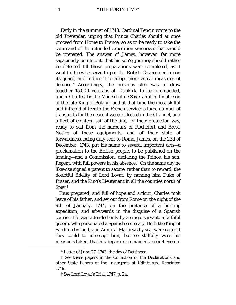Early in the summer of 1743, Cardinal Tencin wrote to the old Pretender, urging that Prince Charles should at once proceed from Home to France, so as to be ready to take the command of the intended expedition whenever that should be prepared. The answer of James, however, far more sagaciously points out, that his son's; journey should rather be deferred till those preparations were completed, as it would otherwise serve to put the British Government upon its guard, and induce it to adopt more active measures of defence.[\\*](#page-13-0) Accordingly, the previous step was to draw together 15,000 veterans at. Dunkirk, to be commanded, under Charles, by the Mareschal de Saxe, an illegitimate son of the late King of Poland, and at that time the most skilful and intrepid officer in the French service: a large number of transports for the descent were collected in the Channel, and a fleet of eighteen sail of the line, for their protection was, ready to sail from the harbours of Rochefort and Brest. Notice of these equipments, and of their state of forwardness, being duly sent to Rome, James, on the 23d of December, 1743, put his name to several important acts—a proclamation to the British people, to be published on the landing—and a Commission, declaring the Prince, his son, Regent, with full powers in his absence.[†](#page-13-1) On the same day he likewise signed a patent to secure, rather than to reward, the doubtful fidelity of Lord Lovat, by naming him Duke of Fraser, and the King's Lieutenant in all the counties north of Spey.[‡](#page-13-2)

Thus prepared, and full of hope and ardour, Charles took leave of his father, and set out from Rome on the night of the 9th of January, 1744, on the pretence of a hunting expedition, and afterwards in the disguise of a Spanish courier. He was attended only by a single servant, a faithful groom, who personated a Spanish secretary. Both the King of Sardinia by land, and Admiral Mathews by sea, were eager if they could to intercept him; but so skilfully were his measures taken, that his departure remained a secret even to

<sup>\*</sup> Letter of June 27. 1743, the day of Dettingen.

<span id="page-13-2"></span><span id="page-13-1"></span><span id="page-13-0"></span><sup>†</sup> See these papers in the Collection of the Declarations and other State Papers of the Insurgents at Edinburgh. Reprinted 1749.

<sup>‡</sup> See Lord Lovat's Trial, 1747, p. 24.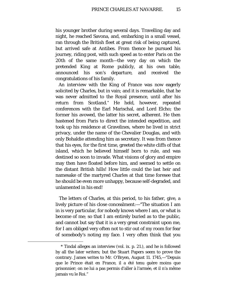his younger brother during several days. Travelling day and night, he reached Savona, and, embarking in a small vessel, ran through the British fleet at great risk of being captured, but arrived safe at Antibes. From thence he pursued his journey, riding post, with such speed as to enter Paris on the 20th of the same month—the very day on which the pretended King at Rome publicly, at his own table, announced his son's departure, and received the congratulations of his family.

An interview with the King of France was now eagerly solicited by Charles, but in vain; and it is remarkable, that he was never admitted to the Royal presence, until after his return from Scotland.[\\*](#page-14-0) He held, however, repeated conferences with the Earl Marischal, and Lord Elcho; the former his avowed, the latter his secret, adherent. He then hastened from Paris to direct the intended expedition, and took up his residence at Gravelines, where he lived in strict privacy, under the name of the Chevalier Douglas, and with only Bohaldie attending him as secretary. It was from thence that his eyes, for the first time, greeted the white cliffs of that island, which he believed himself born to rule, and was destined so soon to invade. What visions of glory and empire may then have floated before him, and seemed to settle on the distant British hills! How little could the last heir and namesake of the martyred Charles at that time foresee that he should be even more unhappy, because self-degraded, and unlamented in his end!

The letters of Charles, at this period, to his father, give, a lively picture of his close concealment:—"The situation I am in is very particular, for nobody knows where I am, or what is become of me; so that I am entirely buried as to the public, and cannot but say that it is a very great constraint upon me, for I am obliged very often not to stir out of my room for fear of somebody's noting my face. I very often think that you

<span id="page-14-0"></span><sup>\*</sup> Tindal alleges an interview (vol. ix. p. 21.), and he is followed by all the later writers; but the Stuart Papers seem to prove the contrary. James writes to Mr. O'Bryen, August 11. 1745,—"Depuis que le Prince était en France, il a été tenu guère moins que prisonnier; on ne lui a pas permis d'aller à l'armée, et il n'a même jamais vu le Roi."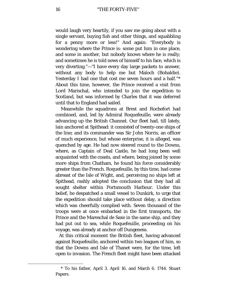would laugh very heartily, if you saw me going about with a single servant, buying fish and other things, and squabbling for a penny more or less!" And again: "Everybody is wondering where the Prince is: some put him in one place, and some in another, but nobody knows where he is really; and sometimes he is told news of himself to his face, which is very diverting."—"I have every day large packets to answer, without any body to help me but Maloch (Bohaldie). Yesterday I had one that cost me seven hours and a half."[\\*](#page-15-0) About this time, however, the Prince received a visit from Lord Marischal, who intended to join the expedition to Scotland, but was informed by Charles that it was deferred until that to England had sailed.

Meanwhile the squadrons at Brest and Rochefort had combined, and, led by Admiral Roquefeuille, were already advancing up the British Channel. Our fleet had, till lately, lain anchored at Spithead: it consisted of twenty-one ships of the line; and its commander was Sir John Norris, an officer of much experience, but whose enterprise, it is alleged, was quenched by age. He had now steered round to the Downs, where, as Captain of Deal Castle, he had long been well acquainted with the coasts, and where, being joined by some more ships from Chatham, he found his force considerably greater than the French. Roquefeuille, by this time, had come abreast of the Isle of Wight, and, perceiving no ships left at Spithead, rashly adopted the conclusion that they had all sought shelter within Portsmouth Harbour. Under this belief, he despatched a small vessel to Dunkirk, to urge that the expedition should take place without delay, a direction which was cheerfully complied with. Seven thousand of the troops were at once embarked in the first transports, the Prince and the Mareschal de Saxe in the same ship, and they had put out to sea, while Roquefeuille, proceeding on his voyage, was already at anchor off Dungeness.

At this critical moment the British fleet, having advanced against Roquefeuille, anchored within two leagues of him, so that the Downs and Isle of Thanet were, for the time, left open to invasion. The French fleet might have been attacked

<span id="page-15-0"></span><sup>\*</sup> To his father, April 3. April 16. and March 6. 1744. Stuart Papers.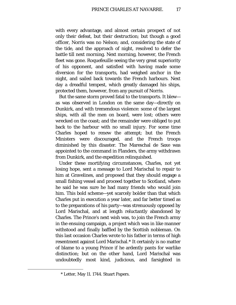with every advantage, and almost certain prospect of not only their defeat, but their destruction; but though a good officer, Norris was no Nelson; and, considering the state of the tide, and the approach of night, resolved to defer the battle till next morning. Next morning, however, the French fleet was gone. Roquefeuille seeing the very great superiority of his opponent, and satisfied with having made some diversion for the transports, had weighed anchor in the night, and sailed back towards the French harbours. Next day a dreadful tempest, which greatly damaged his ships, protected them, however, from any pursuit of Norris.

But the same storm proved fatal to the transports. It blew as was observed in London on the same day—directly on Dunkirk, and with tremendous violence: some of the largest ships, with all the men on board, were lost; others were wrecked on the coast; and the remainder were obliged to put back to the harbour with no small injury. For some time Charles hoped to renew the attempt; but the French Ministers were discouraged, and the French troops diminished by this disaster. The Mareschal de Saxe was appointed to the command in Flanders, the army withdrawn from Dunkirk, and the expedition relinquished.

Under these mortifying circumstances, Charles, not yet losing hope, sent a message to Lord Marischal to repair to him at Gravelines, and proposed that they should engage a small fishing vessel and proceed together to Scotland, where he said he was sure he had many friends who would join him. This bold scheme—yet scarcely bolder than that which Charles put in execution a year later, and far better timed as to the preparations of his party—was strenuously opposed by Lord Marischal, and at length reluctantly abandoned by Charles. The Prince's next wish was, to join the French army in the ensuing campaign, a project which was in like manner withstood and finally baffled by the Scottish nobleman. On this last occasion Charles wrote to his father in terms of high resentment against Lord Marischal.[\\*](#page-16-0) It certainly is no matter of blame to a young Prince if he ardently pants for warlike distinction; but on the other hand, Lord Marischal was undoubtedly most kind, judicious, and farsighted in

<span id="page-16-0"></span><sup>\*</sup> Letter, May 11. 1744. Stuart Papers.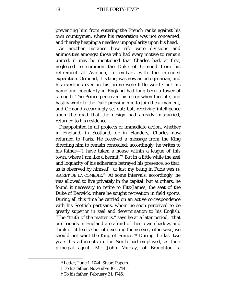preventing him from entering the French ranks against his own countrymen, where his restoration was not concerned, and thereby heaping a needless unpopularity upon his head.

As another instance how rife were divisions and animosities amongst those who had every motive to remain united, it may be mentioned that Charles had, at first, neglected to summon the Duke of Ormond from his retirement at Avignon, to embark with the intended expedition. Ormond, it is true, was now an octogenarian, and his exertions even in his prime were little worth; but his name and popularity in England had long been a tower of strength. The Prince perceived his error when too late, and hastily wrote to the Duke pressing him to join the armament, and Ormond accordingly set out; but, receiving intelligence upon the road that the design had already miscarried, returned to his residence.

Disappointed in all projects of immediate action, whether in England, in Scotland, or in Flanders, Charles now returned to Paris. He received a message from the King directing him to remain concealed; accordingly, he writes to his father—"I have taken a house within a league of this town, where I am like a hermit."[\\*](#page-17-0) But in a little while the zeal and loquacity of his adherents betrayed his presence; so that, as is observed by himself, "at last my being in Paris was LE SECRET DE LA COMÉDIE."[†](#page-17-1) At some intervals, accordingly, he was allowed to live privately in the capital, but at others, he found it necessary to retire to Fitz-James, the seat of the Duke of Berwick, where he sought recreation in field sports. During all this time he carried on an active correspondence with his Scottish partisans, whom he soon perceived to be greatly superior in zeal and determination to his English. "The "truth of the matter is," says he at a later period, "that our friends in England are afraid of their own shadow, and think of little else but of diverting themselves; otherwise, we should not want the King of France."[‡](#page-17-2) During the last two years his adherents in the North had employed, as their principal agent, Mr. John Murray, of Broughton, a

<span id="page-17-2"></span><span id="page-17-1"></span><span id="page-17-0"></span>ī

<sup>\*</sup> Letter, June 1. 1744. Stuart Papers.

<sup>†</sup> To his father, November 16. 1744.

<sup>‡</sup> To his father, February 21. 1745.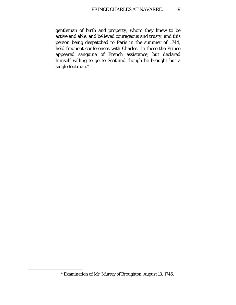gentleman of birth and property, whom they knew to be active and able, and believed courageous and trusty; and this person being despatched to Paris in the summer of 1744, held frequent conferences with Charles. In these the Prince appeared sanguine of French assistance, but declared himself willing to go to Scotland though he brought but a single footman.[\\*](#page-18-0)

<span id="page-18-0"></span><sup>\*</sup> Examination of Mr. Murray of Broughton, August 13. 1746.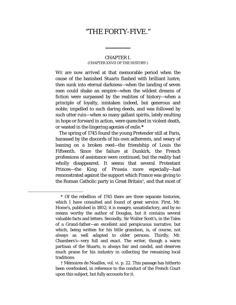### "THE FORTY-FIVE."

#### CHAPTER I. (CHAPTER XXVII OF THE HISTORY.)

<span id="page-19-0"></span>WE are now arrived at that memorable period when the cause of the banished Stuarts flashed with brilliant lustre, then sunk into eternal darkness—when the landing of seven men could shake an empire—when the wildest dreams of fiction were surpassed by the realities of history—when a principle of loyalty, mistaken indeed, but generous and noble, impelled to such daring deeds, and was followed by such utter ruin—when so many gallant spirits, lately exulting in hope or forward in action, were quenched in violent death, or wasted in the lingering agonies of exile.**[\\*](#page-19-1)**

The spring of 1745 found the young Pretender still at Paris, harassed by the discords of his own adherents, and weary of leaning on a broken reed—the friendship of Louis the Fifteenth. Since the failure at Dunkirk, the French professions of assistance were continued, but the reality had wholly disappeared. It seems that several Protestant Princes—the King of Prussia more especially—had remonstrated against the support which France was giving to the Roman Catholic party in Great Britain[†](#page-19-2), and that most of

<span id="page-19-1"></span><sup>\*</sup> Of the rebellion of 1745 there are three separate histories, which I have consulted and found of great service. First, Mr. Home's, published in 1802; it is meagre, unsatisfactory, and by no means worthy the author of Douglas, but it contains several valuable facts and letters. Secondly, Sir Walter Scott's, in the Tales of a Grand-father—an excellent and perspicuous narrative, but which, being written for his little grandson, is, of course, not always as well adapted to older persons. Thirdly, Mr. Chambers's—very full and exact. The writer, though a warm partisan of the Stuarts, is always fair and candid, and deserves much praise for his industry in collecting the remaining local traditions.

<span id="page-19-2"></span><sup>†</sup> Mémoires de Noailles, vol. vi. p. 22. This passage has hitherto been overlooked, in reference to the conduct of the French Court upon this subject, but fully accounts for it.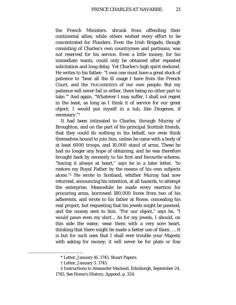the French Ministers. shrunk from offending their continental allies, while others wished every effort to be concentrated for Flanders. Even the Irish Brigade, though consisting of Charles's own countrymen and partisans, was not reserved for his service. Even a little money, for his immediate wants, could only be obtained after repeated solicitation and long delay. Yet Charles's high spirit endured. He writes to his father: "I own one must have a great stock of patience to "bear all the ill usage I have from the French Court, and the TRACASSERIES of our own people. But my patience will never fail in either, there being no other part to take."[\\*](#page-20-0) And again, "Whatever I may suffer, I shall not regret in the least, as long as I think it of service for our great object; I would put myself in a tub, like Diogenes, if necessary."[†](#page-20-1)

It had been intimated to Charles, through Murray of Broughton, and on the part of his principal Scottish friends, that they could do nothing in his behalf, nor even think themselves bound to join him, unless he came with a body of at least 6000 troops, and 10,000 stand of arms. These he had no longer any hope of obtaining, and he was therefore brought back by necessity to his first and favourite scheme, "having it always at heart," says he in a later letter, "to restore my Royal Father by the means of his own subjects alone."[‡](#page-20-2) He wrote to Scotland, whither Murray had now returned, announcing his intention, at all hazards, to attempt the enterprise. Meanwhile he made every exertion for procuring arms, borrowed 180,000 livres from two of his adherents, and wrote to his father at Rome, concealing his real project, but requesting that his jewels might be pawned, and the money sent to him. "For our object," says he, "I would pawn even my shirt... As for my jewels, I should, on this side the water, wear them with a very sore heart, thinking that there might be made a better use of them. … It is but for such uses that I shall ever trouble your Majesty with asking for money; it will never be for plate or fine

<span id="page-20-2"></span><span id="page-20-1"></span><span id="page-20-0"></span>ī

<sup>\*</sup> Letter, January 16. 1745. Stuart Papers.

<sup>†</sup> Letter, January 3. 1745.

<sup>‡</sup> Instructions to Alexander Macleod, Edinburgh, September 24, 1745. See Home's History, Append, p. 324.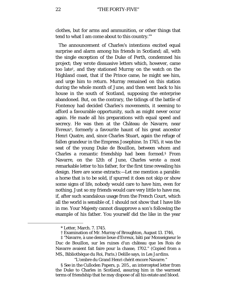clothes, but for arms and ammunition, or other things that tend to what I am come about to this country."[\\*](#page-21-0)

The announcement of Charles's intentions excited equal surprise and alarm among his friends in Scotland; all, with the single exception of the Duke of Perth, condemned his project; they wrote dissuasive letters which, however, came too late[†](#page-21-1), and they stationed Murray on the watch on the Highland coast, that if the Prince came, he might see him, and urge him to return. Murray remained on this station during the whole month of June, and then went back to his house in the south of Scotland, supposing the enterprise abandoned. But, on the contrary, the tidings of the battle of Fontenoy had decided Charles's movements, it seeming to afford a favourable opportunity, such as might never occur again. He made all his preparations with equal speed and secrecy. He was then at the Château de Navarre, near Evreux<sup> $\ddagger$ </sup>, formerly a favourite haunt of his great ancestor Henri Quatre, and, since Charles Stuart, again the refuge of fallen grandeur in the Empress Josephine. In 1745, it was the seat of the young Duke de Bouillon, between whom and Charles a romantic friendship had been formed.[§](#page-21-3) From Navarre, on the 12th of June, Charles wrote a most remarkable letter to his father, for the first time revealing his design. Here are some extracts:—Let me mention a parable: a horse that is to be sold, if spurred it does not skip or show some signs of life, nobody would care to have him, even for nothing. Just so my friends would care very little to have me, if, after such scandalous usage from the French Court, which all the world is sensible of, I should not show that I have life in me. Your Majesty cannot disapprove a son's following the example of his father. You yourself did the like in the year

<span id="page-21-3"></span><span id="page-21-2"></span><span id="page-21-1"></span><span id="page-21-0"></span>Ĩ.

"L'ombre du Grand Henri chérit encore Navarre."

§ See in the Culloden Papers, p. 205., an intercepted letter from the Duke to Charles in Scotland, assuring him in the warmest terms of friendship that he may dispose of all his estate and blood.

<sup>\*</sup> Letter, March. 7. 1745.

<sup>†</sup> Examination of Mr. Murray of Broughton, August 13. 1746,

<sup>‡</sup> "Navarre, à une demie lieue d'Evreux, bâti par Monseigneur le Duc de Bouillon, sur les ruines d'un château que les Rois de Navarre avaient fait faire pour la chasse, 1702." (Copied from a MS., Bibliothèque du Roi, Paris.) Delille says, in *Les Jardins*.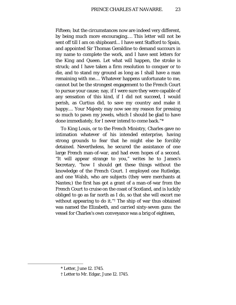Fifteen; but the circumstances now are indeed very different, by being much more encouraging.… This letter will not be sent off till I am on shipboard... I have sent Stafford to Spain, and appointed Sir Thomas Geraldine to demand succours in my name to complete the work, and I have sent letters for the King and Queen. Let what will happen, the stroke is struck; and I have taken a firm resolution to conquer or to die, and to stand my ground as long as I shall have a man remaining with me.... Whatever happens unfortunate to me, cannot but be the strongest engagement to the French Court to pursue your cause; nay, if I were sure they were capable of any sensation of this kind, if I did not succeed, I would perish, as Curtius did, to save my country and make it happy.... Your Majesty may now see my reason for pressing so much to pawn my jewels, which I should be glad to have done immediately, for I never intend to come back."[\\*](#page-22-0)

To King Louis, or to the French Ministry, Charles gave no intimation whatever of his intended enterprise, having strong grounds to fear that he might else be forcibly detained. Nevertheless, he secured the assistance of one large French man-of-war, and had even hopes of a second. "It will appear strange to you," writes he to James's Secretary, "how I should get these things without the knowledge of the French Court. I employed one Rutledge, and one Walsh, who are subjects (they were merchants at Nantes;) the first has got a grant of a man-of-war from the French Court to cruise on the coast of Scotland, and is luckily obliged to go as far north as I do, so that she will escort me without appearing to do it."[†](#page-22-1) The ship of war thus obtained was named the Elizabeth, and carried sixty-seven guns: the vessel for Charles's own conveyance was a brig of eighteen,

<span id="page-22-0"></span><sup>\*</sup> Letter, June 12. 1745.

<span id="page-22-1"></span><sup>†</sup> Letter to Mr. Edgar, June 12. 1745.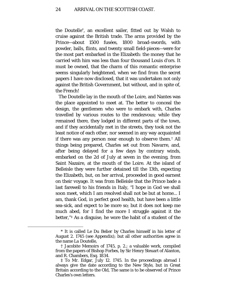the Doutelle[\\*,](#page-23-0) an excellent sailer, fitted out by Walsh to cruise against the British trade. The arms provided by the Prince—about 1500 fusées, 1800 broad-swords, with powder, balls, flints, and twenty small field-pieces—were for the most part embarked in the Elizabeth: the money that he carried with him was less than four thousand Louis d'ors. It must be owned, that the charm of this romantic enterprise seems singularly heightened, when we find from the secret papers I have now disclosed, that it was undertaken not only against the British Government, but without, and in spite of, the French!

The Doutelle lay in the mouth of the Loire, and Nantes was the place appointed to meet at. The better to conceal the design, the gentlemen who were to embark with, Charles travelled by various routes to the rendezvous; while they remained there, they lodged in different parts of the town, and if they accidentally met in the streets, they took not the least notice of each other, nor seemed in any way acquainted if there was any person near enough to observe them.[†](#page-23-1) All things being prepared, Charles set out from Navarre, and, after being delayed for a few days by contrary winds, embarked on the 2d of July at seven in the evening, from Saint Nazaire, at the mouth of the Loire. At the island of Belleisle they were further detained till the 13th, expecting the Elizabeth, but, on her arrival, proceeded in good earnest on their voyage. It was from Belleisle that the Prince bade a last farewell to his friends in Italy, "I hope in God we shall soon meet, which I am resolved shall not be but at home... I am, thank God, in perfect good health, but have been a little sea-sick, and expect to be more so; but it does not keep me much abed, for I find the more I struggle against it the better,"[‡](#page-23-2) As a disguise, he wore the habit of a student of the

<span id="page-23-0"></span><sup>\*</sup> It is called *Le Du Belier* by Charles himself in his letter of August 2. 1745 (see Appendix); but all other authorities agree in the name *La Doutelle,*

<span id="page-23-1"></span><sup>†</sup> Jacobite Memoirs of 1745, p. 2.; a valuable work, compiled from the papers of Bishop Forbes, by Sir Henry Steuart of Alanton, and R. Chambers, Esq. 1834.

<span id="page-23-2"></span><sup>‡</sup> To Mr. Edgar, July 12. 1745. In the proceedings abroad I always give the date according to the New Style, but in Great Britain according to the Old, The same is to be observed of Prince Charles's own letters.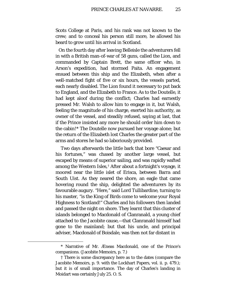Scots College at Paris, and his rank was not known to the crew; and to conceal his person still more, he allowed his beard to grow until his arrival in Scotland.

On the fourth day after leaving Belleisle the adventurers fell in with a British man-of-war of 58 guns, called the Lion, and commanded by Captain Brett, the same officer who, in Arson's expedition, had stormed Paita. An engagement ensued between this ship and the Elizabeth, when after a well-matched fight of five or six hours, the vessels parted, each nearly disabled. The Lion found it necessary to put back to England, and the Elizabeth to France. As to the Doutelle, it had kept aloof during the conflict; Charles had earnestly pressed Mr. Walsh to allow him to engage in it, but Walsh, feeling the magnitude of his charge, exerted his authority, as owner of the vessel, and steadily refused, saying at last, that if the Prince insisted any more he should order him down to the cabin![\\*](#page-24-0) The Doutelle now pursued her voyage alone; but the return of the Elizabeth lost Charles the greater part of the arms and stores he had so laboriously provided.

Two days afterwards the little bark that bore "Caesar and his fortunes," was chased by another large vessel, but escaped by means of superior sailing, and was rapidly wafted among the Western Isles,[†](#page-24-1) After about a fortnight's voyage, it moored near the little islet of Erisca, between Barra and South Uist. As they neared the shore, an eagle that came hovering round the ship, delighted the adventurers by its favourable augury. "Here," said Lord Tullibardine, turning to his master, "is the King of Birds come to welcome your Royal Highness to Scotland!" Charles and his followers then landed and passed the night on shore. They learnt that this cluster of islands belonged to Macdonald of Clanranald, a young chief attached to the Jacobite cause,—that Clanranald himself had gone to the mainland; but that his uncle, and principal adviser, Macdonald of Boisdale, was then not far distant in

<span id="page-24-0"></span><sup>\*</sup> Narrative of Mr. Æneas Macdonald, one of the Prince's companions. (Jacobite Memoirs, p. 7.)

<span id="page-24-1"></span><sup>†</sup> There is some discrepancy here as to the dates (compare the Jacobite Memoirs, p. 9. with the Lockhart Papers, vol. ii. p. 479.); but it is of small importance. The day of Charles's landing in Moidart was certainly July 25. O. S.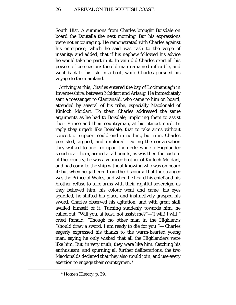South Uist. A summons from Charles brought Boisdale on board the Doutelle the next morning. But his expressions were not encouraging. He remonstrated with Charles against his enterprise, which he said was rash to the verge of insanity; and added, that if his nephew followed his advice he would take no part in it. In vain did Charles exert all his powers of persuasion: the old man remained inflexible, and went back to his isle in a boat, while Charles pursued his voyage to the mainland.

Arriving at this, Charles entered the bay of Lochnanuagh in Invernesshire, between Moidart and Arisaig. He immediately sent a messenger to Clanranald, who came to him on board, attended by several of his tribe, especially Macdonald of Kinloch Moidart. To them Charles addressed the same arguments as he had to Boisdale, imploring them to assist their Prince and their countryman, at his utmost need. In reply they urged) like Boisdale, that to take arms without concert or support could end in nothing but ruin. Charles persisted, argued, and implored. During the conversation they walked to and fro upon the deck; while a Highlander stood near them, armed at all points, as was then the custom of the country; he was a younger brother of Kinloch Moidart, and had come to the ship without knowing who was on board it; but when he gathered from the discourse that the stranger was the Prince of Wales, and when he heard his chief and his brother refuse to take arms with their rightful sovereign, as they believed him, his colour went and came, his eyes sparkled, he shifted his place, and instinctively grasped his sword. Charles observed his agitation, and with great skill availed himself of it. Turning suddenly towards him, he called out, "Will you, at least, not assist me?"—"I will! I will!" cried Ranald. "Though no other man in the Highlands "should draw a sword, I am ready to die for you!"— Charles eagerly expressed his thanks to the warm-hearted young man, saying he only wished that all the Highlanders were like him. But, in very truth, they were like him. Catching his enthusiasm, and spurning all further deliberations, the two Macdonalds declared that they also would join, and use every exertion to engage their countrymen.[\\*](#page-25-0)

<span id="page-25-0"></span><sup>\*</sup> Home's History, p. 39.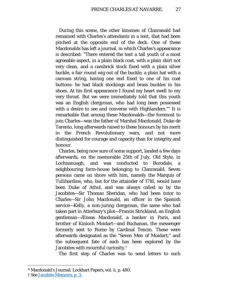During this scene, the other kinsmen of Clanranald had remained with Charles's attendants in a tent, that had been pitched at the opposite end of the deck. One of these Macdonalds has left a journal, in which Charles's appearance is described: "There entered the tent a tall youth of a most agreeable aspect, in a plain black coat, with a plain shirt not very clean, and a cambrick stock fixed with a plain silver buckle, a fair round wig out of the buckle, a plain hat with a canvass string, having one end fixed to one of his coat buttons: he had black stockings and brass buckles in his shoes. At his first appearance I found my heart swell to my very throat. But we were immediately told that this youth was an English clergyman, who had long been possessed with a desire to see and converse with Highlanders."[\\*](#page-26-0) It is remarkable that among these Macdonalds—the foremost to join Charles—was the father of Marshal Macdonald, Duke de Tarento, long afterwards raised to these honours by his merit in the French Revolutionary wars, and not more distinguished for courage and capacity than for integrity and honour.

Charles, being now sure of some support, landed a few days afterwards, on the memorable 25th of July, Old Style, in Lochnanuagh, and was conducted to Borodale, a neighbouring farm-house belonging to Clanranald. Seven persons came on shore with him, namely the Marquis of Tullibardine, who, but for the attainder of 1716, would have been Duke of Athol, and was always called so by the Jacobites—Sir Thomas Sheridan, who had been tutor to Charles—Sir John Macdonald, an officer in the Spanish service—Kelly, a non-juring clergyman, the same who had taken part in Atterbury's plot—Francis Strickland, an English gentleman—Æneas Macdonald, a banker in Paris, and brother of Kinloch Moidart—and Buchanan, the messenger formerly sent to Rome by Cardinal Tencin. These were afterwards designated as the "Seven Men of Moidart;" and the subsequent fate of each has been explored by the Jacobites with mournful curiosity.[†](#page-26-1)

The first step of Charles was to send letters to such

Ĩ. \* Macdonald's Journal; Lockhart Papers, vol. ii. p. 480.

<span id="page-26-1"></span><span id="page-26-0"></span><sup>†</sup> See [Jacobite Memoirs, p. 3.](http://books.google.com/books?id=QUoDAAAAYAAJ&dq=Jacobite%20Memoirs&pg=PA3#v=onepage&q&f=false)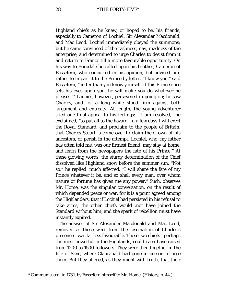Highland chiefs as he knew, or hoped to be, his friends, especially to Cameron of Lochiel, Sir Alexander Macdonald, and Mac Leod. Lochiel immediately obeyed the summons; but he came convinced of the rashness, nay, madness of the enterprise, and determined to urge Charles to desist from it and return to France till a more favourable opportunity. On his way to Borodale he called upon his brother, Cameron of Fassefern, who concurred in his opinion, but advised him rather to impart it to the Prince by letter. *"*I know you," said Fassefern, *"*better than you know yourself. If this Prince once sets his eyes upon you, he will make you do whatever he pleases."[\\*](#page-27-0) Lochiel, however, persevered in going on; he saw Charles, and for a long while stood firm against both .argument and entreaty. At length, the young adventurer tried one final appeal to his feelings:—"l am resolved," he exclaimed, "to put all to the hazard. In a few days I will erect the Royal Standard, and proclaim to the people of Britain, that Charles Stuart is come over to claim the Crown of his ancestors, or perish in the attempt. Lochiel, who, my father has often told me, was our firmest friend, may stay at home, and learn from the newspapers the fate of his Prince!" At these glowing words, the sturdy determination of the Chief dissolved like Highland snow before the summer sun. "Not so," he replied, much affected; "I will share the fate of my Prince whatever it be, and so shall every man, over whom nature or fortune has given me any power." Such, observes Mr. Home, was the singular conversation, on the result of which depended peace or war; for it is a point agreed among the Highlanders, that if Lochiel had persisted in his refusal to take arms, the other chiefs would .not have joined the Standard without him, and the spark of rebellion must have instantly expired.

The answer of Sir Alexander Macdonald and Mac Leod, removed as these were from the fascination of Charles's presence—was far less favourable. These two chiefs—perhaps the most powerful in the Highlands, could each have raised from 1200 to 1500 followers. They were then together in the Isle of Skye, where Clanranald had gone in person to urge them. But they alleged, as they might with truth, that their

<span id="page-27-0"></span>ī \* Communicated, in 1781, by Fassefern himself to Mr. Home. (History, p. 44.)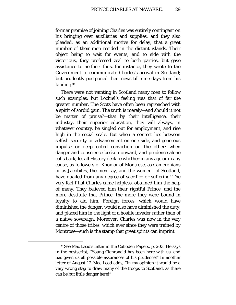former promise of joining Charles was entirely contingent on his bringing over auxiliaries and supplies, and they also pleaded, as an additional motive for delay, that a great number of their men resided in the distant islands. Their object being to wait for events, and to side with the victorious, they professed zeal to both parties, but gave assistance to neither: thus, for instance, they wrote to the Government to communicate Charles's arrival in Scotland; but prudently postponed their news till nine days from his landing.[\\*](#page-28-0)

There were not wanting in Scotland many men to follow such examples: but Lochiel's feeling was that of far the greater number. The Scots have often been reproached with a spirit of sordid gain. The truth is merely—and should it not be matter of praise?—that by their intelligence, their industry, their superior education, they will always, in whatever country, be singled out for employment, and rise high in the social scale. But when a contest lies between selfish security or advancement on one side, and generous impulse or deep-rooted conviction on the other; when danger and conscience beckon onward, and prudence alone calls back; let all History declare whether in any age or in any cause, as followers of Knox or of Montrose, as Cameronians or as Jacobites, the men—ay, and the women—of Scotland, have quailed from any degree of sacrifice or suffering! The very fact f hat Charles came helpless, obtained him the help of many. They believed him their rightful Prince; and the more destitute that Prince, the more they were bound in loyalty to aid him. Foreign forces, which would have diminished the danger, would also have diminished the duty, and placed him in the light of a hostile invader rather than of a native sovereign. Moreover, Charles was now in the very centre of those tribes, which ever since they were trained by Montrose—such is the stamp that great spirits can imprint

<span id="page-28-0"></span><sup>\*</sup> See Mac Leod's letter in the Culloden Papers, p. 203. He says in the postscript, "Young Clanranald has been here with us, and has given us all possible assurances of his prudence!" In another letter of August 17. Mac Leod adds, "In my opinion it would be a very wrong step to draw many of the troops to Scotland, as there can be but little danger here!"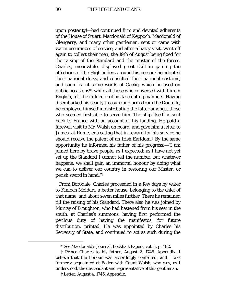upon posterity!—had continued firm and devoted adherents of the House of Stuart. Macdonald of Keppoch, Macdonald of Glengarry, and many other gentlemen, sent or came with warm assurances of service, and after a hasty visit, went off again to collect their men; the 19th of August being fixed for the raising of the Standard and the muster of the forces. Charles, meanwhile, displayed great skill in gaining the affections of the Highlanders around his person: he adopted their national dress, and consulted their national customs, and soon learnt some words of Gaelic, which he used on public occasions[\\*](#page-29-0), while all those who conversed with him in English, felt the influence of his fascinating manners. Having disembarked his scanty treasure and arms from the Doutelle, he employed himself in distributing the latter amongst those who seemed best able to serve him. The ship itself he sent back to France with an account of his landing. He paid a farewell visit to Mr. Walsh on board, and gave him a letter to James, at Rome, entreating that in reward for his service he should receive the patent of an Irish Earldom.[†](#page-29-1) By the same opportunity he informed his father of his progress:—"I am joined here by brave people, as I expected: as I have not yet set up the Standard I cannot tell the number; but whatever happens, we shall gain an immortal honour by doing what we can to deliver our country in restoring our Master, or perish sword in hand."[‡](#page-29-2)

From Borodale, Charles proceeded in a few days by water to Kinloch Moidart, a better house, belonging to the chief of that name, and about seven miles further. There he remained till the raising of his Standard. There also he was joined by Murray of Broughton, who had hastened from his seat in the south, at Charles's summons, having first performed the perilous duty of having the manifestos, for future distribution, printed. He was appointed by Charles his Secretary of State, and continued to act as such during the

<sup>\*</sup> See Macdonald's Journal, Lockhart Papers, vol. ii. p. 482.

<span id="page-29-2"></span><span id="page-29-1"></span><span id="page-29-0"></span><sup>†</sup> Prince Charles to his father, August 2. 1745. Appendix. I believe that the honour was accordingly conferred, and I was formerly acquainted at Baden with Count Walsh, who was, as I understood, the descendant and representative of this gentleman.

<sup>‡</sup> Letter, August 4. 1745. Appendix.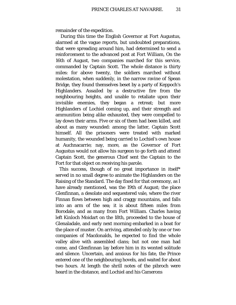remainder of the expedition.

During this time the English Governor at Fort Augustus, alarmed at the vague reports, but undoubted preparations, that were spreading around him, had determined to send a reinforcement to the advanced post at Fort William, On the 16th of August, two companies marched for this service, commanded by Captain Scott. The whole distance is thirty miles: for above twenty, the soldiers marched without molestation, when suddenly, in the narrow ravine of Spean Bridge, they found themselves beset by a party of Keppoch's Highlanders. Assailed by a destructive fire from the neighbouring heights, and unable to retaliate upon their invisible enemies, they began a retreat; but more Highlanders of Lochiel coming up, and their strength and ammunition being alike exhausted, they were compelled to lay down their arms. Five or six of them had been killed, and about as many wounded: among the latter, Captain Scott himself. All the prisoners were treated with marked humanity, the wounded being carried to Lochiel's own house at Auchnacarrie; nay, more, as the Governor of Fort Augustus would not allow his surgeon to go forth and attend Captain Scott, the generous Chief sent the Captain to the Fort for that object on receiving his parole.

This success, though of no great importance in itself\* served in no small degree to animate the Highlanders on the Raising of the Standard. The day fixed for that ceremony, as I have already mentioned, was the 19th of August; the place Glenfinnan, a desolate and sequestered vale, where the river Finnan flows between high and craggy mountains, and falls into an arm of the sea; it is about fifteen miles from Borodale, and as many from Fort William. Charles having left Kinloch Moidart on the 18th, proceeded to the house of Glenaladale, and early next morning embarked in a boat for the place of muster. On arriving, attended only by one or two companies of Macdonalds, he expected to find the whole valley alive with assembled clans; but not one man had come, and Glenfinnan lay before him in its wonted solitude and silence. Uncertain, and anxious for his fate, the Prince entered one of the neighbouring hovels, and waited for about two hours. At length the shrill notes of the pibroch were heard in the distance, and Lochiel and his Camerons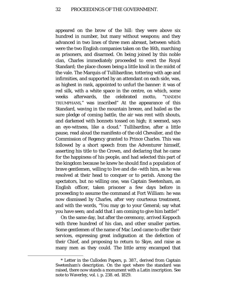appeared on the brow of the hill: they were above six hundred in number, but many without weapons; and they advanced in two lines of three men abreast, between which were the two English companies taken on the 16th, marching as prisoners, and disarmed. On being joined by this noble clan, Charles immediately proceeded to erect the Royal Standard; the place chosen being a little knoll in the midst of the vale. The Marquis of Tullibardine, tottering with age and infirmities, and supported by an attendant on each side, was, as highest in rank, appointed to unfurl the banner: it was of red silk, with a white space in the centre, on which, some weeks afterwards, the celebrated motto, "TANDEM TRIUMPHANS," was inscribed" At the appearance of this Standard, waving in the mountain breeze, and hailed as the sure pledge of coming battle, the air was rent with shouts, and darkened with bonnets tossed on high*;* it seemed, says an eye-witness, like a cloud.[\\*](#page-31-0) Tullibardine, after a little pause, read aloud the manifesto of the old Chevalier, and the Commission of Regency granted to Prince Charles. This was followed by a short speech from the Adventurer himself, asserting his title to the Crown, and declaring that he came for the happiness of his people, and had selected this part of the kingdom because he knew he should find a population of brave gentlemen, willing to live and die -with him, as he was resolved at their head to conquer or to perish. Among the spectators, but no willing one, was Captain Swetenham, an English officer, taken prisoner a few days before in proceeding to assume the command at Fort William: he was now dismissed by Charles, after very courteous treatment, and with the words, "You may go to your General; say what you have seen; and add that I am coming to give him battle!"

On the same day, but after the ceremony, arrived Keppoch with three hundred of his clan, and other smaller parties. Some gentlemen of the name of Mac Leod came to offer their services, expressing great indignation at the defection of their Chief, and proposing to return to Skye, and raise as many men as they could. The little army encamped that

<span id="page-31-0"></span><sup>\*</sup> Letter in the Culloden Papers, p. 387., derived from Captain Swetenham's description. On the spot where the standard was raised, there now stands a monument with a Latin inscription. See note to Waverley, vol. i. p. 238. ed. 1829.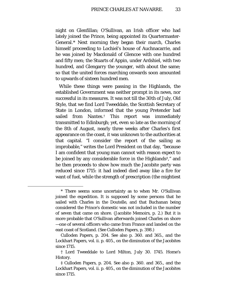night on Glenfillan; O'Sullivan, an Irish officer who had lately joined the Prince, being appointed its Quartermaster-General[.\\*](#page-32-0) Next morning they began their march, Charles himself proceeding to Lochiel's house of Auchnacarrie, and he was joined by Macdonald of Glencoe with one hundred and fifty men; the Stuarts of Appin, under Ardshiel, with two hundred, and Glengarry the younger, with about the same; so that the united forces marching onwards soon amounted to upwards of sixteen hundred men.

While these things were passing in the Highlands, the established Government was neither prompt in its news, nor successful in its measures. It was not till the 30th of July, Old Style, that we find Lord Tweeddale, the Scottish Secretary of State in London, informed that the young Pretender had sailed from Nantes.[†](#page-32-1) This report was immediately transmitted to Edinburgh; yet, even so late as the morning of the 8th of August, nearly three weeks after Charles's first appearance on the coast, it was unknown to the authorities at that capital. "I consider the report of the sailing as improbable," writes the Lord President on that day, "because I am confident that young man cannot with reason expect to be joined by any considerable force in the Highlands[‡,](#page-32-2)" and he then proceeds to show how much the Jacobite party was reduced since 1715: it had indeed died away like a fire for want of fuel, while the strength of prescription (the mightiest

<span id="page-32-0"></span><sup>\*</sup> There seems some uncertainty as to when Mr. O'Sullivan joined the expedition. It is supposed by some persons that he sailed with Charles in the Doutelle, and that Buchanan being considered the Prince's domestic was not included in the number of seven that came on shore. (Jacobite Memoirs, p. 2.) But it is more probable that O'Sullivan afterwards joined Charles on shore —one of several officers who came from France and landed on the east coast of Scotland. (See Culloden Papers, p. 398.)

Culloden Papers, p. 204. See also p. 360. and 365., and the Lockhart Papers, vol. ii. p. 405., on the diminution of the Jacobites since 1715.

<span id="page-32-1"></span><sup>†</sup> Lord Tweeddale to Lord Milton, July 30. 1745. Home's History.

<span id="page-32-2"></span><sup>‡</sup> Culloden Papers, p. 204. See also p. 360. and 365., and the Lockhart Papers, vol. ii. p. 405., on the diminution of the Jacobites since 1715.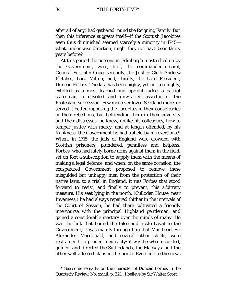after all of any) had gathered round the Reigning Family. But then this inference suggests itself—if the Scottish Jacobites even thus diminished seemed scarcely a minority in 1745 what, under wise direction, might they not have been thirty years before?

At this period the persons in Edinburgh most relied on by the Government, were, first, the commander-in-chief, General Sir John Cope; secondly, the Justice Clerk Andrew Fletcher, Lord Milton; and, thirdly, the Lord President, Duncan Forbes. The last has been highly, yet not too highly, extolled as a most learned and upright judge, a patriot statesman, a devoted and unwearied assertor of the Protestant succession. Few men ever loved Scotland more, or served it better. Opposing the Jacobites in their conspiracies or their rebellions, but befriending them in their adversity and their distresses, he knew, unlike his colleagues, how to temper justice with mercy, and at length offended, by his frankness, the Government he had upheld by his exertions.[\\*](#page-33-0) When, in 1715, the jails of England were crowded with Scottish prisoners, plundered, penniless and helpless, Forbes, who had lately borne arms against them in the field, set on foot a subscription to supply them with the means of making a legal defence; and when, on the same occasion, the exasperated Government proposed to remove these misguided but unhappy men from the protection of their native laws, to a trial in England, it was Forbes that stood forward to resist, and finally to prevent, this arbitrary measure. His seat lying in the north, (Culloden House, near Inverness,) he had always repaired thither in the intervals of the Court of Session; he had there cultivated a friendly intercourse with the principal Highland gentlemen, and gained a considerable mastery over the minds of many. He was the link that bound the false and fickle Lovat to the Government; it was mainly through him that Mac Leod, Sir Alexander Macdonald, and several other chiefs, were restrained to a prudent neutrality; it was he who inspirited, guided, and directed the Sutherlands, the Mackays, and the other well affected clans in the north. Even before the news

<span id="page-33-0"></span><sup>\*</sup> See some remarks on the character of Duncan Forbes in the Quarterly Review, No. xxviii. p. 321., I believe by Sir Walter Scott.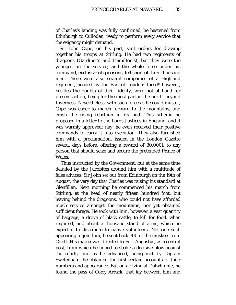of Charles's landing was fully confirmed, he hastened from Edinburgh to Culloden, ready to perform every service that the exigency might demand.

Sir John Cope, on his part, sent orders for drawing together his troops at Stirling. He had two regiments of dragoons (Gardiner's and Hamilton's), but they were the youngest in the service; and the whole force under his command, exclusive of garrisons, fell short of three thousand men. There were also several companies of a Highland regiment, headed by the Earl of Loudon: these\* however, besides the doubts of their fidelity, were not at hand for present action, being for the most part in the north, beyond Inverness. Nevertheless, with such force as he could muster, Cope was eager to march forward to the mountains, and crush the rising rebellion in its bud. This scheme he proposed in a letter to the Lords Justices in England, and it was warmly approved; nay, he even received their positive commands to carry it into execution. They also furnished him with a proclamation, issued in the London Gazette several days before, offering a reward of 30,000*l*. to any person that should seize and secure the pretended Prince of Wales.

Thus instructed by the Government, but at the same time deluded by the Jacobites around him with a multitude of false advices, Sir John set out from Edinburgh on the 19th of August, the very day that Charles was raising his standard at Glenfillan. Next morning he commenced his march from Stirling, at the head of nearly fifteen hundred foot, but leaving behind the dragoons, who could not have afforded much service amongst the mountains, nor yet obtained sufficient forage. He took with him, however, a vast quantity of baggage, a drove of black cattle, to kill for food, when required, and about a thousand stand of arms, which he expected to distribute to native volunteers. Not one such appearing to join him, he sent back 700 of the muskets from Crieff. His march was directed to Fort Augustus, as a central post, from which he hoped to strike a decisive blow against the rebels; and as he advanced, being met by Captain Swetenham, he obtained the first certain accounts of their numbers and appearance. But on arriving at Dalwhinnie, he found the pass of Corry Arrack, that lay between him and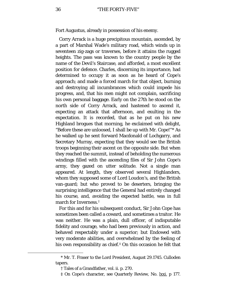Fort Augustus, already in possession of his enemy.

Corry Arrack is a huge precipitous mountain, ascended, by a part of Marshal Wade's military road, which winds up in seventeen zig-zags or traverses, before it attains the rugged heights. The pass was known to the country people by the name of the Devil's Staircase, and afforded, a most excellent position for defence. Charles, discerning its importance, had determined to occupy it as soon as he heard of Cope's approach; and made a forced march for that object, burning and destroying all incumbrances which could impede his progress, and, that his men might not complain, sacrificing his own personal baggage. Early on the 27th he stood on the north side of Corry Arrack, and hastened to ascend it, expecting an attack that afternoon, and exulting in the expectation. It is recorded, that as he put on his new Highland brogues that morning, he exclaimed with delight, "Before these are unloosed, I shall be up with Mr. Cope!"[\\*](#page-35-0) As he walked up he sent forward Macdonald of Lochgarry, and Secretary Murray, expecting that they would see the British troops beginning their ascent on the opposite side. But when they reached the summit, instead of beholding the numerous windings filled with the ascending files of Sir John Cope's army, they gazed on utter solitude. Not a single man appeared. At length, they observed several Highlanders, whom they supposed some of Lord Loudon's, and the British van-guard; but who proved to be deserters, bringing the surprising intelligence that the General had entirely changed his course, and, avoiding the expected battle, was in full march for Inverness.[†](#page-35-1)

For this and for his subsequent conduct, Sir John Cope has sometimes been called a coward, and sometimes a traitor. He was neither. He was a plain, dull officer, of indisputable fidelity and courage, who had been previously in action, and behaved respectably under a superior; but Endowed with very moderate abilities, and overwhelmed by the feeling of his own responsibility as chief. $\ddagger$  On this occasion he felt that

<span id="page-35-2"></span><span id="page-35-1"></span><span id="page-35-0"></span>ī

<sup>\*</sup> Mr. T. Fraser to the Lord President, August 29.1745. Culloden tapers.

<sup>†</sup> Tales of a Grandfather, vol. ii. p. 270.

<sup>‡</sup> On Cope's character, see Quarterly Review, No. lxxi. p 177.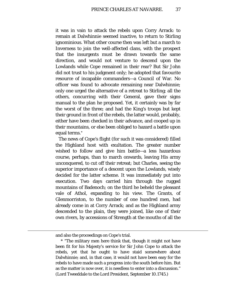it was in vain to attack the rebels upon Corry Arrack: to remain at Dalwhinnie seemed inactive, to return to Stirling ignominious. What other course then was left but a march to Inverness to join the well-affected clans, with the prospect that the insurgents must be drawn towards the same direction, and would not venture to descend upon the Lowlands while Cope remained in their rear? But Sir John did not trust to his judgment only; he adopted that favourite resource of incapable commanders—a Council of War. No officer was found to advocate remaining near Dalwhinnie; only one urged the alternative of a retreat to Stirling; all the others, concurring with their General, gave their signs manual to the plan he proposed. Yet, it certainly was by far the worst of the three; and had the King's troops but kept their ground in front of the rebels, the latter would, probably, either have been checked in their advance, and cooped up in their mountains, or else been obliged to hazard a battle upon equal terms.[\\*](#page-36-0)

The news of Cope's flight (for such it was considered) filled the Highland host with exultation. The greater number wished to follow and give him battle—a less hazardous course, perhaps, than to march onwards, leaving His army unconquered, to cut off their retreat; but Charles, seeing the superior importance of a descent upon the Lowlands, wisely decided for the latter scheme. It was immediately put into execution. Two days carried him through the rugged mountains of Badenoch; on the third he beheld the pleasant vale of Athol, expanding to his view. The Grants, of Glenmorriston, to the number of one hundred men, had already come in at Corry Arrack; and as the Highland army descended to the plain, they were joined, like one of their own rivers, by accessions of Strength at the mouths of all the

<span id="page-36-0"></span>and also the proceedings on Cope's trial.

<sup>\*</sup> "The military men here think that, though it might not have been fit for his Majesty's service for Sir John Cope to attack the rebels, yet that he ought to have staid somewhere about Dalwhinnie; and, in that case, it would not have been easy for the rebels to have made such a progress into the south before him. But as the matter is now over, it is needless to enter into a discussion." (Lord Tweeddale to the Lord President, September 10.1745.)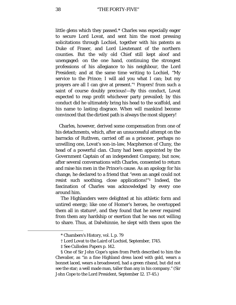little glens which they passed.[\\*](#page-37-0) Charles was especially eager to secure Lord Lovat, and sent him the most pressing solicitations through Lochiel, together with his patents as Duke of Fraser, and Lord Lieutenant of the northern counties. But the wily old Chief still kept aloof and unengaged: on the one hand, continuing the strongest professions of his allegiance to his neighbour, the Lord President; and at the same time writing to Lochiel, "My service to the Prince; I will aid you what I can; but my prayers are all I can give at present."[†](#page-37-1) Prayers! from such a saint of course doubly precious!—By this conduct, Lovat expected to reap profit whichever party prevailed; by this conduct did he ultimately bring his head to the scaffold, and his name to lasting disgrace. When will mankind become convinced that the dirtiest path is always the most slippery!

Charles, however, derived some compensation from one of his detachments, which, after an unsuccessful attempt on the barracks of Ruthven, carried off as a prisoner, perhaps no unwilling one, Lovat's son-in-law, Macpherson of Cluny, the head of a powerful clan. Cluny had been appointed by the Government Captain of an independent Company, but now, after several conversations with Charles, consented to return and raise his men in the Prince's cause. As an apology for his change, he declared to a friend that "even an angel could not resist such soothing, close applications!"[‡](#page-37-2) Indeed, the fascination of Charles was acknowledged by every one around him.

The Highlanders were delighted at his athletic form and untired energy; like one of Homer's heroes, he overtopped them all in stature[§](#page-37-3), and they found that he never required from them any hardship or exertion that he was not willing to share. Thus, at Dalwhinnie, he slept with them upon the

<sup>\*</sup> Chambers's History, vol. L p. 79

<sup>†</sup> Lord Lovat to the Laird of Lochiel, September, 1745.

<sup>‡</sup> See Culloden Papers p. 142.

<span id="page-37-3"></span><span id="page-37-2"></span><span id="page-37-1"></span><span id="page-37-0"></span><sup>§</sup> One of Sir John Cope's spies from Perth described to him the Chevalier, as "in a fine Highland dress laced with gold, wears a bonnet laced, wears a broadsword, had a green riband, but did not see the star; a well made man, taller than any in his company." (Sir John Cope to the Lord President, September 12. 17-45.)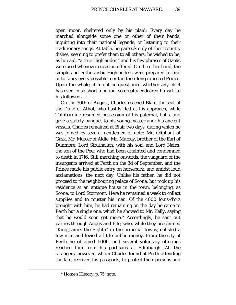open moor, sheltered only by his plaid; Every day he marched alongside some one or other of their bands, inquiring into their national legends, or listening to their traditionary songs. At table, he partook only of their country dishes, seeming to prefer them to all others; he wished to be, as he said, "a true Highlander," and his few phrases of Gaelic were used whenever occasion offered. On the other hand, the simple and enthusiastic Highlanders were prepared to find or to fancy every possible merit in their long expected Prince. Upon the whole, it might be questioned whether any chief has ever, in so short a period, so greatly endeared himself to his followers.

On the 30th of August, Charles reached Blair, the seat of the Duke of Athol, who hastily fled at his approach, while Tullibardine resumed possession of his paternal, halls, and gave a stately banquet to his young master and; his ancient vassals. Charles remained at Blair two days, during which he was joined by several gentlemen of note: Mr, Oliphant of Gask, Mr. Mercer of Aldie, Mr. Murray, brother of the Earl of Dunmore, Lord Strathallan, with his son, and Lord Nairn, the son of the Peer who had been attainted and condemned to death in 1716. Still marching onwards, the vanguard of the insurgents arrived at Perth on the 3d of September, and the Prince made his public entry on horseback, and amidst loud acclamations, the next day. Unlike his father, he did not proceed to the neighbouring palace of Scone, but took up his residence at an antique house in the town, belonging, as Scone, to Lord Stormont. Here he remained a week to collect supplies and to muster his men. Of the 4000 louis-d'ors brought with him, he had remaining on the day he came to Perth but a single one, which he showed to Mr. Kelly, saying that he would soon get more.[\\*](#page-38-0) Accordingly, he sent out parties through Angus and Fife, who, while they proclaimed "King James the Eighth" in the principal towns, enlisted a few men and levied a little public money. From the city of Perth he obtained 500*l*., and several voluntary offerings reached him from his partisans at Edinburgh. All the strangers, however, whom Charles found at Perth attending the fair, received his passports, to protect their persons and

<span id="page-38-0"></span><sup>\*</sup> Home's History, p. 75. note.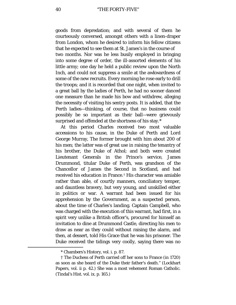goods from depredation; and with several of them he courteously conversed, amongst others with a linen-draper from London, whom he desired to inform his fellow citizens that he expected to see them at St. James's in the course of two months. Nor was he less busily employed in bringing into some degree of order, the ill-assorted elements of his little army; one day he held a public review upon the North Inch, and could not suppress a smile at the awkwardness of some of the new recruits. Every morning he rose early to drill the troops; and it is recorded that one night, when invited to a great ball by the ladies of Perth, he had no sooner danced one measure than he made his bow and withdrew, alleging the necessity of visiting his sentry posts. It is added, that the Perth ladies—thinking, of course, that no business could possibly be so important as their ball—were grievously surprised and offended at the shortness of his stay.[\\*](#page-39-0)

At this period Charles received two most valuable accessions to his cause, in the Duke of Perth and Lord George Murray, The former brought with him about 200 of his men; the latter was of great use in raising the tenantry of his brother, the Duke of Athol; and both were created Lieutenant Generals in the Prince's service, James Drummond, titular Duke of Perth, was grandson of the Chancellor of James the Second in Scotland, and had received his education in France.[†](#page-39-1) His character was amiable rather than able, of courtly manners, conciliatory temper, and dauntless bravery, but very young, and unskilled either in politics or war. A warrant had been issued for his apprehension by the Government, as a suspected person, about the time of Charles's landing. Captain Campbell, who was charged with the execution of this warrant, had first, in a spirit very unlike a British officer's, procured for himself an invitation to dine at Drummond Castle, directing his men to draw as near as they could without raising the alarm, and then, at dessert, told His Grace that he was his prisoner. The Duke received the tidings very coolly, saying there was no

<sup>\*</sup> Chambers's History, vol. i. p. 87.

<span id="page-39-1"></span><span id="page-39-0"></span><sup>†</sup> The Duchess of Perth carried off her sons to France (in 1720) as soon as she heard of the Duke their father's death." (Lockhart Papers, vol. ii p. 42.) She was a most vehement Roman Catholic. (Tindal's Hist. vol. ix. p. 165.)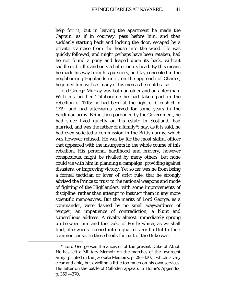help for it; but in leaving the apartment he made the Captain, as if in courtesy, pass before him, and then suddenly starting back and locking the door, escaped by a private staircase from the house into the wood. He was quickly followed, and might perhaps have been retaken, had he not found a pony and leaped upon its back, without saddle or bridle, and only a halter on its head. By this means he made his way from his pursuers, and lay concealed in the neighbouring Highlands until, on the approach of Charles, he joined him with as many of his men as he could raise.

Lord George Murray was both an older and an abler man. With his brother Tullibardine he had taken part in the rebellion of 1715; he had been at the fight of Glenshiel in 1719, and had afterwards served for some years in the Sardinian army. Being then pardoned by the Government, he had since lived quietly on his estate in Scotland, had married, and was the father of a family[\\*](#page-40-0): nay, as it is said, he had even solicited a commission in the British army, which was however refused. He was by far the most skilful officer that appeared with the insurgents in the whole course of this rebellion. His personal hardihood and bravery, however conspicuous, might be rivalled by many others; but none could vie with him in planning a campaign, providing against disasters, or improving victory. Yet so far was he from being a formal tactician or lover of strict rule, that he strongly advised the Prince to trust to the national weapons and mode of fighting of the Highlanders, with some improvements of discipline, rather than attempt to instruct them in any more scientific manoeuvres. But the merits of Lord George, as a commander, were dashed by no small waywardness of temper, an impatience of contradiction, a blunt and supercilious address. A rivalry almost immediately sprung up between him and the Duke of Perth; which, as we shall find, afterwards ripened into a quarrel very hurtful to their common cause. In these broils the part of the Duke was

<span id="page-40-0"></span><sup>\*</sup> Lord George was the ancestor of the present Duke of Athol. He has left a Military Memoir on the marches of the insurgent army (printed in the Jacobite Memoirs, p. 29—130.), which is very clear and able, but dwelling a little too much on his own services. His letter on the battle of Culloden appears in Home's Appendix, p. 359 —370.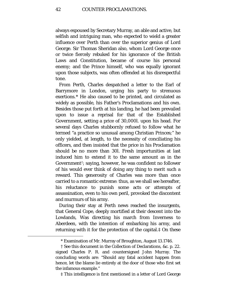always espoused by Secretary Murray, an able and active, but selfish and intriguing man, who expected to wield a greater influence over Perth than over the superior genius of Lord George. Sir Thomas Sheridan also, whom Lord George once or twice fiercely rebuked for his ignorance of the British Laws and Constitution, became of course his personal enemy; and the Prince himself, who was equally ignorant upon those subjects, was often offended at his disrespectful tone.

From Perth, Charles despatched a letter to the Earl of Barrymore in London, urging his party to strenuous exertions.[\\*](#page-41-0) He also caused to be printed, and circulated as widely as possible, his Father's Proclamations and his own. Besides those put forth at his landing, he had been prevailed upon to issue a reprisal for that of the Established Government, setting a price of 30,000*l*. upon his head. For several days Charles stubbornly refused to follow what he termed "a practice so unusual among Christian Princes;" he only yielded, at length, to the necessity of conciliating his officers, and then insisted that the price in his Proclamation should be no more than 30*l*. Fresh importunities at last induced him to extend it to the same amount as in the Government[†;](#page-41-1) saying, however, he was confident no follower of his would ever think of doing any thing to merit such a reward. This generosity of Charles was more than once carried to a romantic extreme: thus, as we shall see hereafter, his reluctance to punish some acts or attempts of assassination, even to his own peril, provoked the discontent and murmurs of his army.

During their stay at Perth news reached the insurgents, that General Cope, deeply mortified at their descent into the Lowlands, Was directing his march from Inverness to Aberdeen, with the intention of embarking his army, and returning with it for the protection of the capital.[‡](#page-41-2) On these

<span id="page-41-2"></span>‡ This intelligence is first mentioned in a letter of Lord George

<sup>\*</sup> Examination of Mr. Murray of Broughton, August 13.1746.

<span id="page-41-1"></span><span id="page-41-0"></span><sup>†</sup> See this document in the Collection of Declarations, &c. p. 22. signed Charles P. R. and countersigned John Murray. The concluding words are: "Should any fatal accident happen from hence, let the blame lie entirely at the door of those who first set the infamous example."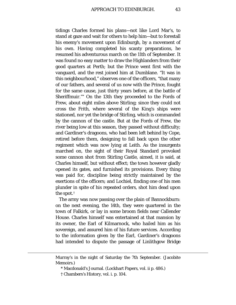tidings Charles formed his plans—not like Lord Mar's, to stand at gaze and wait for others to help him—but to forestall his enemy's movement upon Edinburgh, by a movement of his own. Having completed his scanty preparations, he resumed his adventurous march on the 11th of September. It was found no easy matter to draw the Highlanders from their good quarters at Perth; but the Prince went first with the vanguard, and the rest joined him at Dumblane. "It was in this neighbourhood," observes one of the officers, *"*that many of our fathers, and several of us now with the Prince, fought for the same cause, just thirty years before, at the battle of Sheriffmuir."[\\*](#page-42-0) On the 13th they proceeded to the Fords of Frew, about eight miles above Stirling; since they could not cross the Frith, where several of the King's ships were stationed, nor yet the bridge of Stirling, which is commanded by the cannon of the castle. But at the Fords of Frew, the river being low at this season, they passed without difficulty; and Gardiner's dragoons, who had been left behind by Cope, retired before them, designing to fall back upon the other regiment which was now lying at Leith. As the insurgents marched on, the sight of their Royal Standard provoked some cannon shot from Stirling Castle, aimed, it is said, at Charles himself, but without effect; the town however gladly opened its gates, and furnished its provisions. Every thing was paid for, discipline being strictly maintained by the exertions of the officers; and Lochiel, finding one of his men plunder in spite of his repeated orders, shot him dead upon the spot.[†](#page-42-1)

The army was now passing over the plain of Bannockburn: on the next evening, the 14th, they were quartered in the town of Falkirk, or lay in some broom fields near Callender House. Charles himself was entertained at that mansion by its owner, the Earl of Kilmarnock, who hailed him as his sovereign, and assured him of his future services. According to the information given by the Earl, Gardiner's dragoons had intended to dispute the passage of Linlithgow Bridge

<span id="page-42-1"></span><span id="page-42-0"></span>Murray's in the night of Saturday the 7th September. (Jacobite Memoirs.)

<sup>\*</sup> Macdonald's Journal. (Lockhart Papers, vol. ii p. 486.)

<sup>†</sup> Chambers's History, vol. i. p. 104.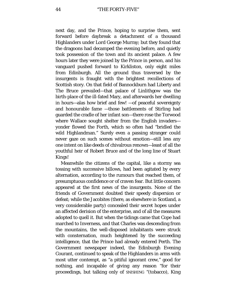## 44 "THE FORTY-FIVE"

next day, and the Prince, hoping to surprise them, sent forward before daybreak a detachment of a thousand Highlanders under Lord George Murray; but they found that the dragoons had decamped the evening before, and quietly took possession of the town and its ancient palace. A few hours later they were joined by the Prince in person, and his vanguard pushed forward to Kirkliston, only eight miles from Edinburgh. All the ground thus traversed by the insurgents is fraught with the brightest recollections of Scottish story. On that field of Bannockburn had Liberty and The Bruce prevailed—that palace of Linlithgow was the birth-place of the ill-fated Mary, and afterwards her dwelling in hours—alas how brief and few! —of peaceful sovereignty and honourable fame —those battlements of Stirling had guarded the cradle of her infant son—there rose the Torwood where Wallace sought shelter from the English invaders yonder flowed the Forth, which so often had "bridled the wild Highlandman." Surely even a passing stranger could never gaze on such scenes without emotion—still less any one intent on like deeds of chivalrous renown—least of all the youthful heir of Robert Bruce and of the long line of Stuart Kings!

Meanwhile the citizens of the capital, like a stormy sea tossing with successive billows, had been agitated by every alternation, according to the rumours that reached them, of presumptuous confidence or of craven fear. But little concern appeared at the first news of the insurgents. None of the friends of Government doubted their speedy dispersion or defeat; while the Jacobites (there, as elsewhere in Scotland, a very considerable party) concealed their secret hopes under an affected derision of the enterprise, and of all the measures adopted to quell it. But when the tidings came that Cope had marched to Inverness, and that Charles was descending from the mountains, the well-disposed inhabitants were struck with consternation, much heightened by the succeeding intelligence, that the Prince had already entered Perth. The Government newspaper indeed, the Edinburgh Evening Courant, continued to speak of the Highlanders in arms with most utter contempt, as "a pitiful ignorant crew," good for nothing, and incapable of giving any reason "for their proceedings, but talking only of SNISHING "(tobacco), King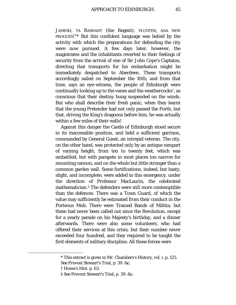JAMESH, TA RASHANT (the Regent), PLUNTER, ANA NEW PROGUES!"[\\*](#page-44-0) But this confident language was belied by the activity with which the preparations for defending the city were now pursued. A few days later, however, the magistrates and the inhabitants reverted to their feelings of security from the arrival of one of Sir John Cope's Captains, directing that transports for his embarkation might be immediately despatched to Aberdeen. These transports accordingly sailed on September the 10th; and from that time, says an eye-witness, the people of Edinburgh were continually looking up to the vanes and the weathercocks<sup>†</sup>, as conscious that their destiny hung suspended on the winds. But who shall describe their fresh panic, when they learnt that the young Pretender had not only passed the Forth, but that, driving the King's dragoons before him, he was actually within a few miles of their walls!

Against this danger the Castle of Edinburgh stood secure in its inaccessible position, and held a sufficient garrison, commanded by General Guest, an intrepid veteran. The city, on the other hand, was protected only by an antique rampart of varying height, from ten to twenty feet, which was embattled, but with parapets in most places too narrow for mounting cannon, and on the whole but little stronger than a common garden wall. Some fortifications, indeed, but hasty, slight, and incomplete, were added in this emergency, under the direction of Professor MacLaurin, the celebrated mathematician.[‡](#page-44-2) The defenders were still more contemptible than the defences. There was a Town Guard, of which the value may sufficiently be estimated from their conduct in the Porteous Mob. There were Trained Bands of Militia; but these had never been called out since the Revolution, except for a yearly parade on his Majesty's birthday, and a dinner afterwards. There were also some volunteers, who had offered their services at this crisis; but their number never exceeded four hundred, and they required to be taught the first elements of military discipline. All these forces were

<span id="page-44-0"></span><sup>\*</sup> This extract is given in Mr. Chambers's History, vol. i. p. 125. See Provost Stewart's Trial, p. 39. &c.

<span id="page-44-1"></span><sup>†</sup> Home's Hist. p. 63.

<span id="page-44-2"></span><sup>‡</sup> See Provost Stewart's Trial, p. 39. &c.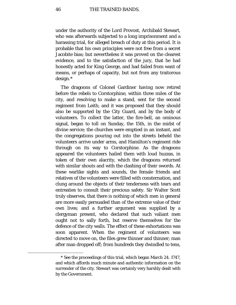under the authority of the Lord Provost, Archibald Stewart, who was afterwards subjected to a long imprisonment and a harassing trial, for alleged breach of duty at this period. It is probable that his own principles were not free from a secret Jacobite bias; but nevertheless it was proved on the clearest evidence, and to the satisfaction of the jury, that he had honestly acted for King George, and had failed from want of means, or perhaps of capacity, but not from any traitorous design.[\\*](#page-45-0)

The dragoons of Colonel Gardiner having now retired before the rebels to Corstorphine, within three miles of the city, and resolving to make a stand, sent for the second regiment from Leith; and it was proposed that they should also be supported by the City Guard, and by the body of volunteers. To collect the latter, the fire-bell, an ominous signal, began to toll on Sunday, the 15th, in the midst of divine service; the churches were emptied in an instant, and the congregations pouring out into the streets beheld the volunteers arrive under arms, and Hamilton's regiment ride through on its way to Corstorphine. As the dragoons appeared the volunteers hailed them with loud huzzas, in token of their own alacrity, which the dragoons returned with similar shouts and with the clashing of their swords. At these warlike sights and sounds, the female friends and relatives of the volunteers were filled with consternation, and clung around the objects of their tenderness with tears and entreaties to consult their precious safety. Sir Walter Scott truly observes, that there is nothing of which men in general are more easily persuaded than of the extreme value of their own lives; and a further argument was supplied by a clergyman present, who declared that such valiant men ought not to sally forth, but reserve themselves for the defence of the city walls. The effect of these exhortations was soon apparent. When the regiment of volunteers was directed to move on, the files grew thinner and thinner; man after man dropped off; from hundreds they dwindled to tens,

<span id="page-45-0"></span><sup>\*</sup> See the proceedings of this trial, which began March 24. 1747, and which affords much minute and authentic information on the surrender of the city. Stewart was certainly very harshly dealt with by the Government.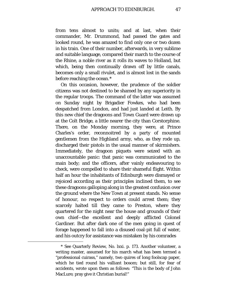from tens almost to units; and at last, when their commander, Mr. Drummond, had passed the gates and looked round, he was amazed to find only one or two dozen in his train. One of their number, afterwards, in very sublime and suitable language, compared their march to the course of the Rhine, a noble river as it rolls its waves to Holland, but which, being then continually drawn off by little canals, becomes only a small rivulet, and is almost lost in the sands before reaching the ocean.[\\*](#page-46-0)

On this occasion, however, the prudence of the soldier citizens was not destined to be shamed by any superiority in the regular troops. The command of the latter was assumed on Sunday night by Brigadier Fowkes, who had been despatched from London, and had just landed at Leith. By this new chief the dragoons and Town Guard were drawn up at the Colt Bridge, a little nearer the city than Corstorphine. There, on the Monday morning, they were, at Prince Charles's order, reconnoitred by a party of mounted gentlemen from the Highland army, who, as they rode up, discharged their pistols in the usual manner of skirmishers. Immediately, the dragoon piquets were seized with an unaccountable panic: that panic was communicated to the main body; and the officers, after vainly endeavouring to check, were compelled to share their shameful flight. Within half an hour the inhabitants of Edinburgh were dismayed or rejoiced according as their principles inclined them, to see these dragoons galloping along in the greatest confusion over the ground where the New Town at present stands. No sense of honour, no respect to orders could arrest them; they scarcely halted till they came to Preston, where they quartered for the night near the house and grounds of their own chief—the excellent and deeply afflicted Colonel Gardiner. But after dark one of the men going in quest of forage happened to fall into a disused coal-pit full of water, and his outcry for assistance was mistaken by his comrades

<span id="page-46-0"></span><sup>\*</sup> See Quarterly Review, No. lxxi. p. 173. Another volunteer, a writing master, assumed for his march what has been termed a "professional cuirass," namely, two quires of long foolscap paper, which he tied round his valliant bosom; but still, for fear of accidents, wrote upon them as follows: "This is the body of John MacLure; pray give it Christian burial!"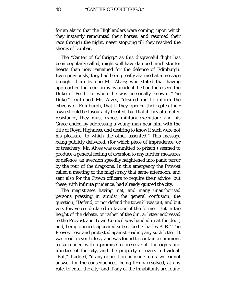for an alarm that the Highlanders were coming; upon which they instantly remounted their horses, and resumed their race through the night, never stopping till they reached the shores of Dunbar.

The "Canter of Coltbrigg," as this disgraceful flight has been popularly called, might well have damped much stouter hearts than now remained for the defence of Edinburgh. Even previously, they had been greatly alarmed at a message brought them by one Mr. Alves; who stated that having approached the rebel army by accident, he had there seen the Duke of Perth, to whom he was personally known. "The Duke," continued Mr. Alves, "desired me to inform the citizens of Edinburgh, that if they opened their gates their town should be favourably treated; but that if they attempted resistance, they must expect military execution; and his Grace ended by addressing a young man near him with the title of Royal Highness, and desiring to know if such were not his pleasure, to which the other assented." This message being publicly delivered, (for which piece of imprudence, or of treachery, Mr. Alves was committed to prison,) seemed to produce a general feeling of aversion to any further measures of defence; an aversion speedily heightened into panic terror by the rout of the dragoons. In this emergency the Provost called a meeting of the magistracy that same afternoon, and sent also for the Crown officers to require their advice; but these, with infinite prudence, had already quitted the city.

The magistrates having met, and many unauthorised persons pressing in amidst the general confusion, the question, "Defend, or not defend the town?" was put, and but very few voices declared in favour of the former. But in the height of the debate, or rather of the din, a: letter addressed to the Provost and Town Council was handed in at the door, and, being opened, appeared subscribed *"*Charles P. R." The Provost rose and protested against reading any such letter: It was read, nevertheless, and was found to contain a summons to surrender, with a promise to preserve all the rights and liberties of the city, and the property of every individual. "But," it added, "if any opposition be made to us, we cannot answer for the consequences, being firmly resolved, at any rate, to enter the city; and if any of the inhabitants are found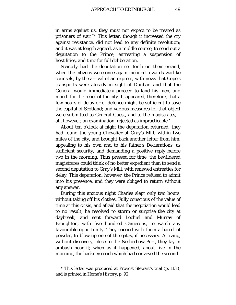in arms against us, they must not expect to be treated as prisoners of war."[\\*](#page-48-0) This letter, though it increased the cry against resistance, did not lead to any definite resolution; and it was at length agreed, as a middle course, to send out a deputation to the Prince, entreating a suspension of hostilities, and time for full deliberation.

Scarcely had the deputation set forth on their errand, when the citizens were once again inclined towards warlike counsels, by the arrival of an express, with news that Cope's transports were already in sight of Dunbar, and that the General would immediately proceed to land his men, and march for the relief of the city. It appeared, therefore, that a few hours of delay or of defence might be sufficient to save the capital of Scotland; and various measures for that object were submitted to General Guest, and to the magistrates, all, however, on examination, rejected as impracticable.'

About ten o'clock at night the deputation returned: they had found the young Chevalier at Gray's Mill, within two miles of the city, and brought back another letter from him, appealing to his own and to his father's Declarations, as sufficient security, and demanding a positive reply before two in the morning. Thus pressed for time, the bewildered magistrates could think of no better expedient than to send a second deputation to Gray's Mill, with renewed entreaties for delay. This deputation, however, the Prince refused to admit into his presence; and they were obliged to return without any answer.

During this anxious night Charles slept only two hours, without taking off his clothes. Fully conscious of the value of time at this crisis, and afraid that the negotiation would lead to no result, he resolved to storm or surprise the city at daybreak; and sent forward Lochiel and Murray of Broughton, with five hundred Camerons, to watch any favourable opportunity. They carried with them a barrel of powder, to blow up one of the gates, if necessary. Arriving, without discovery, close to the Netherbow Port, they lay in ambush near it; when as it happened, about five in the morning, the hackney coach which had conveyed the second

<span id="page-48-0"></span><sup>\*</sup> This letter was produced at Provost Stewart's trial (p. 113.), and is printed in Home's History, p. 92.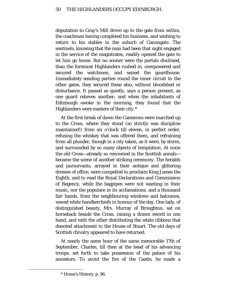deputation to Gray's Mill drove up to the gate from within, the coachman having completed his business, and wishing to return to his stables in the suburb of Canongate. The sentinels, knowing that the man had been that night engaged in the service of the magistrates, readily opened the gate to let him go home. But no sooner were the portals disclosed, than the foremost Highlanders rushed in, overpowered and secured the watchmen, and seized the guardhouse. Immediately sending parties round the inner circuit to the other gates, they secured these also, without bloodshed or disturbance. It passed as quietly, says a person present, as one guard relieves another; and when the inhabitants of Edinburgh awoke in the morning, they found that the Highlanders were masters of their city.[\\*](#page-49-0)

At the first break of dawn the Camerons were marched up to the Cross, where they stood (so strictly was discipline maintained!) from six o'clock till eleven, in perfect order, refusing the whiskey that was offered them, and refraining from all plunder, though in a city taken, as it were, by storm, and surrounded by so many objects of temptation. At noon the old Cross—already so renowned in the Scottish annals became the scene of another striking ceremony. The heralds and pursuivants, arrayed in their antique and glittering dresses of office, were compelled to proclaim King James the Eighth, and to read the Royal Declarations and Commission of Regency, while the bagpipes were not wanting in their music, nor the populace in its acclamations; and a thousand fair hands, from the neighbouring windows and balconies, waved white handkerchiefs in honour of the day. One lady, of distinguished beauty, Mrs. Murray of Broughton, sat on horseback beside the Cross, raising a drawn sword in one hand, and with the other distributing the white ribbons that denoted attachment to the House of Stuart. The old days of Scottish chivalry appeared to have returned.

At nearly the same hour of the same memorable 17th of September, Charles, till then at the head of his advancing troops, set forth to take possession of the palace of his ancestors. To avoid the fire of the Castle, he made a

<span id="page-49-0"></span><sup>\*</sup> Home's History, p. 96.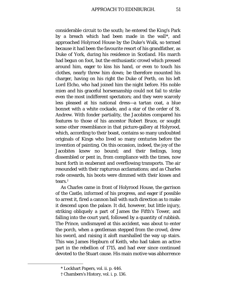considerable circuit to the south; he entered the King's Park by a breach which had been made in the wall[\\*](#page-50-0), and approached Holyrood House by the Duke's Walk, so termed because it had been the favourite resort of his grandfather, as Duke of York, during his residence in Scotland. His march had begun on foot, but the enthusiastic crowd which pressed around him, eager to kiss his hand, or even to touch his clothes, nearly threw him down; be therefore mounted his charger, having on his right the Duke of Perth, on his left Lord Elcho, who had joined him the night before. His noble mien and his graceful horsemanship could not fail to strike even the most indifferent spectators; and they were scarcely less pleased at his national dress—a tartan coat, a blue bonnet with a white cockade, and a star of the order of St. Andrew. With fonder partiality, the Jacobites compared his features to those of his ancestor Robert Bruce, or sought some other resemblance in that picture-gallery at Holyrood, which, according to their boast, contains so many undoubted originals of Kings who lived so many centuries before the invention of painting. On this occasion, indeed, the joy of the Jacobites knew no bound; and their feelings, long dissembled or pent in, from compliance with the times, now burst forth in exuberant and overflowing transports. The air resounded with their rapturous acclamations; and as Charles rode onwards, his boots were dimmed with their kisses and tears.[†](#page-50-1)

As Charles came in front of Holyrood House, the garrison of the Castle, informed of his progress, and eager if possible to arrest it, fired a cannon ball with such direction as to make it descend upon the palace. It did, however, but little injury, striking obliquely a part of James the Fifth's Tower, and falling into the court yard, followed by a quantity of rubbish. The Prince, undismayed at this accident, was about to enter the porch, when a gentleman stepped from the crowd, drew his sword, and raising it aloft marshalled the way up stairs. This was James Hepburn of Keith, who had taken an active part in the rebellion of 1715, and had ever since continued devoted to the Stuart cause. His main motive was abhorrence

<span id="page-50-0"></span><sup>\*</sup> Lockhart Papers, vol. ii. p. 446.

<span id="page-50-1"></span><sup>†</sup> Chambers's History, vol. i. p. 136.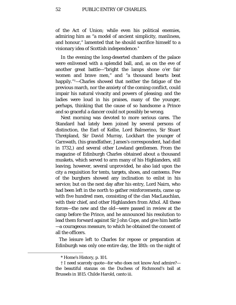of the Act of Union; while even his political enemies, admiring him as "a model of ancient simplicity, manliness, and honour," lamented that he should sacrifice himself to a visionary idea of Scottish independence.[\\*](#page-51-0)

In the evening the long-deserted chambers of the palace were enlivened with a splendid ball, and, as on the eve of another great battle—"bright the lamps shone o'er fair women and brave men," and "a thousand hearts beat happily."[†](#page-51-1)—Charles showed that neither the fatigue of the previous march, nor the anxiety of the coming conflict, could impair his natural vivacity and powers of pleasing; and the ladies were loud in his praises, many of the younger, perhaps, thinking that the cause of so handsome a Prince and so graceful a dancer could not possibly be wrong.

Next morning was devoted to more serious cares. The Standard had lately been joined by several persons of distinction, the Earl of Kellie, Lord Balmerino, Sir Stuart Threipland, Sir David Murray, Lockhart the younger of Carnwath, (his grandfather, James's correspondent, had died in 1732,) and several other Lowland gentlemen. From the magazine of Edinburgh Charles obtained about a thousand muskets, which served to arm many of his Highlanders, still leaving, however, several unprovided, he also laid upon the city a requisition for tents, targets, shoes, and canteens. Few of the burghers showed any inclination to enlist in his service; but on the next day after his entry, Lord Nairn, who had been left in the north to gather reinforcements, came up with five hundred men, consisting of the clan MacLauchlan, with their chief, and other Highlanders from Athol. All these forces—the new and the old—were passed in review at the camp before the Prince, and he announced his resolution to lead them forward against Sir John Cope, and give him battle —a courageous measure, to which he obtained the consent of all the officers.

The leisure left to Charles for repose or preparation at Edinburgh was only one entire day, the 18th: on the night of

<sup>\*</sup> Home's History, p. 101.

<span id="page-51-1"></span><span id="page-51-0"></span><sup>†</sup> I need scarcely quote—for who does not know And admire? the beautiful stanzas on the Duchess of Richmond's ball at Brussels in 1815. Childe Harold, canto iii.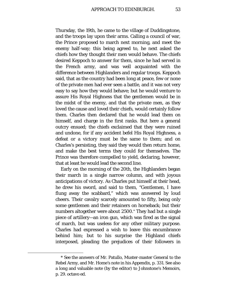Thursday, the 19th, he came to the village of Duddingstone, and the troops lay upon their arms. Calling a council of war, the Prince proposed to march next morning, and meet the enemy half-way; this being agreed to, he next asked the chiefs how they thought their men would behave. The chiefs desired Keppoch to answer for them, since he had served in the French army, and was well acquainted with the difference between Highlanders and regular troops. Keppoch said, that as the country had been long at peace, few or none of the private men had ever seen a battle, and it was not very easy to say how they would behave; but he would venture to assure His Royal Highness that the gentlemen would be in the midst of the enemy, and that the private men, as they loved the cause and loved their chiefs, would certainly follow them. Charles then declared that he would lead them on himself, and charge in the first ranks. But here a general outcry ensued; the chiefs exclaimed that they were ruined and undone, for if any accident befel His Royal Highness, a defeat or a victory must be the same to them; and on Charles's persisting, they said they would then return home, and make the best terms they could for themselves. The Prince was therefore compelled to yield, declaring, however, that at least he would lead the second line.

Early on the morning of the 20th, the Highlanders began their march in a single narrow column, and with joyous anticipations of victory. As Charles put himself at their head, he drew his sword, and said to them, "Gentlemen, I have flung away the scabbard," which was answered by loud cheers. Their cavalry scarcely amounted to fifty, being only some gentlemen and their retainers on horseback; but their numbers altogether were about 2500.[\\*](#page-52-0) They had but a single piece of artillery—an iron gun, which was fired as the signal of march, but was useless for any other military purpose. Charles had expressed a wish to leave this encumbrance behind him; but to his surprise the Highland chiefs interposed, pleading the prejudices of their followers in

<span id="page-52-0"></span><sup>\*</sup> See the answers of Mr. Patullo, Muster-master General to the Rebel Army, and Mr. Home's note in his Appendix, p. 331. See also a long and valuable note (by the editor) to Johnstone's Memoirs, p. 29. octavo ed.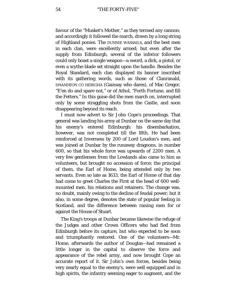favour of the "Musket's Mother," as they termed any cannon; and accordingly it followed the march, drawn by a long string of Highland ponies. The DUNNIE WASSAILS, and the best men in each clan, were excellently armed; but even after the supply from Edinburgh, several of the inferior followers could only boast a single weapon—a sword, a dirk, a pistol, or even a scythe-blade set straight upon the handle. Besides the Royal Standard, each clan displayed its banner inscribed with its gathering words, such as those of Clanranald, DHANDEON CO HERIGHA (Gainsay who dares), of Mac Gregor, "E'en do and spare not," or of Athol, "Forth Fortune, and fill the Fetters." In this guise did the men march on, interrupted only by some straggling shots from the Castle, and soon disappearing beyond its reach.

I must now advert to Sir John Cope's proceedings. That general was landing his army at Dunbar on the same day that his enemy's entered Edinburgh: his disembarkation, however, was not completed till the 18th. He had been reinforced at Inverness by 200 of Lord Loudon's men, and was joined at Dunbar by the runaway dragoons, in number 600, so that his whole force was upwards of 2200 men. A very few gentlemen from the Lowlands also came to him as volunteers, but brought no accession of force; the principal of them, the Earl of Home, being attended only by two servants. Even so late as 1633, the Earl of Home of that day had come to greet Charles the First at the head of 600 wellmounted men, his relations and retainers. The change was, no doubt, mainly owing to the decline of feudal power; but it also, in some degree, denotes the state of popular feeling in Scotland, and the difference between raising men for or against the House of Stuart.

The King's troops at Dunbar became likewise the refuge of the Judges and other Crown Officers who had fled from Edinburgh before its capture, but who expected to be soon and triumphantly restored. One of the volunteers—Mr. Home, afterwards the author of Douglas—had remained a little longer in the capital to observe the force and appearance of the rebel army, and now brought Cope an accurate report of it. Sir John's own forces, besides being very nearly equal to the enemy's, were well equipped and in high spirits, the infantry seeming eager to augment, and the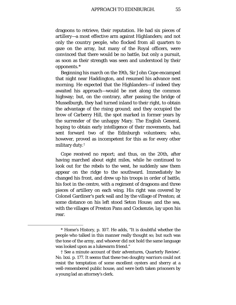dragoons to retrieve, their reputation. He had six pieces of artillery—a most effective arm against Highlanders; and not only the country people, who flocked from all quarters to gaze on the array, but many of the Royal officers, were convinced that there would be no battle, but only a pursuit, as soon as their strength was seen and understood by their opponents.[\\*](#page-54-0)

Beginning his march on the 19th, Sir John Cope encamped that night near Haddington, and resumed his advance next morning. He expected that the Highlanders—if indeed they awaited his approach—would be met along the common highway; but, on the contrary, after passing the bridge of Musselburgh, they had turned inland to their right, to obtain the advantage of the rising ground; and they occupied the brow of Carberry Hill, the spot marked in former years by the surrender of the unhappy Mary. The English General, hoping to obtain early intelligence of their movements, had sent forward two of the Edinburgh volunteers; who, however, proved as incompetent for this as for every other military duty.[†](#page-54-1)

Cope received no report; and thus, on the 20th, after having marched about eight miles, while he continued to look out for the rebels to the west, he suddenly saw them appear on the ridge to the southward. Immediately he changed his front, and drew up his troops in order of battle, his foot in the centre, with a regiment of dragoons and three pieces of artillery on each wing. His right was covered by Colonel Gardiner's park wall and by the village of Preston; at some distance on his left stood Seton House; and the sea, with the villages of Preston Pans and Cockenzie, lay upon his rear.

<span id="page-54-0"></span><sup>\*</sup> Home's History, p. 107. He adds, "It is doubtful whether the people who talked in this manner really thought so; but such was the tone of the army, and whoever did not hold the same language was looked upon as a lukewarm friend."

<span id="page-54-1"></span><sup>†</sup> See a minute account of their adventures, Quarterly Review'. No. lxxi. p. 177. It seems that these two doughty warriors could not resist the temptation of some excellent oysters and sherry at a well-remembered public house, and were both taken prisoners by a young lad an attorney's clerk.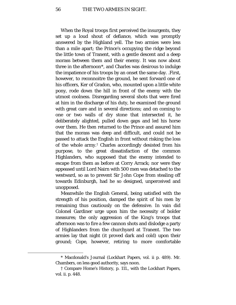When the Royal troops first perceived the insurgents, they set up a loud shout of defiance, which was promptly answered by the Highland yell. The two armies were less than a mile apart; the Prince's occupying the ridge beyond the little town of Tranent, with a gentle descent and a deep morass between them and their enemy. It was now about three in the afternoon[\\*,](#page-55-0) and Charles was desirous to indulge the impatience of his troops by an onset the same day. .First, however, to reconnoitre the ground, he sent forward one of his officers, Ker of Gradon, who, mounted upon a little white pony, rode down the hill in front of the enemy with the utmost coolness. Disregarding several shots that were fired at him in the discharge of his duty, he examined the ground with great care and in several directions; and on coming to one or two walls of dry stone that intersected it, he deliberately alighted, pulled down gaps and led his horse over them. He then returned to the Prince and assured him that the morass was deep and difficult, and could not be passed to attack the English in front without risking the loss of the whole army.[†](#page-55-1) Charles accordingly desisted from his purpose, to the great dissatisfaction of the common Highlanders, who supposed that the enemy intended to escape from them as before at Corry Arrack; nor were they appeased until Lord Nairn with 500 men was detached to the westward, so as to prevent Sir John Cope from stealing off towards Edinburgh, had he so designed, unperceived and unopposed.

Meanwhile the English General, being satisfied with the strength of his position, damped the spirit of his men by remaining thus cautiously on the defensive. In vain did Colonel Gardiner urge upon him the necessity of bolder measures; the only aggression of the King's troops that afternoon was to fire a few cannon shots and dislodge a party of Highlanders from the churchyard at Tranent. The two armies lay that night (it proved dark and cold) upon their ground; Cope, however, retiring to more comfortable

<span id="page-55-0"></span><sup>\*</sup> Macdonald's Journal (Lockhart Papers, vol. ii p. 489). Mr. Chambers, on less good authority, says noon.

<span id="page-55-1"></span><sup>†</sup> Compare Home's History, p. 111., with the Lockhart Papers, vol. ii. p. 448.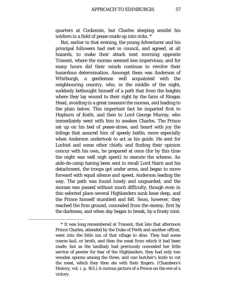quarters at Cockenzie, but Charles sleeping amidst his soldiers in a field of pease made up into ricks. [\\*](#page-56-0)

But, earlier in that evening, the young Adventurer and his principal followers had met in council, and agreed, at all hazards, to make their attack next morning opposite Tranent, where the morass seemed less impervious; and for many hours did their minds continue to revolve their hazardous determination. Amongst them was Anderson of Whitburgh, a gentleman well acquainted with the neighbouring country, who, in the middle of the night, suddenly bethought himself of a path that from the heights where they lay wound to their right by the farm of Ringan Head, avoiding in a great measure the morass, and leading to the plain below. This important fact he imparted first to Hepburn of Keith, and then to Lord George Murray, who immediately went with him to awaken Charles. The Prince sat up on his bed of pease-straw, and heard with joy the tidings that assured him of speedy battle, more especially when Anderson undertook to act as his guide. He sent for Lochiel and some other chiefs; and finding their opinion concur with his own, he prepared at once (for by this time the night was well nigh spent) to execute the scheme. An aide-de-camp having been sent to recall Lord Nairn and his detachment, the troops got under arms, and began to move forward with equal silence and speed, Anderson leading the way. The path was found lonely and unguarded, and the morass was passed without much difficulty, though even in this selected place several Highlanders sunk knee deep, and the Prince himself stumbled and fell. Soon, however, they reached the firm ground, concealed from the enemy, first by the darkness, and when day began to break, by a frosty mist.

<span id="page-56-0"></span><sup>\*</sup> It was long remembered at Tranent, that late that afternoon Prince Charles, attended by the Duke of Perth and another officer, went into the little inn of that village to dine. They had some coarse *kail,* or broth, and then the meat from which it had been made; but as the landlady had previously concealed her little service of pewter for fear of the Highlanders, they had only two wooden spoons among the three, and one butcher's knife to cut the meat, which they then ate with their fingers. (Chambers's History, vol. i. p. 163.) A curious picture of a Prince on the eve of a victory.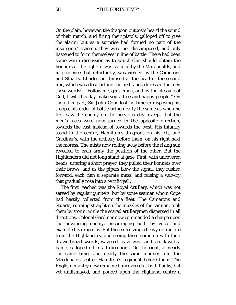On the plain, however, the dragoon outposts heard the sound of their march, and firing their pistols, galloped off to give the alarm; but as a surprise had formed no part of the insurgents' scheme, they were not discomposed, and only hastened to form themselves in line of battle. There had been some warm discussion as to which clan should obtain the honours of the right: it was claimed by the Macdonalds, and in prudence, but reluctantly, was yielded by the Camerons and Stuarts. Charles put himself at the head of the second line, which was close behind the first, and addressed the men these words:—"Follow me, gentlemen, and by the blessing of God, I will this day make you a free and happy people!" On the other part, Sir John Cope lost no time in disposing his troops, his order of battle being nearly the same as when he first saw the enemy on the previous day, except that the men's faces were now turned in the opposite direction, towards the east instead of towards the west. His infantry stood in the centre, Hamilton's dragoons on his left, and Gardiner's, with the artillery before them, on his right next the morass. The mists now rolling away before the rising sun revealed to each army the position of the other. But the Highlanders did not long stand at gaze. First, with uncovered heads, uttering a short prayer, they pulled their bonnets over their brows, and as the pipers blew the signal, they rushed forward, each clan a separate mass, and raising a war-cry that gradually rose into a terrific yell.

The first reached was the Royal Artillery, which was not served by regular gunners, but by some seamen whom Cope had hastily collected from the fleet. The Camerons and Stuarts, running straight on the muzzles of the cannon, took them by storm, while the scared artillerymen dispersed in all directions. Colonel Gardiner now commanded a charge upon the advancing enemy, encouraging both by voice and example his dragoons. But these receiving a heavy rolling fire from the Highlanders, and seeing them come on with their drawn broad-swords, wavered—gave way—and struck with a panic, galloped off in all directions. On the right, at nearly the same time, and nearly the same manner, did the Macdonalds scatter Hamilton's regiment before them. The English infantry now remained uncovered at both flanks, but yet undismayed, and poured upon the Highland centre a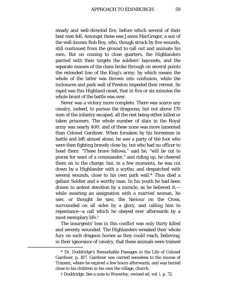steady and well-directed fire, before which several of their best men fell. Amongst these was James MacGregor, a son of the well-known Rob Roy, who, though struck by five wounds, still continued from the ground to call out and animate his men. But on coming to close quarters, the Highlanders parried with their targets the soldiers' bayonets, and the separate masses of the clans broke through on several points the extended line of the King's army; by which means the whole of the latter was thrown into confusion, while the inclosures and park wall of Preston impeded their retreat. So rapid was this Highland onset, that in five or six minutes the whole brunt of the battle was over.

Never was a victory more complete. There was scarce any cavalry, indeed, to pursue the dragoons; but not above 170 men of the infantry escaped, all the rest being either killed or taken prisoners. The whole number of slain in the Royal army was nearly 400; and of these none was more lamented than Colonel Gardiner. When forsaken by his horsemen in battle and left almost alone, he saw a party of the foot who were then fighting bravely close by, but who had no officer to head them: "These brave fellows," said he, "will be cut to pieces for want of a commander," and riding up, he cheered them on to the charge; but, in a few moments, he was cut down by a Highlander with a scythe, and despatched with several wounds, close to his own park wall.[\\*](#page-58-0) Thus died a gallant Soldier and a worthy man. In his youth he had been drawn to ardent devotion by a miracle, as he believed it; while awaiting an assignation with a married woman, he saw, or thought he saw, the Saviour on the Cross, surrounded on all sides by a glory, and calling him to repentance—a call which he obeyed ever afterwards by a most exemplary life.[†](#page-58-1)

The insurgents' loss in this conflict was only thirty killed and seventy wounded. The Highlanders wreaked their whole fury on such dragoon horses as they could reach, believing, in their ignorance of cavalry, that these animals were trained

<span id="page-58-1"></span><span id="page-58-0"></span><sup>\*</sup> Dr. Doddridge's Remarkable Passages in the Life of Colonel Gardiner, p. 187. Gardiner was carried senseless to the *manse* of Tranent, where he expired a few hours afterwards, and was buried close to his children in his own the village, church.

<sup>†</sup> Doddridge. See a note to Waverley, revised ed. vol. i. p. 72.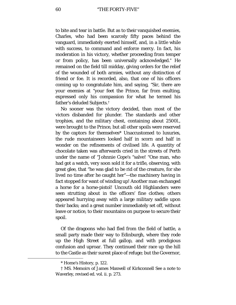to bite and tear in battle. But as to their vanquished enemies, Charles, who had been scarcely fifty paces behind the vanguard, immediately exerted himself, and, in a little while with success, to command and enforce mercy. In fact, his moderation in his victory, whether proceeding from temper or from policy, has been universally acknowledged.[\\*](#page-59-0) He remained on the field till midday, giving orders for the relief of the wounded of both armies, without any distinction of friend or foe. It is recorded, also, that one of his officers coming up to congratulate him, and saying, *"*Sir, there are your enemies at "your feet the Prince, far from exulting, expressed only his compassion for what he termed his father's deluded Subjects.[†](#page-59-1)

No sooner was the victory decided, than most of the victors disbanded for plunder. The standards and other trophies, and the military chest, containing about 2500*l*., were brought to the Prince, but all other spoils were reserved by the captors for themselves\* Unaccustomed to luxuries, the rude mountaineers looked half in scorn and half in wonder on the refinements of civilised life. A quantity of chocolate taken was afterwards cried in the streets of Perth under the name of "Johnnie Cope's "salve! "One man, who had got a watch, very soon sold it for a trifle, observing, with great glee, that "he was glad to be rid of the creature, for she lived no time after he caught her"—the machinery having in fact stopped for want of winding up! Another man exchanged a horse for a horse-pistol! Uncouth old Highlanders were seen strutting about in the officers' fine clothes; others appeared hurrying away with a large military saddle upon their backs; and a great number immediately set off, without leave or notice, to their mountains on purpose to secure their spoil.

Of the dragoons who had fled from the field of battle, a small party made their way to Edinburgh, where they rode up the High Street at full gallop, and with prodigious confusion and uproar. They continued their race up the hill to the Castle as their surest place of refuge; but the Governor,

<sup>\*</sup> Home's History, p. 122.

<span id="page-59-1"></span><span id="page-59-0"></span><sup>†</sup> MS. Memoirs of James Maxwell of Kirkconnell See a note to Waverley, revised ed. vol. ii. p. 273.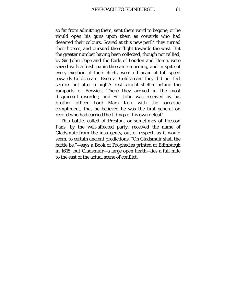so far from admitting them, sent them word to begone, or he would open his guns upon them as cowards who had deserted their colours. Scared at this new peril\* they turned their horses, and pursued their flight towards the west. But the greater number having been collected, though not rallied, by Sir John Cope and the Earls of Loudon and Home, were seized with a fresh panic the same morning, and in spite of every exertion of their chiefs, went off again at full speed towards Coldstream. Even at Coldstream they did not feel secure, but after a night's rest sought shelter behind the ramparts of Berwick. There they arrived in the most disgraceful disorder; and Sir John was received by his brother officer Lord Mark Kerr with the sarcastic compliment, that he believed he was the first general on record who had carried the tidings of his own defeat!

This battle, called of Preston, or sometimes of Preston Pans, by the well-affected party, received the name of Gladsmuir from the insurgents, out of respect, as it would seem, to certain ancient predictions. "On Gladsmuir shall the battle be,"—says a Book of Prophecies printed at Edinburgh in 1615; but Gladsmuir—a large open heath—lies a full mile to the east of the actual scene of conflict.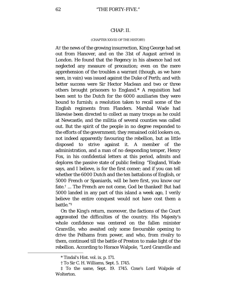## CHAP. II.

## (CHAPTER XXVIII OF THE HISTORY)

AT the news of the growing insurrection, King George had set out from Hanover, and on the 31st of August arrived in London. He found that the Regency in his absence had not neglected any measure of precaution; even on the mere apprehension of the troubles a warrant (though, as we have seen, in vain) was issued against the Duke of Perth; and with better success were Sir Hector Maclean and two or three others brought prisoners to England.[\\*](#page-61-0) A requisition had been sent to the Dutch for the 6000 auxiliaries they were bound to furnish; a resolution taken to recall some of the English regiments from Flanders. Marshal Wade had likewise been directed to collect as many troops as he could at Newcastle, and the militia of several counties was called out. But the spirit of the people in no degree responded to the efforts of the government; they remained cold lookers on, not indeed apparently favouring the rebellion, but as little disposed to strive against it. A member of the administration, and a man of no desponding temper, Henry Fox, in his confidential letters at this period, admits and deplores the passive state of public feeling: "England, Wade says, and I believe, is for the first comer; and if you can tell whether the 6000 Dutch and the ten battalions of English, or 5000 French or Spaniards, will be here first, you know our fate.[†](#page-61-1) ... The French are not come, God be thanked! But had 5000 landed in any part of this island a week ago, I verily believe the entire conquest would not have cost them a battle."[‡](#page-61-2)

On the King's return, moreover, the factions of the Court aggravated the difficulties of the country. His Majesty's whole confidence was centered on the fallen minister Granville, who awaited only some favourable opening to drive the Pelhams from power, and who, from rivalry to them, continued till the battle of Preston to make light of the rebellion. According to Horace Walpole, "Lord Granville and

<sup>\*</sup> Tindal's Hist. vol. ix. p. 171.

<sup>†</sup> To Sir C. H. Williams, Sept. 5. 1745.

<span id="page-61-2"></span><span id="page-61-1"></span><span id="page-61-0"></span><sup>‡</sup> To the same, Sept. 19. 1745. Coxe's Lord Walpole of Wolterton.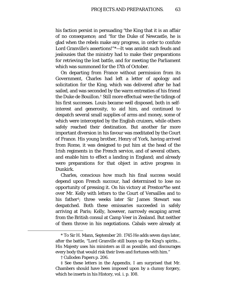his faction persist in persuading "the King that it is an affair of no consequence; and "for the Duke of Newcastle, he is glad when the rebels make any progress, in order to confute Lord Granville's assertions!"[\\*—](#page-62-0)It was amidst such feuds and jealousies that the ministry had to make their preparations for retrieving the lost battle, and for meeting the Parliament which was summoned for the 17th of October.

On departing from France without permission from its Government, Charles had left a letter of apology and solicitation for the King, which was delivered after he had sailed, and was seconded by the warm entreaties of his friend the Duke de Bouillon.[†](#page-62-1) Still more effectual were the tidings of his first successes. Louis became well disposed, both in selfinterest and generosity, to aid him, and continued to despatch several small supplies of arms and money, some of which were intercepted by the English cruizers, while others safely reached their destination. But another far more important diversion in his favour was meditated by the Court of France. His young brother, Henry of York, having arrived from Rome, it was designed to put him at the head of the Irish regiments in the French service, and of several others, and enable him to effect a landing in England; and already were preparations for that object in active progress in Dunkirk.

Charles, conscious how much his final success would depend upon French succour, had determined to lose no opportunity of pressing it. On his victory at Preston\*he sent over Mr. Kelly with letters to the Court of Versailles and to his father[‡](#page-62-2); three weeks later Sir James Stewart was despatched. Both these emissaries succeeded in safely arriving at Paris; Kelly, however, narrowly escaping arrest from the British consul at Camp Veer in Zealand. But neither of them throve in his negotiations. Cabals were already at

<span id="page-62-0"></span><sup>\*</sup> To Sir H. Mann, September 20. 1745 He adds seven days later, after the battle, "Lord Granville still buoys up the King's spirits... His Majesty uses his ministers as ill as possible, and discourages every body that would risk their lives and fortunes with him."

<sup>†</sup> Culloden Papers p. 206.

<span id="page-62-2"></span><span id="page-62-1"></span><sup>‡</sup> See these letters in the Appendix. I am surprised that Mr. Chambers should have been imposed upon by a clumsy forgery, which he inserts in his History, vol. i. p. 108.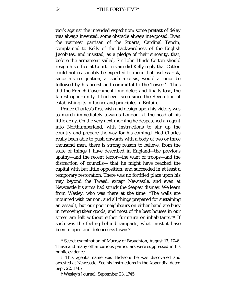work against the intended expedition; some pretext of delay was always invented, some obstacle always interposed. Even the warmest partisan of the Stuarts, Cardinal Tencin, complained to Kelly of the backwardness of the English Jacobites, and insisted, as a pledge of their sincerity, that, before the armament sailed, Sir John Hinde Cotton should resign his office at Court. In vain did Kelly reply that Cotton could not reasonably be expected to incur that useless risk, since his resignation, at such a crisis, would at once be followed by his arrest and committal to the Tower.[\\*](#page-63-0)—Thus did the French Government long defer, and finally lose, the fairest opportunity it had ever seen since the Revolution of establishing its influence and principles in Britain.

Prince Charles's first wish and design upon his victory was to march immediately towards London, at the head of his little army. On the very next morning he despatched an agent into Northumberland, with instructions to stir up the country and prepare the way for his coming,[†](#page-63-1) Had Charles really been able to push onwards with a body of two or three thousand men, there is strong reason to believe, from the state of things I have described in England—the previous apathy—and the recent terror—the want of troops—and the distraction of councils— that he might have reached the capital with but little opposition, and succeeded in at least a temporary restoration. There was no fortified place upon his way beyond the Tweed, except Newcastle, and even at Newcastle his arms had struck the deepest dismay. We learn from Wesley, who was there at the time, "The walls are mounted with cannon, and all things prepared for sustaining an assault; but our poor neighbours on either hand are busy in removing their goods, and most of the best houses in our street are left without either furniture or inhabitants."[‡](#page-63-2) If such was the feeling behind ramparts, what must it have been in open and defenceless towns?

<span id="page-63-0"></span><sup>\*</sup> Secret examination of Murray of Broughton, August 13. 1746. These and many other curious particulars were suppressed in his public evidence.

<span id="page-63-2"></span><span id="page-63-1"></span><sup>†</sup> This agent's name was Hickson; he was discovered and arrested at Newcastle. See his instructions in the Appendix, dated Sept. 22. 1745.

<sup>‡</sup> Wesley's Journal, September 23. 1745.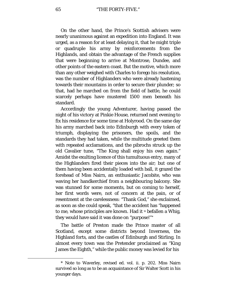On the other hand, the Prince's Scottish advisers were nearly unanimous against an expedition into England. It was urged, as a reason for at least delaying it, that he might triple or quadruple his army by reinforcements from the Highlands, and obtain the advantage of the French supplies that were beginning to arrive at Montrose, Dundee, and other points of the eastern coast. But the motive, which more than any other weighed with Charles to forego his resolution, was the number of Highlanders who were already hastening towards their mountains in order to secure their plunder; so that, had he marched on from the field of battle, he could scarcely perhaps have mustered 1500 men beneath his standard.

Accordingly the young Adventurer, having passed the night of his victory at Pinkie House, returned next evening to fix his residence for some time at Holyrood. On the same day his army marched back into Edinburgh with every token of triumph, displaying the prisoners, the spoils, and the standards they had taken, while the multitude greeted them with repeated acclamations, and the pibrochs struck up the old Cavalier tune, "The King shall enjoy his own again." Amidst the exulting licence of this tumultuous entry, many of the Highlanders fired their pieces into the air; but one of them having been accidentally loaded with ball, it grazed the forehead of Miss Nairn, an enthusiastic Jacobite, who was waving her handkerchief from a neighbouring balcony. She was stunned for some moments, but on coming to herself, her first words were, not of concern at the pain, or of resentment at the carelessness: "Thank God," she exclaimed, as soon as she could speak, "that the accident has *"*happened to me, whose principles are known. Had it *<sup>u</sup>* befallen a Whig, they would have said it was done on "purpose!"[\\*](#page-64-0)

The battle of Preston made the Prince master of all Scotland, except some districts beyond Inverness, the Highland forts, and the castles of Edinburgh and Stirling. In almost every town was the Pretender proclaimed as "King James the Eighth," while the public money was levied for his

<span id="page-64-0"></span><sup>\*</sup> Note to Waverley, revised ed. vol. ii. p. 202. Miss Nairn survived so long as to be an acquaintance of Sir Walter Scott in his younger days.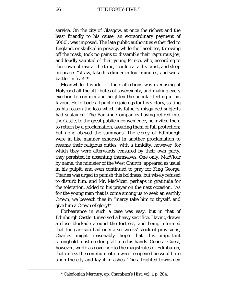service. On the city of Glasgow, at once the richest and the least friendly to his cause, an extraordinary payment of 5000*l*. was imposed. The late public authorities either fled to England, or skulked in privacy, while the Jacobites, throwing off the mask, took no pains to dissemble their rapturous joy, and loudly vaunted of their young Prince, who, according to their own phrase at the time, "could eat a dry crust, and sleep on pease- "straw, take his dinner in four minutes, and win a battle "in five!"[\\*](#page-65-0)

Meanwhile this idol of their affections was exercising at Holyrood all the attributes of sovereignty, and making every exertion to confirm and heighten the popular feeling in his favour. He forbade all public rejoicings for his victory, stating as his reason the loss which his father's misguided subjects had sustained. The Banking Companies having retired into the Castle, to the great public inconvenience, he invited them to return by a proclamation, assuring them of full protection; but none obeyed the summons. The clergy of Edinburgh were in like manner exhorted in another proclamation to resume their religious duties: with a timidity, however, for which they were afterwards censured by their own party, they persisted in absenting themselves. One only, MacVicar by name, the minister of the West Church, appeared as usual in his pulpit, and even continued to pray for King George. Charles was urged to punish this boldness, but wisely refused to disturb him; and Mr. MacVicar, perhaps in gratitude for the toleration, added to his prayer on the next occasion, "As for the young man that is come among us to seek an earthly Crown, we beseech thee in "mercy take him to thyself, and give him a Crown of glory!"

Forbearance in such a case was easy, but in that of Edinburgh Castle it involved a heavy sacrifice. Having drawn a close blockade around the fortress, and being informed that the garrison had only a six weeks' stock of provisions, Charles might reasonably hope that this important stronghold must ere long fall into his hands. General Guest, however, wrote as governor to the magistrates of Edinburgh, that unless the communication were re-opened he would fire upon the city and lay it in ashes. The affrighted townsmen

<span id="page-65-0"></span><sup>\*</sup> Caledonian Mercury, ap. Chambers's Hist. vol. i. p. 204.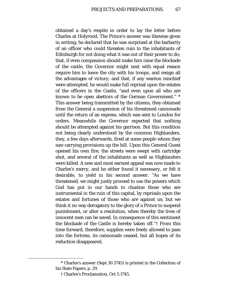obtained a day's respite in order to lay the letter before Charles at Holyrood. The Prince's answer was likewise given in writing; he declared that he was surprised at the barbarity of an officer who could threaten ruin to the inhabitants of Edinburgh for not doing what it was out of their power to do; that, if even compassion should make him raise the blockade of the castle, the Governor might next with equal reason require him to leave the city with his troops, and resign all the advantages of victory; and that, if any wanton mischief were attempted, he would make full reprisal upon the estates of the officers in the Castle, "and even upon all who are known to be open abettors of the German Government." [\\*](#page-66-0) This answer being transmitted by the citizens, they obtained from the General a suspension of his threatened cannonade until the return of an express, which was sent to London for orders. Meanwhile the Governor expected that nothing should be attempted against his garrison. But this condition not being clearly understood by the common Highlanders, they, a few days afterwards, fired at some people whom they saw carrying provisions up the hill. Upon this General Guest opened his own fire; the streets were swept with cartridge shot, and several of the inhabitants as well as Highlanders were killed. A new and most earnest appeal was now made to Charles's mercy, and he either found it necessary, or felt it desirable, to yield in his second answer. "As we have threatened, we might justly proceed to use the powers which God has put in our hands to chastise those who are instrumental in the ruin of this capital, by reprisals upon the estates and fortunes of those who are against us; but we think it no way derogatory to the glory of a Prince to suspend punishment, or alter a resolution, when thereby the lives of innocent men can be saved. In consequence of this sentiment the blockade of the Castle is hereby taken off."[†](#page-66-1) From this time forward, therefore, supplies were freely allowed to pass into the fortress, its cannonade ceased, but all hopes of its reduction disappeared.

<span id="page-66-1"></span><span id="page-66-0"></span><sup>\*</sup> Charles's answer (Sept 30.1745) is printed in the Collection of his State Papers, p. 29.

<sup>†</sup> Charles's Proclamation, Oct 5.1745.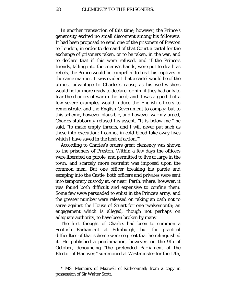In another transaction of this time, however, the Prince's generosity excited no small discontent among his followers. It had been proposed to send one of the prisoners of Preston to London, in order to demand of that Court a cartel for the exchange of prisoners taken, or to be taken, in the war, and to declare that if this were refused, and if the Prince's friends, falling into the enemy's hands, were put to death as rebels, the Prince would be compelled to treat his captives in the same manner. It was evident that a cartel would be of the utmost advantage to Charles's cause, as his well-wishers would be far more ready to declare for him if they had only to fear the chances of war in the field; and it was argued that a few severe examples would induce the English officers to remonstrate, and the English Government to comply: but to this scheme, however plausible, and however warmly urged, Charles stubbornly refused his assent. "It is below me," he said, "to make empty threats, and I will never put such as these into execution; I cannot in cold blood take away lives which I have saved in the heat of action."[\\*](#page-67-0)

According to Charles's orders great clemency was shown to the prisoners of Preston. Within a few days the officers were liberated on parole, and permitted to live at large in the town, and scarcely more restraint was imposed upon the common men. But one officer breaking his parole and escaping into the Castle, both officers and privates were sent into temporary custody at, or near, Perth, where, however, it was found both difficult and expensive to confine them. Some few were persuaded to enlist in the Prince's army, and the greater number were released on taking an oath not to serve against the House of Stuart for one twelvemonth; an engagement which is alleged, though not perhaps on adequate authority, to have been broken by many.

The first thought of Charles had been to summon a Scottish Parliament at Edinburgh, but the practical difficulties of that scheme were so great that he relinquished it. He published a proclamation, however, on the 9th of October, denouncing "the pretended Parliament of the Elector of Hanover," summoned at Westminster for the 17th,

<span id="page-67-0"></span><sup>\*</sup> MS. Memoirs of Maxwell of Kirkconnell; from a copy in possession of Sir Walter Scott.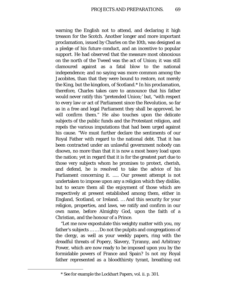warning the English not to attend, and declaring it high treason for the Scotch. Another longer and more important proclamation, issued by Charles on the 10th, was designed as a pledge of his future conduct, and an incentive to popular support. He had observed that the measure most obnoxious on the north of the Tweed was the act of Union; it was still clamoured against as a fatal blow to the national independence; and no saying was more common among the Jacobites, than that they were bound to restore, not merely the King, but the kingdom, of Scotland.[\\*](#page-68-0) In his proclamation, therefore, Charles takes care to announce that his father would never ratify this "pretended Union;' but, "with respect to every law or act of Parliament since the Revolution, so far as in a free and legal Parliament they shall be approved, he will confirm them." He also touches upon the delicate subjects of the public funds and the Protestant religion, and repels the various imputations that had been urged against his cause. "We must further declare the sentiments of our Royal Father with regard to the national debt. That it has been contracted under an unlawful government nobody can disown, no more than that it is now a most heavy load upon the nation; yet in regard that it is for the greatest part due to those very subjects whom he promises to protect, cherish, and defend, he is resolved to take the advice of his Parliament concerning it. ..... Our present attempt is not undertaken to impose upon any a religion which they dislike, but to secure them all the enjoyment of those which are respectively at present established among them, either in England, Scotland, or Ireland. … And this security for your religion, properties, and laws, we ratify and confirm in our own name, before Almighty God, upon the faith of a Christian, and the honour of a Prince.

*"*Let me now expostulate this weighty matter with you, my father's subjects … … Do not the pulpits and congregations of the clergy, as well as your weekly papers, ring with the dreadful threats of Popery, Slavery, Tyranny, and Arbitrary Power, which are now ready to be imposed upon you by the formidable powers of France and Spain? Is not my Royal father represented as a bloodthirsty tyrant, breathing out

<span id="page-68-0"></span><sup>\*</sup> See for example the Lockhart Papers, vol. ii. p. 301.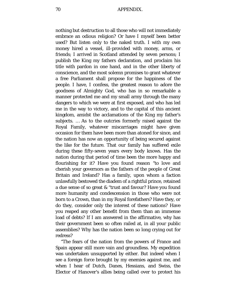nothing but destruction to all those who will not immediately embrace an odious religion? Or have I myself been better used? But listen only to the naked truth. I with my own money hired a vessel, ill-provided with money, arms, or friends; I arrived in Scotland attended by seven persons; I publish the King my fathers declaration, and proclaim his title with pardon in one hand, and in the other liberty of conscience, and the most solemn promises to grant whatever a free Parliament shall propose for the happiness of the people. I have, I confess, the greatest reason to adore the goodness of Almighty God, who has in so remarkable a manner protected me and my small army through the many dangers to which we were at first exposed, and who has led me in the way to victory, and to the capital of this ancient kingdom, amidst the acclamations of the King my father's subjects. … As to the outcries formerly raised against the Royal Family, whatever miscarriages might have given occasion for them have been more than atoned for since, and the nation has now an opportunity of being secured against the like for the future. That our family has suffered exile during these fifty-seven years every body knows. Has the nation during that period of time been the more happy and flourishing for it? Have you found reason *"*to love and cherish your governors as the fathers of the people of Great Britain and Ireland? Has a family, upon whom a faction unlawfully bestowed the diadem of a rightful prince, retained a due sense of so great & "trust and favour? Have you found more humanity and condescension in those who were not born to a Crown, than in my Royal forefathers? Have they, or do they, consider only the interest of these nations? Have you reaped any other benefit from them than an immense load of debts? If I am answered in the affirmative, why has their government been so often railed at, in all your public assemblies? Why has the nation been so long crying out for redress?

"The fears of the nation from the powers of France and Spain appear still more vain and groundless. My expedition was undertaken unsupported by either. But indeed when I see a foreign force brought by my enemies against me, and when I hear of Dutch, Danes, Hessians, and Swiss, the Elector of Hanover's allies being called over to protect his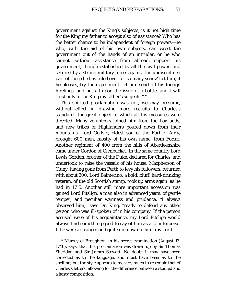government against the King's subjects, is it not high time for the King my father to accept also of assistance? Who has the better chance to be independent of foreign powers—he who, with the aid of his own subjects, can wrest the government out of the hands of an intruder, or he who cannot, without assistance from abroad, support his government, though established by all the civil power, and secured by a strong military force, against the undisciplined part of those he has ruled over for so many years? Let him, if he pleases, try the experiment. let him send off his foreign hirelings, and put all upon the issue of a battle, and I will trust only to the King my father's subjects!" [\\*](#page-70-0)

This spirited proclamation was not, we may presume, without effect in drawing more recruits to Charles's standard—the great object to which all his measures were directed. Many volunteers joined him from the Lowlands, and new tribes of Highlanders poured down from their mountains. Lord Ogilvie, eldest son of the Earl of Airly, brought 600 men, mostly of his own name, from Forfar. Another regiment of 400 from the hills of Aberdeenshire came under Gordon of Glenbucket. In the same country Lord Lewis Gordon, brother of the Duke, declared for Charles, and undertook to raise the vassals of his house. Macpherson of Cluny, having gone from Perth to levy his followers, returned with about 300. Lord Balmerino, a bold, bluff, hard-drinking veteran, of the old Scottish stamp, took up arms again, as he had in 1715. Another still more important accession was gained Lord Pitsligo, a man also in advanced years, of gentle temper, and peculiar wariness and prudence. *"*I always observed him," says Dr. King, "ready to defend any other person who was ill-spoken of in his company. If the person accused were of his acquaintance, my Lord Pitsligo would always find something good to say of him as a counterpoise. If he were a stranger and quite unknown to him, my Lord

<span id="page-70-0"></span><sup>\*</sup> Murray of Broughton, in his secret examination (August 13. 1746), says, that this proclamation was drawn up by Sir Thomas Sheridan and Sir James Stewart. No doubt it may have been corrected as to the language, and must have been as to the spelling; but the style appears to me very much to resemble that of Charles's letters, allowing for the difference between a studied and a hasty composition.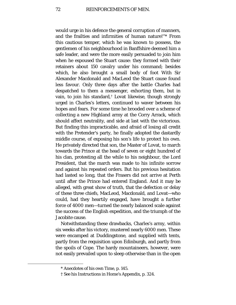would urge in his defence the general corruption of manners, and the frailties and infirmities of human nature!"[\\*](#page-71-0) From this cautious temper, which he was known to possess, the gentlemen of his neighbourhood in Banffshire deemed him a safe leader, and were the more easily persuaded to join him when he espoused the Stuart cause: they formed with their retainers about 150 cavalry under his command; besides which, he also brought a small body of foot With Sir Alexander Macdonald and MacLeod the Stuart cause found less favour. Only three days after the battle Charles had despatched to them a messenger, exhorting them, but in vain, to join his standard,[†](#page-71-1) Lovat likewise, though strongly urged in Charles's letters, continued to waver between his hopes and fears. For some time he brooded over a scheme of collecting a new Highland army at the Corry Arrack, which should affect neutrality, and side at last with the victorious. But finding this impracticable, and afraid of losing all credit with the Pretender's party, he finally adopted the dastardly middle course, of exposing his son's life to protect his own. He privately directed that son, the Master of Lovat, to march towards the Prince at the head of seven or eight hundred of his clan, protesting all the while to his neighbour, the Lord President, that the march was made to his infinite sorrow and against his repeated orders. But his previous hesitation had lasted so long, that the Frasers did not arrive at Perth until after the Prince had entered England. And it may be alleged, with great show of truth, that the defection or delay of these three chiefs, MacLeod, Macdonald, and Lovat—who could, had they heartily engaged, have brought a further force of 4000 men—turned the nearly balanced scale against the success of the English expedition, and the triumph of the Jacobite cause.

Notwithstanding these drawbacks, Charles's army, within six weeks after his victory, mustered nearly 6000 men. These were encamped at Duddingstone, and supplied with tents, partly from the requisition upon Edinburgh, and partly from the spoils of Cope. The hardy mountaineers, however, were not easily prevailed upon to sleep otherwise than in the open

<sup>\*</sup> Anecdotes of his own Time, p. 145.

<span id="page-71-1"></span><span id="page-71-0"></span><sup>†</sup> See his Instructions in Home's Appendix, p. 324.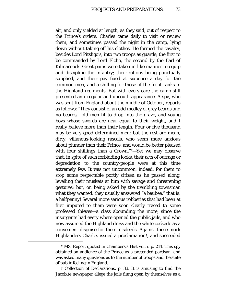air, and only yielded at length, as they said, out of respect to the Prince's orders. Charles came daily to visit or review them, and sometimes passed the night in the camp, lying down without taking off his clothes. He formed the cavalry, besides Lord Pitsligo's, into two troops as guards; the first to be commanded by Lord Elcho, the second by the Earl of Kilmarnock. Great pains were taken in like manner to equip and discipline the infantry; their rations being punctually supplied, and their pay fixed at sixpence a day for the common men, and a shilling for those of the front ranks in the Highland regiments. But with every care the camp still presented an irregular and uncouth appearance. A spy, who was sent from England about the middle of October, reports as follows: "They consist of an odd medley of grey beards and no beards,—old men fit to drop into the grave, and young boys whose swords are near equal to their weight, and I really believe more than their length. Four or five thousand may be very good determined men; but the rest are mean, dirty, villanous-looking rascals, who seem more anxious about plunder than their Prince, and would be better pleased with four shillings than a Crown."[\\*—](#page-72-0)Yet we may observe that, in spite of such forbidding looks, their acts of outrage or depredation to the country-people were at this time extremely few. It was not uncommon, indeed, for them to stop some respectable portly citizen as he passed along, levelling their muskets at him with savage and threatening gestures; but, on being asked by the trembling townsman what they wanted, they usually answered "a baubee," that is, a halfpenny! Several more serious robberies that had been at first imputed to them were soon clearly traced to some professed thieves—a class abounding the more, since the insurgents had every where opened the public jails, and who now assumed the Highland dress and the white cockade as a convenient disguise for their misdeeds. Against these mock Highlanders Charles issued a proclamation[†,](#page-72-1) and succeeded

<span id="page-72-0"></span><sup>\*</sup> MS. Report quoted in Chambers's Hist vol. i. p. 214. This spy obtained an audience of the Prince as a pretended partisan, and was asked many questions as to the number of troops and the state of public feeling in England.

<span id="page-72-1"></span><sup>†</sup> Collection of Declarations, p. 33. It is amusing to find the Jacobite newspaper allege the jails flung open by themselves as a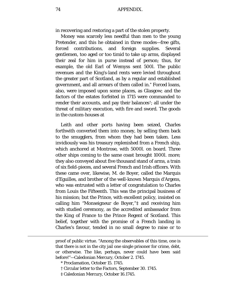in recovering and restoring a part of the stolen property.

Money was scarcely less needful than men to the young Pretender, and this he obtained in three modes—free gifts, forced contributions, and foreign supplies. Several gentlemen, too aged or too timid to take up arms, displayed their zeal for him in purse instead of person; thus, for example, the old Earl of Wemyss sent 500*l*. The public revenues and the King's-land rents were levied throughout the greater part of Scotland, as by a regular and established government, and all arrears of them called in.[\\*](#page-73-0) Forced loans, also, were imposed upon some places, as Glasgow; and the factors of the estates forfeited in 1715 were commanded to render their accounts, and pay their balances[†;](#page-73-1) all under the threat of military execution, with fire and sword. The goods in the custom-houses at

Leith and other ports having been seized, Charles forthwith converted them into money, by selling them back to the smugglers, from whom they had been taken. Less invidiously was his treasury replenished from a French ship, which anchored at Montrose, with 5000*l*. on board. Three other ships coming to the same coast brought 1000*l*. more; they also conveyed about five thousand stand of arms, a train of six field-pieces, and several French and Irish officers. With these came over, likewise, M. de Boyer, called the Marquis d'Eguilles, and brother of the well-known Marquis d'Argens, who was entrusted with a letter of congratulation to Charles from Louis the Fifteenth. This was the principal business of his mission; but the Prince, with excellent policy, insisted on calling him "Monseigneur de Boyer,"[‡](#page-73-2) and receiving him with studied ceremony, as the accredited ambassador from the King of France to the Prince Regent of Scotland. This belief, together with the promise of a French landing in Charles's favour, tended in no small degree to raise or to

proof of public virtue. "Among the observables of this time, one is that there is not in the city jail one single prisoner for crime, debt, or otherwise. The like, perhaps, never could have been said before!"—Caledonian Mercury, October 2. 1745.

\* Proclamation, October 15. 1745.

<span id="page-73-2"></span><span id="page-73-1"></span><span id="page-73-0"></span>Ĩ.

† Circular letter to the Factors, September 30. 1745.

‡ Caledonian Mercury, October 16.1745.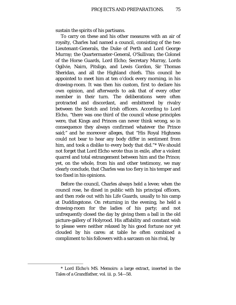sustain the spirits of his partisans.

To carry on these and his other measures with an air of royalty, Charles had named a council, consisting of the two Lieutenant-Generals, the Duke of Perth and Lord George Murray; the Quartermaster-General, O'Sullivan; the Colonel of the Horse Guards, Lord Elcho; Secretary Murray, Lords Ogilvie, Nairn, Pitsligo, and Lewis Gordon, Sir Thomas Sheridan, and all the Highland chiefs. This council he appointed to meet him at ten o'clock every morning, in his drawing-room. It was then his custom, first to declare his own opinion, and afterwards to ask that of every other member in their turn. The deliberations were often protracted and discordant, and embittered by rivalry between the Scotch and Irish officers. According to Lord Elcho, "there was one third of the council whose principles were, that Kings and Princes can never think wrong, so in consequence they always confirmed whatever the Prince said;" and he moreover alleges, that "His Royal Highness could not bear to hear any body differ in sentiment from him, and took a dislike to every body that did."[\\*](#page-74-0) We should not forget that Lord Elcho wrote thus in exile, after a violent quarrel and total estrangement between him and the Prince; yet, on the whole, from his and other testimony, we may clearly conclude, that Charles was too fiery in his temper and too fixed in his opinions.

Before the council, Charles always held a levee; when the council rose, he dined in public with his principal officers, and then rode out with his Life Guards, usually to his camp at Duddingstone. On returning in the evening, he held a drawing-room for the ladies of his party; and not unfrequently closed the day by giving them a ball in the old picture-gallery of Holyrood. His affability and constant wish to please were neither relaxed by his good fortune nor yet clouded by his cares: at table he often combined a compliment to his followers with a sarcasm on his rival, by

<span id="page-74-0"></span><sup>\*</sup> Lord Elcho's MS. Memoirs: a large extract, inserted in the Tales of a Grandfather, vol. iii. p. 54—58.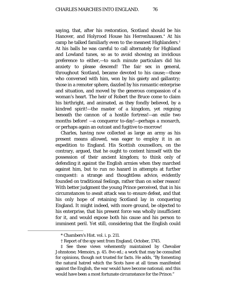saying, that, after his restoration, Scotland should be his Hanover, and Holyrood House his Herrenhausen.[\\*](#page-75-0) At his camp he talked familiarly even to the meanest Highlanders.[†](#page-75-1) At his balls he was careful to call alternately for Highland and Lowland tunes, so as to avoid showing an invidious preference to either,—to such minute particulars did his anxiety to please descend! The fair sex in general, throughout Scotland, became devoted to his cause;—those who conversed with him, won by his gaiety and gallantry; those in a remoter sphere, dazzled by his romantic enterprise and situation, and moved by the generous compassion of a woman's heart. The heir of Robert the Bruce come to claim his birthright, and animated, as they fondly believed, by a kindred spirit!—the master of a kingdom, yet reigning beneath the cannon of a hostile fortress!—an exile two months before! —a conqueror to-day!—perhaps a monarch, or perhaps again an outcast and fugitive to-morrow!

Charles, having now collected as large an army as his present means allowed, was eager to employ it in an expedition to England. His Scottish counsellors, on the contrary, argued, that he ought to content himself with the possession of their ancient kingdom; to think only of defending it against the English armies when they marched against him, but to run no hazard in attempts at further conquest[‡:](#page-75-2) a strange and thoughtless advice, evidently founded on traditional feelings, rather than on sober reason! With better judgment the young Prince perceived, that in his circumstances to await attack was to ensure defeat, and that his only hope of retaining Scotland lay in conquering England. It might indeed, with more ground, be objected to his enterprise, that his present force was wholly insufficient for it, and would expose both his cause and his person to imminent peril. Yet still, considering that the English could

<sup>\*</sup> Chambers's Hist. vol. i. p. 211.

<sup>†</sup> Report of the spy sent from England, October, 1745.

<span id="page-75-2"></span><span id="page-75-1"></span><span id="page-75-0"></span><sup>‡</sup> See these views vehemently maintained by Chevalier Johnstone; Memoirs, p. 45. 8vo ed.; a work that may be consulted for opinions, though not trusted for facts. He adds, "By fomenting the natural hatred which the Scots have at all times manifested against the English, the war would have become national; and this would have been a most fortunate circumstance for the Prince."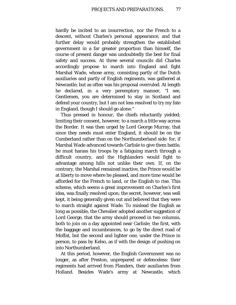hardly be incited to an insurrection, nor the French to a descent, without Charles's personal appearance, and that further delay would probably strengthen the established government in a far greater proportion than himself, the course of present danger was undoubtedly the best for final safety and success. At three several councils did Charles accordingly propose to march into England and fight Marshal Wade, whose army, consisting partly of the Dutch auxiliaries and partly of English regiments, was gathered at Newcastle; but as often was his proposal overruled. At length he declared, in a very peremptory manner, "I see, Gentlemen, you are determined to stay in Scotland and defend your country, but I am not less resolved to try my fate in England, though I should go alone."

Thus pressed in honour, the chiefs reluctantly yielded; limiting their consent, however, to a march a little way across the Border. It was then urged by Lord George Murray, that since they needs must enter England, it should be on the Cumberland rather than on the Northumberland side: for, if Marshal Wade advanced towards Carlisle to give them battle, he must harass his troops by a fatiguing march through a difficult country, and the Highlanders would fight to advantage among hills not unlike their own. If, on the contrary, the Marshal remained inactive, the Prince would be at liberty to move where he pleased, and more time would be afforded for the French to land, or the English to rise. This scheme, which seems a great improvement on Charles's first idea, was finally resolved upon; the secret, however, was well kept, it being generally given out and believed that they were to march straight against Wade. To mislead the English as long as possible, the Chevalier adopted another suggestion of Lord George, that the army should proceed in two columns, both to join on a day appointed near Carlisle; the first, with the baggage and incumbrances, to go by the direct road of Moffat, but the second and lighter one, under the Prince in person, to pass by Kelso, as if with the design of pushing on into Northumberland.

At this period, however, the English Government was no longer, as after Preston, unprepared or defenceless: their regiments had arrived from Flanders, their auxiliaries from Holland. Besides Wade's army at Newcastle, which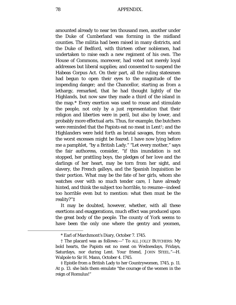amounted already to near ten thousand men, another under the Duke of Cumberland was forming in the midland counties. The militia had been raised in many districts, and the Duke of Bedford, with thirteen other noblemen, had undertaken to raise each a new regiment of his own. The House of Commons, moreover, had voted not merely loyal addresses but liberal supplies; and consented to suspend the Habeas Corpus Act. On their part, all the ruling statesmen had begun to open their eyes to the magnitude of the impending danger; and the Chancellor, starting as from a lethargy, remarked, that he had thought lightly of the Highlands, but now saw they made a third of the island in the map.[\\*](#page-77-0) Every exertion was used to rouse and stimulate the people, not only by a just representation that their religion and liberties were in peril, but also by lower, and probably more effectual arts. Thus, for example, the butchers were reminded that the Papists eat no meat in Lent[†](#page-77-1); and the Highlanders were held forth as brutal savages, from whom the worst excesses might be feared. I have now lying before me a pamphlet, "by a British Lady." "Let every mother," says the fair authoress, consider, "if this inundation is not stopped, her prattling boys, the pledges of her love and the darlings of her heart, may be torn from her sight, and slavery, the French galleys, and the Spanish Inquisition be their portion. What may be the fate of her girls, whom she watches over with so much tender care, I have already hinted, and think the subject too horrible, to resume—indeed too horrible even but to mention: what then must be the reality?"[‡](#page-77-2)

It may be doubted, however, whether, with all these exertions and exaggerations, much effect was produced upon the great body of the people. The county of York seems to have been the only one where the gentry and yeomen,

<sup>\*</sup> Earl of Marchmont's Diary, October 7. 1745.

<span id="page-77-1"></span><span id="page-77-0"></span><sup>†</sup> The placard was as follows:—" To ALL JOLLY BUTCHERS: My bold hearts, the Papists eat no meat on Wednesdays, Fridays, Saturdays, nor during Lent. Your friend, JOHN STEEL."—H. Walpole to Sir H. Mann, October 4. 1745.

<span id="page-77-2"></span><sup>‡</sup> Epistle from a British Lady to her Countrywomen, 1745, p. 11. At p. 13. she bids them emulate "the courage of the women in the reign of Romulus!"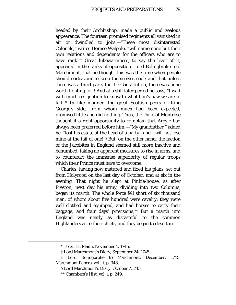headed by their Archbishop, made a public and zealous appearance. The fourteen promised regiments all vanished in air or dwindled to jobs:—"These most disinterested Colonels," writes Horace Walpole, "will name none but their own relations and dependents for the officers who are to have rank."[\\*](#page-78-0) Great lukewarmness, to say the least of it, appeared in the ranks of opposition. Lord Bolingbroke told Marchmont, that he thought this was the time when people should endeavour to keep themselves cool; and that unless there was a third party for the Constitution, there was none worth fighting for![†](#page-78-1) And at a still later period he says, "I wait with much resignation to know to what lion's paw we are to fall." $\ddagger$  In like manner, the great Scottish peers of King George's side, from whom much had been expected, promised little and did nothing. Thus, the Duke of Montrose thought it a right opportunity to complain that Argyle had always been preferred before him:—"My grandfather," added he, "lost his estate at the head of a party—and I will not lose mine at the tail of one!["§](#page-78-3) But, on the other hand, the faction of the Jacobites in England seemed still more inactive and benumbed, taking no apparent measures to rise in arms, and to counteract the immense superiority of regular troops which their Prince must have to overcome.

Charles, having now matured and fixed his plans, set out from Holyrood on the last day of October, and at six in the evening. That night he slept at Pinkie-house, as after Preston; next day his army, dividing into two Columns, began its march. The whole force fell short of six thousand men, of whom about five hundred were cavalry: they were well clothed and equipped, and had horses to carry their baggage, and four days' provisions,<sup>[\\*\\*](#page-78-4)</sup> But a march into England was nearly as distasteful to the common Highlanders as to their chiefs, and they began to desert in

<sup>\*</sup> To Sir H. Mann, November 4. 1745.

<sup>†</sup> Lord Marchmont's Diary, September 24. 1745.

<span id="page-78-4"></span><span id="page-78-3"></span><span id="page-78-2"></span><span id="page-78-1"></span><span id="page-78-0"></span><sup>‡</sup> Lord Bolingbroke to Marchmont, December, 1745. Marchmont Papers. vol. ii. p. 348.

<sup>§</sup> Lord Marchmont's Diary, October 7.1745.

<sup>\*\*</sup> Chambers's Hist. vol. i. p. 249.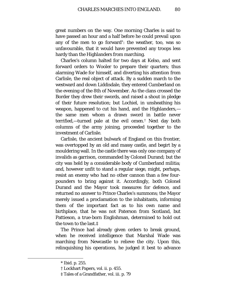great numbers on the way. One morning Charles is said to have passed an hour and a half before he could prevail upon any of the men to go forward[\\*](#page-79-0): the weather, too, was so unfavourable, that it would have prevented any troops less hardy than the Highlanders from marching.

Charles's column halted for two days at Kelso, and sent forward orders to Wooler to prepare their quarters; thus alarming Wade for himself, and diverting his attention from Carlisle, the real object of attack. By a sudden march to the westward and down Liddisdale, they entered Cumberland on the evening of the 8th of November. As the clans crossed the Border they drew their swords, and raised a shout in pledge of their future resolution; but Lochiel, in unsheathing his weapon, happened to cut his hand, and the Highlanders, the same men whom a drawn sword in battle never terrified,—turned pale at the evil omen.[†](#page-79-1) Next day both columns of the army joining, proceeded together to the investment of Carlisle.

Carlisle, the ancient bulwark of England on this frontier, was overtopped by an old and massy castle, and begirt by a mouldering wall. In the castle there was only one company of invalids as garrison, commanded by Colonel Durand; but the city was held by a considerable body of Cumberland militia; and, however unfit to stand a regular siege, might, perhaps, resist an enemy who had no other cannon than a few fourpounders to bring against it. Accordingly, both Colonel Durand and the Mayor took measures for defence, and returned no answer to Prince Charles's summons; the Mayor merely issued a proclamation to the inhabitants, informing them of the important fact as to his own name and birthplace, that he was not Paterson from Scotland, but Pattieson, a true-born Englishman, determined to hold out the town to the last.[‡](#page-79-2)

The Prince had already given orders to break ground, when he received intelligence that Marshal Wade was marching from Newcastle to relieve the city. Upon this, relinquishing his operations, he judged it best to advance

<span id="page-79-2"></span><span id="page-79-1"></span><span id="page-79-0"></span>ī

<sup>\*</sup> Ibid. p. 255.

<sup>†</sup> Lockhart Papers, vol. ii. p. 455.

<sup>‡</sup> Tales of a Grandfather, vol. iii. p. 79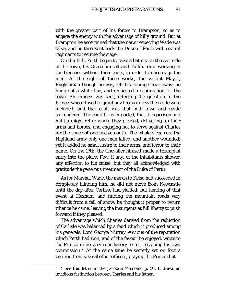with the greater part of his forces to Brampton, so as to engage the enemy with the advantage of hilly ground. But at Brampton he ascertained that the news respecting Wade was false; and he then sent back the Duke of Perth with several regiments to resume the siege.

On the 13th, Perth began to raise a battery on the east side of the town, his Grace himself and Tullibardine working in the trenches without their coats, in order to encourage the men. At the sight of these works, the valiant Mayor, Englishman though he was, felt his courage ooze away: he hung out a white flag, and requested a capitulation for the town. An express was sent, referring the question to the Prince, who refused to grant any terms unless the castle were included; and the result was that both town and castle surrendered. The conditions imported, that the garrison and militia might retire where they pleased, delivering up their arms and horses, and engaging not to serve against Charles for the space of one twelvemonth. The whole siege cost the Highland army only one man killed, and another wounded; yet it added no small lustre to their arms, and terror to their name. On the 17th, the Chevalier himself made a triumphal entry into the place. Few, if any, of the inhabitants showed any affection to his cause; but they all acknowledged with gratitude the generous treatment of the Duke of Perth.

As for Marshal Wade, the march to Kelso had succeeded in completely blinding him: he did not move from Newcastle until the day after Carlisle had yielded; but hearing of that event at Hexham, and finding the mountain roads very difficult from a fall of snow, he thought it proper to return whence he came, leaving the insurgents at full liberty to push forward if they pleased.

The advantage which Charles derived from the reduction of Carlisle was balanced by a feud which it produced among his generals. Lord George Murray, envious of the reputation which Perth had won, and of the favour he enjoyed, wrote to the Prince, in no very conciliatory terms, resigning his own commission.[\\*](#page-80-0) At the same time he secretly set on foot a petition from several other officers, praying the Prince that

<span id="page-80-0"></span><sup>\*</sup> See this letter in the Jacobite Memoirs, p. 50. It draws an invidious distinction between Charles and his father.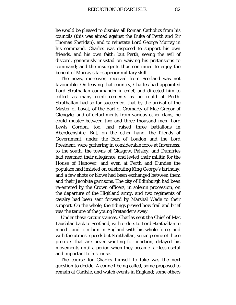he would be pleased to dismiss all Roman Catholics from his councils (this was aimed against the Duke of Perth and Sir Thomas Sheridan), and to reinstate Lord George Murray in his command. Charles was disposed to support his own friends, and his own faith: but Perth, seeing the evil of discord, generously insisted on waiving his pretensions to command; and the insurgents thus continued to enjoy the benefit of Murray's far superior military skill.

The news, moreover, received from Scotland was not favourable. On leaving that country, Charles had appointed Lord Strathallan commander-in-chief, and directed him to collect as many reinforcements as he could at Perth. Strathallan had so far succeeded, that by the arrival of the Master of Lovat, of the Earl of Cromarty of Mac Gregor of Glengyle, and of detachments from various other clans, he could muster between two and three thousand men. Lord Lewis Gordon, too, had raised three battalions in Aberdeenshire. But, on the other hand, the friends of Government, under the Earl of Loudon and the Lord President, were gathering in considerable force at Inverness: to the south, the towns of Glasgow, Paisley, and Dumfries had resumed their allegiance, and levied their militia for the House of Hanover; and even at Perth and Dundee the populace had insisted on celebrating King George's birthday, and a few shots or blows had been exchanged between them and their Jacobite garrisons. The city of Edinburgh had been re-entered by the Crown officers, in solemn procession, on the departure of the Highland army; and two regiments of cavalry had been sent forward by Marshal Wade to their support. On the whole, the tidings proved how frail and brief was the tenure of the young Pretender's sway.

Under these circumstances, Charles sent the Chief of Mac Lauchlan back to Scotland, with orders to Lord Strathallan to march, and join him in England with his whole force, and with the utmost speed: but Strathallan, seizing some of those pretexts that are never wanting for inaction, delayed his movements until a period when they became far less useful and important to his cause.

The course for Charles himself to take was the next question to decide. A council being called, some proposed to remain at Carlisle, and watch events in England; some others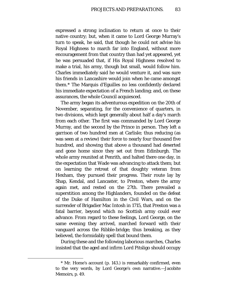expressed a strong inclination to return at once to their native country; but, when it came to Lord George Murray's turn to speak, he said, that though he could not advise his Royal Highness to march far into England, without more encouragement from that country than had yet appeared, yet he was persuaded that, if His Royal Highness resolved to make a trial, his army, though but small, would follow him. Charles immediately said he would venture it, and was sure his friends in Lancashire would join when he came amongst them.[\\*](#page-82-0) The Marquis d'Eguilles no less confidently declared his immediate expectation of a French landing; and, on these assurances, the whole Council acquiesced.

The army began its adventurous expedition on the 20th of November, separating, for the convenience of quarters, in two divisions, which kept generally about half a day's march from each other. The first was commanded by Lord George Murray, and the second by the Prince in person. They left a garrison of two hundred men at Carlisle; thus reducing (as was seen at a review) their force to nearly four thousand five hundred, and showing that above a thousand had deserted and gone home since they set out from Edinburgh. The whole army reunited at Penrith, and halted there one day, in the expectation that Wade was advancing to attack them; but on learning the retreat of that doughty veteran from Hexham, they pursued their progress. Their route lay by Shap, Kendal, and Lancaster, to Preston, where the army again met, and rested on the 27th. There prevailed a superstition among the Highlanders, founded on the defeat of the Duke of Hamilton in the Civil Wars, and on the surrender of Brigadier Mac Intosh in 1715, that Preston was a fatal barrier, beyond which no Scottish army could ever advance. From regard to these feelings, Lord George, on the same evening they arrived, marched forward with their vanguard across the Ribble-bridge; thus breaking, as they believed, the formidably spell that bound them.

During these and the following laborious marches, Charles insisted that the aged and infirm Lord Pitsligo should occupy

<span id="page-82-0"></span>ī

<sup>\*</sup> Mr. Home's account (p. 143.) is remarkably confirmed, even to the very words, by Lord George's own narrative.—Jacobite Memoirs, p. 49.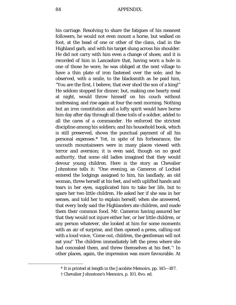his carriage. Resolving to share the fatigues of his meanest followers, he would not even mount a horse, but walked on foot, at the head of one or other of the clans, clad in the Highland garb, and with his target slung across his shoulder. He did not carry with him even a change of shoes; and it is recorded of him in Lancashire that, having worn a hole in one of those he wore, he was obliged at the next village to have a thin plate of iron fastened over the sole; and he observed, with a smile, to the blacksmith as he paid him, "You are the first, I believe, that ever shod the son of a king!" He seldom stopped for dinner; but, making one hearty meal at night, would throw himself on his couch without undressing, and rise again at four the next morning. Nothing but an iron constitution and a lofty spirit would have borne him day after day through all these toils of a soldier, added to all the cares of a commander. He enforced the strictest discipline among his soldiers; and his household book, which is still preserved, shows the punctual payment of all his personal expenses.[\\*](#page-83-0) Yet, in spite of his forbearance, the uncouth mountaineers were in many places viewed with terror and aversion; it is even said, though on no good authority, that some old ladies imagined that they would devour young children. Here is the story as Chevalier Johnstone tells it: "One evening, as Cameron of Lochiel entered the lodgings assigned to him, his landlady, an old woman, threw herself at his feet, and with uplifted hands and tears in her eyes, supplicated him to take her life, but to spare her two little children. He asked her if she was in her senses, and told her to explain herself; when she answered, that every body said the Highlanders ate children, and made them their common food. Mr. Cameron having assured her that they would not injure either her, or her little children, or any person whatever, she looked at him for some moments with an air of surprise, and then opened a press, calling out with a loud voice, 'Come out, children, the gentleman will not eat you!' The children immediately left the press where she had concealed them, and threw themselves at his feet."[†](#page-83-1) In other places, again, the impression was more favourable. At

<sup>\*</sup> It is printed at length in the Jacobite Memoirs, pp. 145—187.

<span id="page-83-1"></span><span id="page-83-0"></span><sup>†</sup> Chevalier Johnstone's Memoirs, p. 101. 8vo. ed.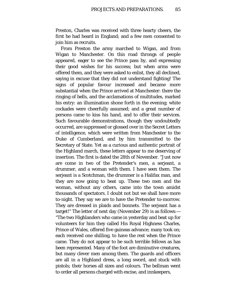Preston, Charles was received with three hearty cheers, the first he had heard in England; and a few men consented to join him as recruits.

From Preston the army marched to Wigan, and from Wigan to Manchester. On this road throngs of people appeared, eager to see the Prince pass by, and expressing their good wishes for his success; but when arms were offered them, and they were asked to enlist, they all declined, saying in excuse that they did not understand fighting! The signs of popular favour increased and became more substantial when the Prince arrived at Manchester: there the ringing of bells, and the acclamations of multitudes, marked his entry: an illumination shone forth in the evening; white cockades were cheerfully assumed; and a great number of persons came to kiss his hand, and to offer their services. Such favourable demonstrations, though they undoubtedly occurred, are suppressed or glossed over in the Secret Letters of intelligence, which were written from Manchester to the Duke of Cumberland, and by him transmitted to the Secretary of State. Yet as a curious and authentic portrait of the Highland march, these letters appear to me deserving of insertion. The first is dated the 28th of November. "Just now are come in two of the Pretender's men, a serjeant, a drummer, and a woman with them. I have seen them. The serjeant is a Scotchman, the drummer is a Halifax man, and they are now going to beat up. These two men and the woman, without any others, came into the town amidst thousands of spectators. I doubt not but we shall have more to-night. They say we are to have the Pretender to-morrow. They are dressed in plaids and bonnets. The serjeant has a target!" The letter of next day (November 29) is as follows:— "The two Highlanders who came in yesterday and beat up for volunteers for him they called His Royal Highness Charles, Prince of Wales, offered five guineas advance; many took on; each received one shilling, to have the rest when the Prince came. They do not appear to be such terrible fellows as has been represented. Many of the foot are diminutive creatures, but many clever men among them. The guards and officers are all in a Highland dress, a long sword, and stuck with pistols; their horses all sizes and colours. The bellman went to order all persons charged with excise, and innkeepers,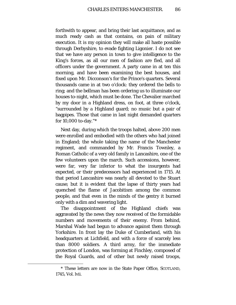forthwith to appear, and bring their last acquittance, and as much ready cash as that contains, on pain of military execution. It is my opinion they will make all haste possible through Derbyshire, to evade fighting Ligonier. I do not see that we have any person in town to give intelligence to the King's forces, as all our men of fashion are fled, and all officers under the government. A party came in at ten this morning, and have been examining the best houses, and fixed upon Mr. Dicconson's for the Prince's quarters. Several thousands came in at two o'clock: they ordered the bells to ring; and the bellman has been ordering us to illuminate our houses to-night, which must be done. The Chevalier marched by my door in a Highland dress, on foot, at three o'clock, "surrounded by a Highland guard; no music but a pair of bagpipes. Those that came in last night demanded quarters for 10,000 to-day."[\\*](#page-85-0)

Next day, during which the troops halted, above 200 men were enrolled and embodied with the others who had joined in England; the whole taking the name of the Manchester regiment, and commanded by Mr. Francis Townley, a Roman Catholic of a very old family in Lancashire, one of the few volunteers upon the march. Such accessions, however, were far, very far inferior to what the insurgents had expected, or their predecessors had experienced in 1715. At that period Lancashire was nearly all devoted to the Stuart cause; but it is evident that the lapse of thirty years had quenched the flame of Jacobitism among the common people, and that even in the minds of the gentry it burned only with a dim and wavering light.

The disappointment of the Highland chiefs was aggravated by the news they now received of the formidable numbers and movements of their enemy. From behind, Marshal Wade had begun to advance against them through Yorkshire. In front lay the Duke of Cumberland, with his headquarters at Lichfield, and with a force of scarcely less than 8000 soldiers. A third army, for the immediate protection of London, was forming at Finchley, composed of the Royal Guards, and of other but newly raised troops,

<span id="page-85-0"></span><sup>\*</sup> These letters are now in the State Paper Office, SCOTLAND, 1745, Vol. lvii.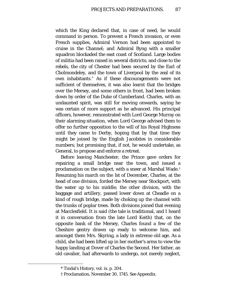which the King declared that, in case of need, he would command in person. To prevent a French invasion, or even French supplies, Admiral Vernon had been appointed to cruise in the Channel; and Admiral Byng with a smaller squadron blockaded the east coast of Scotland. Large bodies of militia had been raised in several districts; and close to the rebels, the city of Chester had been secured by the Earl of Cholmondeley, and the town of Liverpool by the zeal of its own inhabitants.[\\*](#page-86-0) As if these discouragements were not sufficient of themselves, it was also learnt that the bridges over the Mersey, and some others in front, had been broken down by order of the Duke of Cumberland. Charles, with an undaunted spirit, was still for moving onwards, saying he was certain of more support as he advanced. His principal officers, however, remonstrated with Lord George Murray on their alarming situation, when Lord George advised them to offer no further opposition to the will of his Royal Highness until they came to Derby, hoping that by that time they might be joined by the English Jacobites in considerable numbers; but promising that, if not, he would undertake, as General, to propose and enforce a retreat.

Before leaving Manchester, the Prince gave orders for repairing a small bridge near the town, and issued a proclamation on the subject, with a sneer at Marshal Wade.[†](#page-86-1) Resuming his march on the 1st of December, Charles, at the head of one division, forded the Mersey near Stockport, with the water up to his middle; the other division, with the baggage and artillery, passed lower down at Cheadle on a kind of rough bridge, made by choking up the channel with the trunks of poplar trees. Both divisions joined that evening at Macclesfield. It is said (the tale is traditional, and I heard it in conversation from the late Lord Keith) that, on the opposite bank of the Mersey, Charles found a few of the Cheshire gentry drawn up ready to welcome him, and amongst them Mrs. Skyring, a lady in extreme old age. As a child, she had been lifted up in her mother's arms to view the happy landing at Dover of Charles the Second. Her father, an old cavalier, had afterwards to undergo, not merely neglect,

<sup>\*</sup> Tindal's History, vol. ix. p. 204.

<span id="page-86-1"></span><span id="page-86-0"></span><sup>†</sup> Proclamation, November 30, 1745. See Appendix.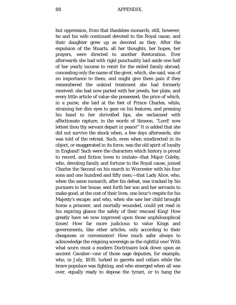but oppression, from that thankless monarch; still, however, he and his wife continued devoted to the Royal cause, and their daughter grew up as devoted as they. After the expulsion of the Stuarts, all her thoughts, her hopes, her prayers, were directed to another Restoration. Ever afterwards she had with rigid punctuality laid aside one half of her yearly income to remit for the exiled family abroad; concealing only the name of the giver, which, she said, was of no importance to them, and might give them pain if they remembered the unkind treatment she had formerly received: she had now parted with her jewels, her plate, and every little article of value she possessed; the price of which, in a purse, she laid at the feet of Prince Charles, while, straining her dim eyes to gaze on his features, and pressing his hand to her shrivelled lips, she exclaimed with affectionate rapture, in the words of Simeon, "Lord! now lettest thou thy servant depart in peace!" It is added that she did not survive the shock when, a few days afterwards, she was told of the retreat. Such, even when misdirected in its object, or exaggerated in its force, was the old spirit of loyalty in England! Such were the characters which history is proud to record, and fiction loves to imitate—that Major Coleby, who, devoting family and fortune to the Royal cause, joined Charles the Second on his march to Worcester with his four sons and one hundred and fifty men;—that Lady Alice, who, when the same monarch, after his defeat, was tracked by his pursuers to her house, sent forth her son and her servants to make good, at the cost of their lives, one hour's respite for his Majesty's escape; and who, when she saw her child brought home a prisoner, and mortally wounded, could yet read in his expiring glance the safety of their rescued King! How greatly have we now improved upon those unphilosophical times! How far more judicious to value Kings and governments, like other articles, only according to their cheapness or convenience! How much safer always to acknowledge the reigning sovereign as the rightful one! With what scorn must a modern Doctrinaire look down upon an ancient Cavalier—one of those sage deputies, for example, who, in July, 1830, lurked in garrets and cellars while the brave populace was fighting, and who emerged when all was over, equally ready to depose the tyrant, or to hang the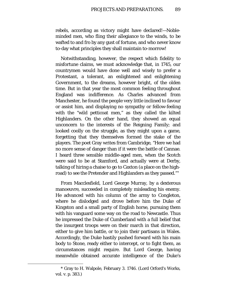rebels, according as victory might have declared!—Nobleminded men, who fling their allegiance to the winds, to be wafted to and fro by any gust of fortune, and who never know to-day what principles they shall maintain to-morrow!

Notwithstanding, however, the respect which fidelity to misfortune claims, we must acknowledge that, in 1745, our countrymen would have done well and wisely to prefer a Protestant, a tolerant, an enlightened and enlightening Government, to the dreams, however bright, of the olden time. But in that year the most common feeling throughout England was indifference. As Charles advanced from Manchester, he found the people very little inclined to favour or assist him, and displaying no sympathy or fellow-feeling with the "wild petticoat men," as they called the kilted Highlanders. On the other hand, they showed an equal unconcern to the interests of the Reigning Family; and looked coolly on the struggle, as they might upon a game, forgetting that they themselves formed the stake of the players. The poet Gray writes from Cambridge, "Here we had no more sense of danger than if it were the battle of Cannae. I heard three sensible middle-aged men, when the Scotch were said to be at Stamford, and actually were at Derby, talking of hiring a chaise to go to Caxton (a place on the highroad) to see the Pretender and Highlanders as they passed."[\\*](#page-88-0)

From Macclesfield, Lord George Murray, by a dexterous manoeuvre, succeeded in completely misleading his enemy. He advanced with his column of the army to Congleton, where he dislodged and drove before him the Duke of Kingston and a small party of English horse, pursuing them with his vanguard some way on the road to Newcastle. Thus he impressed the Duke of Cumberland with a full belief that the insurgent troops were on their march in that direction, either to give him battle, or to join their partisans in Wales. Accordingly, the Duke hastily pushed forward with his main body to Stone, ready either to intercept, or to fight them, as circumstances might require. But Lord George, having meanwhile obtained accurate intelligence of the Duke's

<span id="page-88-0"></span><sup>\*</sup> Gray to H. Walpole, February 3. 1746. (Lord Orford's Works, vol. v. p. 383.)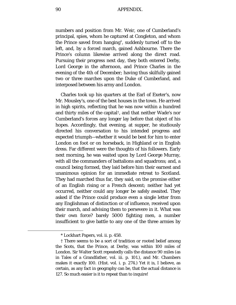90 APPENDIX.

numbers and position from Mr. Weir, one of Cumberland's principal, spies, whom he captured at Congleton, and whom the Prince saved from hanging[\\*](#page-89-0), suddenly turned off to the left, and, by a forced march, gained Ashbourne. There the Prince's column likewise arrived along the direct road. Pursuing their progress next day, they both entered Derby, Lord George in the afternoon, and Prince Charles in the evening of the 4th of December; having thus skilfully gained two or three marches upon the Duke of Cumberland, and interposed between his army and London.

Charles took up his quarters at the Earl of Exeter's, now Mr. Mousley's, one of the best houses in the town. He arrived in high spirits, reflecting that he was now within a hundred and thirty miles of the capital[†,](#page-89-1) and that neither Wade's nor Cumberland's forces any longer lay before that object of his hopes. Accordingly, that evening, at supper, he studiously directed his conversation to his intended progress and expected triumph—whether it would be best for him to enter London on foot or on horseback, in Highland or in English dress. Far different were the thoughts of his followers. Early next morning, he was waited upon by Lord George Murray, with all the commanders of battalions and squadrons; and, a council being formed, they laid before him their earnest and unanimous opinion for an immediate retreat to Scotland. They had marched thus far, they said, on the promise either of an English rising or a French descent; neither had yet occurred, neither could any longer be safely awaited. They asked if the Prince could produce even a single letter from any Englishman of distinction or of influence, received upon their march, and advising them to persevere in it. What was their own force? barely 5000 fighting men, a number insufficient to give battle to any one of the three armies by

<sup>\*</sup> Lockhart Papers, vol. ii. p. 458.

<span id="page-89-1"></span><span id="page-89-0"></span><sup>†</sup> There seems to be a sort of tradition or rooted belief among the Scots, that the Prince, at Derby, was within 100 miles of London. Sir Walter Scott repeatedly calls the distance 90 miles (as in Tales of a Grandfather, vol. iii. p. 101.), and Mr. Chambers makes it exactly 100. (Hist. vol. i. p. 274.) Yet it is, I believe, as certain, as any fact in geography can be, that the actual distance is 127. So much easier is it to repeat than to inquire!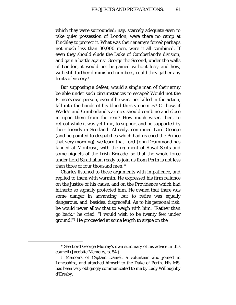which they were surrounded; nay, scarcely adequate even to take quiet possession of London, were there no camp at Finchley to protect it. What was their enemy's force? perhaps not much less than 30,000 men, were it all combined. If even they should elude the Duke of Cumberland's division, and gain a battle against George the Second, under the walls of London, it would not be gained without loss; and how, with still further diminished numbers, could they gather any fruits of victory?

But supposing a defeat, would a single man of their army be able under such circumstances to escape? Would not the Prince's own person, even if he were not killed in the action, fall into the hands of his blood-thirsty enemies? Or how, if Wade's and Cumberland's armies should combine and close in upon them from the rear? How much wiser, then, to retreat while it was yet time, to support and be supported by their friends in Scotland! Already, continued Lord George (and he pointed to despatches which had reached the Prince that very morning), we learn that Lord John Drummond has landed at Montrose, with the regiment of Royal Scots and some piquets of the Irish Brigade, so that the whole force under Lord Strathallan ready to join us from Perth is not less than three or four thousand men.[\\*](#page-90-0)

Charles listened to these arguments with impatience, and replied to them with warmth. He expressed his firm reliance on the justice of his cause, and on the Providence which had hitherto so signally protected him. He owned that there was some danger in advancing, but to retire was equally dangerous, and, besides, disgraceful. As to his personal risk, he would never allow that to weigh with him. "Rather than go back," he cried, "I would wish to be twenty feet under ground!"[†](#page-90-1) He proceeded at some length to argue on the

<span id="page-90-0"></span><sup>\*</sup> See Lord George Murray's own summary of his advice in this council (Jacobite Memoirs, p. 54.)

<span id="page-90-1"></span><sup>†</sup> Memoirs of Captain Daniel, a volunteer who joined in Lancashire, and attached himself to the Duke of Perth. His MS. has been very obligingly communicated to me by Lady Willoughby d'Eresby.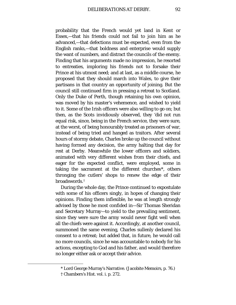probability that the French would yet land in Kent or Essex,—that his friends could not fail to join him as he advanced,—that defections must be expected, even from the English ranks,—that boldness and enterprise would supply the want of numbers, and distract the councils of the enemy. Finding that his arguments made no impression, he resorted to entreaties, imploring his friends not to forsake their Prince at his utmost need; and at last, as a middle course, he proposed that they should march into Wales, to give their partisans in that country an opportunity of joining. But the council still continued firm in pressing a retreat to Scotland. Only the Duke of Perth, though retaining his own opinion, was moved by his master's vehemence, and wished to yield to it. Some of the Irish officers were also willing to go on; but then, as the Scots invidiously observed, they 'did not run equal risk, since, being in the French service, they were sure, at the worst, of being honourably treated as prisoners of war, instead of being tried and hanged as traitors. After several hours of stormy debate, Charles broke up the council without having formed any decision, the army halting that day for rest at Derby. Meanwhile the lower officers and soldiers, animated with very different wishes from their chiefs, and eager for the expected conflict, were employed, some in taking the sacrament at the different churches[\\*,](#page-91-0) others thronging the cutlers' shops to renew the edge of their broadswords.[†](#page-91-1)

During the whole day, the Prince continued to expostulate with some of his officers singly, in hopes of changing their opinions. Finding them inflexible, he was at length strongly advised by those he most confided in—Sir Thomas Sheridan and Secretary Murray—to yield to the prevailing sentiment, since they were sure the army would never fight well when all the chiefs were against it. Accordingly, at another council, summoned the same evening, Charles sullenly declared his consent to a retreat; but added that, in future, he would call no more councils, since he was accountable to nobody for his actions, excepting to God and his father, and would therefore no longer either ask or accept their advice.

<sup>\*</sup> Lord George Murray's Narrative. (Jacobite Memoirs, p. 76.)

<span id="page-91-1"></span><span id="page-91-0"></span><sup>†</sup> Chambers's Hist. vol. i. p. 272.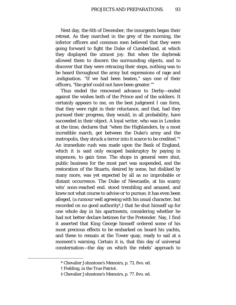Next day, the 6th of December, the insurgents began their retreat. As they marched in the grey of the morning, the inferior officers and common men believed that they were going forward to fight the Duke of Cumberland, at which they displayed the utmost joy. But when the daybreak allowed them to discern the surrounding objects, and to discover that they were retracing their steps, nothing was to be heard throughout the army but expressions of rage and .indignation. "If we had been beaten," says one of their officers, "the grief could not have been greater."[\\*](#page-92-0)

Thus ended the renowned advance to Derby—ended against the wishes both of the Prince and of the soldiers. It certainly appears to me, on the best judgment I can form, that they were right in their reluctance, and that, had they pursued their progress, they would, in all probability, have succeeded in their object. A loyal writer, who was in London at the time, declares that "when the Highlanders, by a most incredible march, got between the Duke's army and the metropolis, they struck a terror into it scarce to be credited."[†](#page-92-1) An immediate rush was made upon the Bank of England, which it is said only escaped bankruptcy by paying in sixpences, to gain time. The shops in general were shut, public business for the most part was suspended, and the restoration of the Stuarts, desired by some, but disliked by many more, was yet expected by all as no improbable or distant occurrence. The Duke of Newcastle, at his scanty wits' soon-reached end. stood trembling and amazed, and knew not what course to advise or to pursue; it has even been alleged, (a rumour well agreeing with his usual character, but recorded on no good authority[‡](#page-92-2),) that he shut himself up for one whole day in his apartments, considering whether he had not better declare betimes for the Pretender. Nay, I find it asserted that King George himself ordered some of his most precious effects to be embarked on board his yachts, and these to remain at the Tower quay, ready to sail at a moment's warning. Certain it is, that this day of universal consternation—the day on which the rebels' approach to

<span id="page-92-2"></span><span id="page-92-1"></span><span id="page-92-0"></span>ī

<sup>\*</sup> Chevalier Johnstone's Memoirs, p. 73, 8vo. ed.

<sup>†</sup> Fielding, in the True Patriot.

<sup>‡</sup> Chevalier Johnstone's Memoirs, p. 77. 8vo. ed.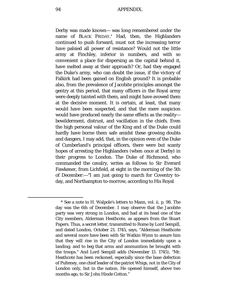Derby was made known— was long remembered under the name of BLACK FRIDAY.[\\*](#page-93-0) Had, then, the Highlanders continued to push forward, must not the increasing terror have palsied all power of resistance? Would not the little army at Finchley, inferior in numbers, and with so convenient a place for dispersing as the capital behind it, have melted away at their approach? Or, had they engaged the Duke's army, who can doubt the issue, if the victory of Falkirk had been gained on English ground? It is probable also, from the prevalence of Jacobite principles amongst the gentry at this period, that many officers in the Royal army were deeply tainted with them, and might have avowed them at the decisive moment. It is certain, at least, that many would have been suspected, and that the mere suspicion would have produced nearly the same effects as the reality bewilderment, distrust, and vacillation in the chiefs. Even the high personal valour of the King and of the Duke could hardly have borne them safe amidst these growing doubts and dangers, I may add, that, in the opinion even of the Duke of Cumberland's principal officers, there were but scanty hopes of arresting the Highlanders (when once at Derby) in their progress to London. The Duke of Richmond, who commanded the cavalry, writes as follows to Sir Everard Fawkener, from Lichfield, at eight in the morning of the 5th of December:—"I am just going to march for Coventry today, and Northampton to-morrow, according to His Royal

<span id="page-93-0"></span><sup>\*</sup> See a note to H. Walpole's letters to Mann, vol. ii. p. 98. The day was the 6th of December. I may observe that the Jacobite party was very strong in London, and had at its head one of the City members, Alderman Heathcote, as appears from the Stuart Papers. Thus, a secret letter, transmitted to Rome by Lord Sempill, and dated London, October 21. 1745, says, "Alderman Heathcote and several more have been with Sir Watkin Wynn to assure him that they will rise in the City of London immediately upon a landing; and to beg that arms and ammunition be brought with the troops." And Lord Sempill adds (November 13. 1745), "Mr. Heathcote has been reckoned, especially since the base defection of Pulteney, one chief leader of the patriot Whigs, not in the City of London only, but in the nation. He opened himself, above two months ago, to Sir John Hinde Cotton."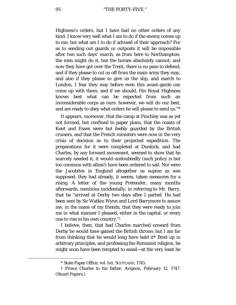95 "THE FORTY-FIVE."

Highness's orders, but I have had no other orders of any kind. I know very well what I am to do if the enemy comes up to me, but what am I to do if advised of their approach? For as to sending out guards or outposts it will be impossible after two such days' march, as from here to Northampton: the men might do it, but the horses absolutely cannot; and now they have got over the Trent, there is no pass to defend; and if they please to cut us off from the main army they may, and also if they please to give us the slip, and march to London, I fear they may before even this avant-garde can come up with them; and if we should, His Royal Highness knows best what can be expected from such an inconsiderable corps as ours: however, we will do our best, and are ready to obey what orders he will please to send us."[\\*](#page-94-0)

It appears, moreover, that the camp at Finchley was as yet not formed, but confined to paper plans, that the coasts of Kent and Essex were but feebly guarded by the British cruisers, and that the French ministers were now in the very crisis of decision as to their projected expedition. The preparations for it were completed at Dunkirk; and had Charles, by any forward movement, seemed to show that he scarcely needed it, it would undoubtedly (such policy is but too common with allies!) have been ordered to sail. Nor were the Jacobites in England altogether as supine as was supposed; they had already, it seems, taken measures for a rising. A letter of the young Pretender, many months afterwards, mentions incidentally, in referring to Mr. Barry, that he "arrived at Derby two days after I parted. He had been sent by Sir Watkin Wynn and Lord Barrymore to assure me, in the name of my friends, that they were ready to join me in what manner I pleased, either in the capital, or every one to rise in his own country."[†](#page-94-1)

I believe, then, that had Charles marched onward from Derby he would have gained the British throne; but I am far from thinking that he would long have held it\* Bred up in arbitrary principles, and professing the Romanist religion, he might soon have been tempted to assail—at the very least he

<span id="page-94-1"></span><span id="page-94-0"></span>ī

<sup>\*</sup> State Paper Office, vol. lvii. SCOTLAND, 1745.

<sup>†</sup> Prince Charles to his father; Avignon, February 12. 1747. (Stuart Papers.)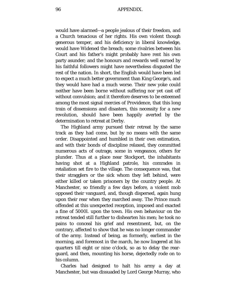would have alarmed—a people jealous of their freedom, and a Church tenacious of her rights. His own violent though generous temper, and his deficiency in liberal knowledge, would have Widened the breach; some rivalries between his Court and his father's might probably have rent his own party asunder; and the honours and rewards well earned by his faithful followers might have nevertheless disgusted the rest of the nation. In short, the English would have been led to expect a much better government than King George's, and they would have had a much worse. Their new yoke could neither have been borne without suffering nor yet cast off without convulsion; and it therefore deserves to be esteemed among the most signal mercies of Providence, that this long train of dissensions and disasters, this necessity for a new revolution, should have been happily averted by the determination to retreat at Derby.

The Highland army pursued their retreat by the same track as they had come, but by no means with the same order. Disappointed and humbled in their own estimation, and with their bonds of discipline relaxed, they committed numerous acts of outrage, some in vengeance, others for plunder. Thus at a place near Stockport, the inhabitants having shot at a Highland patrole, his comrades in retaliation set fire to the village. The consequence was, that their stragglers or the sick whom they left behind, were either killed or taken prisoners by the country people. At Manchester, so friendly a few days before, a violent mob opposed their vanguard, and, though dispersed, again hung upon their rear when they marched away. The Prince much offended at this unexpected reception, imposed and exacted a fine of 5000*l.* upon the town. His own behaviour on the retreat tended still further to dishearten his men; he took no pains to conceal his grief and resentment, but, on the contrary, affected to show that he was no longer commander of the army. Instead of being, as formerly, earliest in the morning, and foremost in the march, he now lingered at his quarters till eight or nine o'clock, so as to delay the rearguard, and then, mounting his horse, dejectedly rode on to his column.

Charles had designed to halt his army a day at Manchester, but was dissuaded by Lord George Murray, who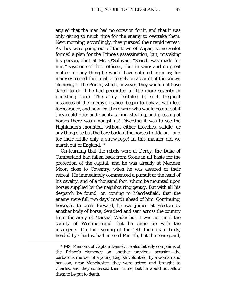argued that the men had no occasion for it, and that it was only giving so much time for the enemy to overtake them. Next morning, accordingly, they pursued their rapid retreat. As they were going out of the town of Wigan, some zealot formed a plan for the Prince's assassination; but, mistaking his person, shot at Mr. O'Sullivan. *"*Search was made for him," says one of their officers, "but in vain: and no great matter for any thing he would have suffered from us; for many exercised their malice merely on account of the known clemency of the Prince, which, however, they would not have dared to do if he had permitted a little more severity in punishing them. The army, irritated by such frequent instances of the enemy's malice, began to behave with less forbearance, and now few there were who would go on foot if they could ride; and mighty taking, stealing, and pressing of horses there was amongst us! Diverting it was to see the Highlanders mounted, without either breeches, saddle, or any thing else but the bare back of the horses to ride on—and for their bridle only a straw-rope! In this manner did we march out of England."[\\*](#page-96-0)

On learning that the rebels were at Derby, the Duke of Cumberland had fallen back from Stone in all haste for the protection of the capital; and he was already at Meriden Moor, close to Coventry, when he was assured of their retreat. He immediately commenced a pursuit at the head of his cavalry, and of a thousand foot, whom he mounted upon horses supplied by the neighbouring gentry. But with all his despatch he found, on coming to Macclesfield, that the enemy were full two days' march ahead of him. Continuing, however, to press forward, he was joined at Preston by another body of horse, detached and sent across the country from the army of Marshal Wade; but it was not until the county of Westmoreland that he came up with the insurgents. On the evening of the 17th their main body, headed by Charles, had entered Penrith, but the rear-guard,

<span id="page-96-0"></span><sup>\*</sup> MS. Memoirs of Captain Daniel. He also bitterly complains of the Prince's clemency on another previous occasion—the barbarous murder of a young English volunteer, by a woman and her son, near Manchester: they were seized and brought to Charles, and they confessed their crime; but he would not allow them to be put to death.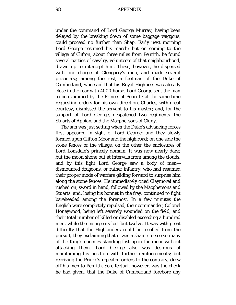under the command of Lord George Murray, having been delayed by the breaking down of some baggage waggons, could proceed no further than Shap. Early next morning Lord George resumed his march; but on coming to the village of Clifton, about three miles from Penrith, he found several parties of cavalry, volunteers of that neighbourhood, drawn up to intercept him. These, however, he dispersed with one charge of Glengarry's men, and made several prisoners,; among the rest, a footman of the Duke of Cumberland, who said that his Royal Highness was already close in the rear with 4000 horse. Lord George sent the man to be examined by the Prince, at Penrith; at the same time requesting orders for his own direction. Charles, with great courtesy, dismissed the servant to his master; and, for the support of Lord George, despatched two regiments—the Stuarts of Appian, and the Macphersons of Cluny.

The sun was just setting when the Duke's advancing forces first appeared in sight of Lord George; and they slowly formed upon Clifton Moor and the high road; on one side the stone fences of the village, on the other the enclosures of Lord Lonsdale's princely domain. It was now nearly dark; but the moon shone out at intervals from among the clouds, and by this light Lord George saw a body of men dismounted dragoons, or rather infantry, who had resumed their proper mode of warfare gliding forward to surprise him along the stone fences. He immediately cried Claymore! and rushed on, sword in hand, followed by the Macphersons and Stuarts; and, losing his bonnet in the fray, continued to fight bareheaded among the foremost. In a few minutes the English were completely repulsed, their commander, Colonel Honeywood, being left severely wounded on the field, and their total number of killed or disabled exceeding a hundred men, while the insurgents lost but twelve. It was with great difficulty that the Highlanders could be recalled from the pursuit, they exclaiming that it was a shame to see so many of the King's enemies standing fast upon the moor without attacking them. Lord George also was desirous of maintaining his position with further reinforcements; but receiving the Prince's repeated orders to the contrary, drew off his men to Penrith. So effectual, however, was the check he had given, that the Duke of Cumberland forebore any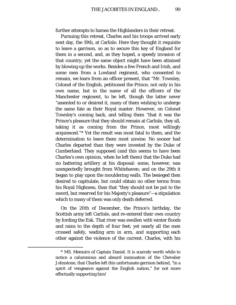further attempts to harass the Highlanders in their retreat.

Pursuing this retreat, Charles and his troops arrived early next day, the 19th, at Carlisle. Here they thought it requisite to leave a garrison, so as to secure this key of England for them in a second, and, as they hoped, a speedy invasion of that country; yet the same object might have been attained by blowing up the works. Besides a few French and Irish, and some men from a Lowland regiment, who consented to remain, we learn from an officer present, that "Mr. Townley, Colonel of the English, petitioned the Prince, not only in his own name, but in the name of all the officers of the Manchester regiment, to be left, though the latter never "assented to or desired it, many of them wishing to undergo the same fate as their Royal master. However, on Colonel Townley's coming back, and telling them "that it was the Prince's pleasure that they should remain at Carlisle, they all, taking it as coming from the Prince, most willingly acquiesced."[\\*](#page-98-0) Yet the result was most fatal to them, and the determination to leave them most unwise. No sooner had Charles departed than they were invested by the Duke of Cumberland. They supposed (and this seems to have been Charles's own opinion, when he left them) that the Duke had no battering artillery at his disposal: some, however, was unexpectedly brought from Whitehaven; and on the 29th it began to play upon the mouldering walls. The besieged then desired to capitulate, but could obtain no other terms from his Royal Highness, than that "they should not be put to the sword, but reserved for his Majesty's pleasure"—a stipulation which to many of them was only death deferred.

On the 20th of December, the Prince's birthday, the Scottish army left Carlisle, and re-entered their own country by fording the Esk. That river was swollen with winter floods and rains to the depth of four feet; yet nearly all the men crossed safely, wading arm in arm, and supporting each other against the violence of the current. Charles, with his

<span id="page-98-0"></span><sup>\*</sup> MS. Memoirs of Captain Daniel. It is scarcely worth while to notice a calumnious and absurd insinuation of the Chevalier Johnstone, that Charles left this unfortunate garrison behind, "in a spirit of vengeance against the English nation," for not more effectually supporting him!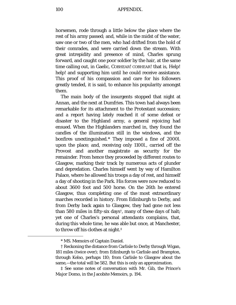horsemen, rode through a little below the place where the rest of his army passed; and, while in the midst of the water, saw one or two of the men, who had drifted from the hold of their comrades, and were carried down the stream. With great intrepidity and presence of mind, Charles sprung forward, and caught one poor soldier by the hair, at the same time calling out, in Gaelic, COBHEAR! COBHEAR! that is, Help! help! and supporting him until he could receive assistance. This proof of his compassion and care for his followers greatly tended, it is said, to enhance his popularity amongst them.

The main body of the insurgents stopped that night at Annan, and the next at Dumfries. This town had always been remarkable for its attachment to the Protestant succession; and a report having lately reached it of some defeat or disaster to the Highland army, a general rejoicing had ensued. When the Highlanders marched in, they found the candles of the illumination still in the windows, and the bonfires unextinguished.[\\*](#page-99-0) They imposed a fine of 2000*l*. upon the place; and, receiving only 1100*l*., carried off the Provost and another magistrate as security for the remainder. From hence they proceeded by different routes to Glasgow, marking their track by numerous acts of plunder and depredation. Charles himself went by way of Hamilton Palace, where he allowed his troops a day of rest, and himself a day of shooting in the Park. His forces were now reduced to about 3600 foot and 500 horse. On the 26th he entered Glasgow, thus completing one of the most extraordinary marches recorded in history. From Edinburgh to Derby, and from Derby back again to Glasgow, they had gone not less than 580 miles in fifty-six days[†,](#page-99-1) many of these days of halt; yet one of Charles's personal attendants complains, that, during this whole time, he was able but once, at Manchester, to throw off his clothes at night[.‡](#page-99-2)

<sup>\*</sup> MS. Memoirs of Captain Daniel.

<span id="page-99-1"></span><span id="page-99-0"></span><sup>†</sup> Reckoning the distance from Carlisle to Derby through Wigan, 181 miles (twice over); from Edinburgh to Carlisle and Brampton, through Kelso, perhaps 110; from Carlisle to Glasgow about the same,—the total will be 582. But this is only an approximation.

<span id="page-99-2"></span><sup>‡</sup> See some notes of conversation with Mr. Gib, the Prince's *Major Domo,* in the Jacobite Memoirs, p. 194.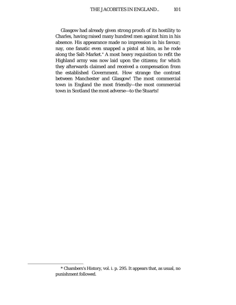Glasgow had already given strong proofs of its hostility to Charles, having raised many hundred men against him in his absence. His appearance made no impression in his favour; nay, one fanatic even snapped a pistol at him, as he rode along the Salt-Market.[\\*](#page-100-0) A most heavy requisition to refit the Highland army was now laid upon the citizens; for which they afterwards claimed and received a compensation from the established Government. How strange the contrast between Manchester and Glasgow! The most commercial town in England the most friendly—the most commercial town in Scotland the most adverse—to the Stuarts!

<span id="page-100-0"></span><sup>\*</sup> Chambers's History, vol. i. p. 295. It appears that, as usual, no punishment followed.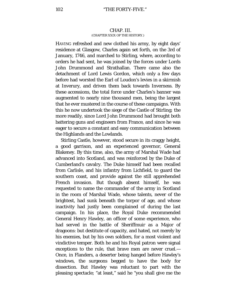## CHAP. III. (CHAPTER XXIX OP THE HISTORY.)

HAVING refreshed and new clothed his army, by eight days' residence at Glasgow, Charles again set forth, on the 3rd of January, 1746, and marched to Stirling, where, according to orders he had sent, he was joined by the forces under Lords John Drummond and Strathallan. There came also the detachment of Lord Lewis Gordon, which only a few days before had worsted the Earl of Loudon's levies in a skirmish at Inverury, and driven them back towards Inverness. By these accessions, the total force under Charles's banner was augmented to nearly nine thousand men, being the largest that he ever mustered in the course of these campaigns. With this he now undertook the siege of the Castle of Stirling; the more readily, since Lord John Drummond had brought both battering guns and engineers from France, and since he was eager to secure a constant and easy communication between the Highlands and the Lowlands.

Stirling Castle, however, stood secure in its craggy height, a good garrison, and an experienced governor, General Blakeney. By this time, also, the army of Marshal Wade had advanced into Scotland, and was reinforced by the Duke of Cumberland's cavalry. The Duke himself had been recalled from Carlisle, and his infantry from Lichfield, to guard the southern coast, and provide against the still apprehended French invasion. But though absent himself, he was requested to name the commander of the army in Scotland in the room of Marshal Wade, whose talents, never of the brightest, had sunk beneath the torpor of age, and whose inactivity had justly been complained of during the last campaign. In his place, the Royal Duke recommended General Henry Hawley, an officer of some experience, who had served in the battle of Sheriffmuir as a Major of dragoons: but destitute of capacity, and hated, not merely by his enemies, but by his own soldiers, for a most violent and vindictive temper. Both he and his Royal patron were signal exceptions to the rule, that brave men are never cruel.— Once, in Flanders, a deserter being hanged before Hawley's windows, the surgeons begged to have the body for dissection. But Hawley was reluctant to part with the pleasing spectacle; "at least," said he "you shall give me the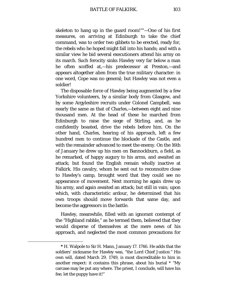skeleton to hang up in the guard room!"[\\*—](#page-102-0)One of his first measures, on arriving at Edinburgh to take the chief command, was to order two gibbets to be erected, ready for, the rebels who he hoped might fall into his hands; and with a similar view he bid several executioners attend his army on its march. Such ferocity sinks Hawley very far below a man he often scoffed at,—his predecessor at Preston,—and appears altogether alien from the true military character: in one word, Cope was no general; but Hawley was not even a soldier!

The disposable force of Hawley being augmented by a few Yorkshire volunteers, by a similar body from Glasgow, and by some Argyleshire recruits under Colonel Campbell, was nearly the same as that of Charles,—between eight and nine thousand men. At the head of these he marched from Edinburgh to raise the siege of Stirling, and, as he confidently boasted, drive the rebels before him. On the other hand, Charles, hearing of his approach, left a few hundred men to continue the blockade of the Castle, and with the remainder advanced to meet the enemy. On the 16th of January he drew up his men on Bannockburn, a field, as he remarked, of happy augury to his arms, and awaited an attack; but found the English remain wholly inactive at Falkirk. His cavalry, whom he sent out to reconnoitre close to Hawley's camp, brought word that they could see no appearance of movement. Next morning he again drew up his army, and again awaited an attack; but still in vain; upon which, with characteristic ardour, he determined that his own troops should move forwards that same day, and become the aggressors in the battle.

Hawley, meanwhile, filled with an ignorant contempt of the "Highland rabble," as he termed them, believed that they would disperse of themselves at the mere news of his approach, and neglected the most common precautions for

<span id="page-102-0"></span>**<sup>\*</sup>** H. Walpole to Sir H. Mann, January 17. 1746. He adds that the soldiers' nickname for Hawley was, "the Lord Chief Justice." His own will, dated March 29. 1749, is most discreditable to him in another respect: it contains this phrase, about his burial \* "My carcase may be put any where. The priest, I conclude, will have his fee; let the puppy have it!"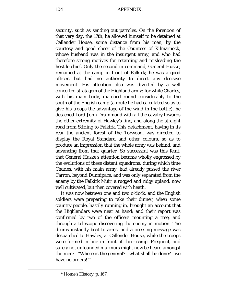104 APPENDIX.

security, such as sending out patroles. On the forenoon of that very day, the 17th, he allowed himself to be detained at Callender House, some distance from his men, by the courtesy and good cheer of the Countess of Kilmarnock, whose husband was in the insurgent army, and who had therefore strong motives for retarding and misleading the hostile chief. Only the second in command, General Huske, remained at the camp in front of Falkirk; he was a good officer, but had no authority to direct any decisive movement. His attention also was diverted by a well concerted stratagem of the Highland army: for while Charles, with his main body, marched round considerably to the south of the English camp (a route he had calculated so as to give his troops the advantage of the wind in the battle), he detached Lord John Drummond with all the cavalry towards the other extremity of Hawley's line, and along the straight road from Stirling to Falkirk. This detachment, having in its rear the ancient forest of the Torwood, was directed to display the Royal Standard and other colours, so as to produce an impression that the whole army was behind, and advancing from that quarter. So successful was this feint, that General Huske's attention became wholly engrossed by the evolutions of these distant squadrons; during which time Charles, with his main army, had already passed the river Carron, beyond Dunnipace, and was only separated from the enemy by the Falkirk Muir, a rugged and ridgy upland, now well cultivated, but then covered with heath.

It was now between one and two o'clock, and the English soldiers were preparing to take their dinner, when some country people, hastily running in, brought an account that the Highlanders were near at hand; and their report was confirmed by two of the officers mounting a tree, and through a telescope discovering the enemy in motion. The drums instantly beat to arms, and a pressing message was despatched to Hawley, at Callender House, while the troops were formed in line in front of their camp. Frequent, and surely not unfounded murmurs might now be heard amongst the men:—"Where is the general?—what shall be done?—we have no orders!"[\\*](#page-103-0)

<span id="page-103-0"></span>**<sup>\*</sup>** Home's History, p. 167.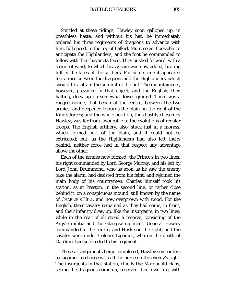Startled at these tidings, Hawley soon galloped up, in breathless haste, and without his hat; he immediately ordered his three regiments of dragoons to advance with him, full speed, to the top of Falkirk Muir, so as if possible to anticipate the Highlanders; and the foot he commanded to follow with their bayonets fixed. They pushed forward, with a storm of wind, to which heavy rain was now added, beating full in the faces of the soldiers. For some time it appeared like a race between the dragoons and the Highlanders, which should first attain the summit of the hill. The mountaineers, however, prevailed in that object; and the English, then halting, drew up on somewhat lower ground. There was a rugged ravine, that began at the centre, between the two armies, and deepened towards the plain on the right of the King's forces; and the whole position, thus hastily chosen by Hawley, was far from favourable to the evolutions of regular troops. The English artillery, also, stuck fast in a morass, which formed part of the plain, and it could not be extricated; but, as the Highlanders had also left theirs behind, neither force had in that respect any advantage above the other.

Each of the armies now formed; the Prince's in two lines; his right commanded by Lord George Murray, and his left by Lord John Drummond, who as soon as he saw the enemy take the alarm, had desisted from his feint, and rejoined the main body of his countrymen. Charles himself took his station, as at Preston, in the second line, or rather close behind it, on a conspicuous mound, still known by the name of CHARLIE'S HILL, and now overgrown with wood. For the English, their cavalry remained as they had come, in front, and their infantry drew up, like the insurgents, in two lines; while in the rear of all stood a reserve, consisting of the Argyle militia and the Glasgow regiment. General Hawley commanded in the centre, and Huske on the right; and the cavalry were under Colonel Ligonier, who on the death of Gardiner had succeeded to his regiment.

These arrangements being completed, Hawley sent orders to Ligonier to charge with all the horse on the enemy's right. The insurgents in that station, chiefly the Macdonald clans, seeing the dragoons come on, reserved their own fire, with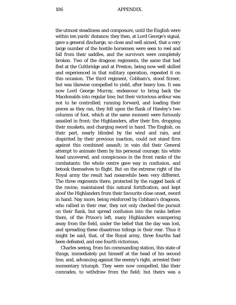the utmost steadiness and composure, until the English were within ten yards' distance; they then, at Lord George's signal, gave a general discharge, so close and well aimed, that a very large number of the hostile horsemen were seen to reel and fall from their saddles, and the survivors were completely broken. Two of the dragoon regiments, the same that had fled at the Coltbridge and at Preston, being now well skilled and experienced in that military operation, repeated it on this occasion. The third regiment, Cobham's, stood firmer, but was likewise compelled to yield, after heavy loss. It was now Lord George Murray, endeavour to bring back the Macdonalds into regular line; but their victorious ardour was not to be controlled; running forward, and loading their pieces as they ran, they fell upon the flank of Hawley's two columns of foot, which at the same moment were furiously assailed in front; the Highlanders, after their fire, dropping their muskets, and charging sword in hand. The English, on their part, nearly blinded by the wind and rain, and dispirited by their previous inaction, could not stand firm against this combined assault; in vain did their General attempt to animate them by his personal courage; his white head uncovered, and conspicuous in the front ranks of the combatants: the whole centre gave way in confusion, and betook themselves to flight. But on the extreme right of the Royal army the result had meanwhile been very different. The three regiments there, protected by the rugged bank of the ravine, maintained this natural fortification, and kept aloof the Highlanders from their favourite close onset, sword in hand. Nay more, being reinforced by Cobham's dragoons, who rallied in their rear, they not only checked the pursuit on their flank, but spread confusion into the ranks before them, of the Prince's left, many Highlanders scampering away from the field, under the belief that the day was lost, and spreading these disastrous tidings in their rear. Thus it might be said, that, of the Royal army, three fourths had been defeated, and one fourth victorious.

Charles seeing, from his commanding station, this state of things, immediately put himself at the head of his second line, and, advancing against the enemy's right, arrested their momentary triumph. They were now compelled, like their comrades, to withdraw from the field; but theirs was a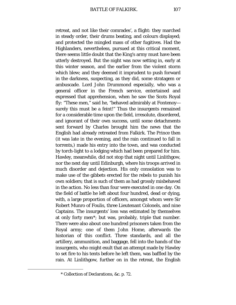retreat, and not like their comrades', a flight: they marched in steady order, their drums beating, and colours displayed; and protected the mingled mass of other fugitives. Had the Highlanders, nevertheless, pursued at this critical moment, there seems little doubt that the King's army must have been utterly destroyed. But the night was now setting in, early at this winter season, and the earlier from the violent storm which blew; and they deemed it imprudent to push forward in the darkness, suspecting, as they did, some stratagem or ambuscade. Lord John Drummond especially, who was a general officer in the French service, entertained and expressed that apprehension, when he saw the Scots Royal fly: "These men," said he, "behaved admirably at Fontenoy surely this must be a feint!" Thus the insurgents remained for a considerable time upon the field, irresolute, disordered, and ignorant of their own success, until some detachments sent forward by Charles brought him the news that the English had already retreated from Falkirk. The Prince then (it was late in the evening, and the rain continued to fall in torrents,) made his entry into the town, and was conducted by torch-light to a lodging which had been prepared for him. Hawley, meanwhile, did not stop that night until Linlithgow, nor the next day until Edinburgh, where his troops arrived in much disorder and dejection. His only consolation was to make use of the gibbets erected for the rebels to punish his own soldiers; that is such of them as had grossly misbehaved in the action. No less than four were executed in one day. On the field of battle he left about four hundred, dead or dying, with, a large proportion of officers, amongst whom were Sir Robert Munro of Foulis, three Lieutenant Colonels, and nine Captains. The insurgents' loss was estimated by themselves at only forty men[\\*](#page-106-0); but was, probably, triple that number. There were also about one hundred prisoners taken from the Royal army; one of them John Home, afterwards the historian of this conflict. Three standards, and all the artillery, ammunition, and baggage, fell into the hands of the insurgents, who might exult that an attempt made by Hawley to set fire to his tents before he left them, was baffled by the rain. At Linlithgow, further on in the retreat, the English

<span id="page-106-0"></span><sup>\*</sup> Collection of Declarations, &c. p. 72.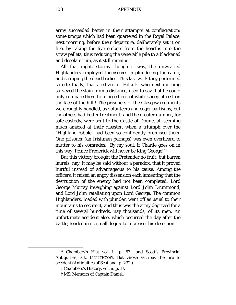army succeeded better in their attempts at conflagration: some troops which had been quartered in the Royal Palace, next morning, before their departure, deliberately set it on fire, by raking the live embers from the hearths into the straw pallets, thus reducing the venerable pile to a blackened and desolate ruin, as it still remains.[\\*](#page-107-0)

All that night, stormy though it was, the unwearied Highlanders employed themselves in plundering the camp, and stripping the dead bodies. This last work they performed so effectually, that a citizen of Falkirk, who next morning surveyed the slain from a distance, used to say that he could only compare them to a large flock of white sheep at rest on the face of the hill.[†](#page-107-1) The prisoners of the Glasgow regiments were roughly handled, as volunteers and eager partisans, but the others had better treatment; and the greater number, for safe custody, were sent to the Castle of Doune, all seeming much amazed at their disaster, when a triumph over the "Highland rabble" had been so confidently promised them. One prisoner (an Irishman perhaps) was even overheard to mutter to his comrades, "By my soul, if Charlie goes on in this way, Prince Frederick will never be King George!"[‡](#page-107-2)

But this victory brought the Pretender no fruit, but barren laurels; nay, it may be said without a paradox, that it proved hurtful instead of advantageous to his cause. Among the officers, it raised an angry dissension each lamenting that the destruction of the enemy had not been completed; Lord George Murray inveighing against Lord John Drummond, and Lord John retaliating upon Lord George. The common Highlanders, loaded with plunder, went off as usual to their mountains to secure it; and thus was the army deprived for a time of several hundreds, nay thousands, of its men. An unfortunate accident also, which occurred the day after the battle, tended in no small degree to increase this desertion.

<span id="page-107-2"></span><span id="page-107-1"></span><span id="page-107-0"></span>**<sup>\*</sup>** Chambers's Hist vol. ii. p. 53., and Scott's Provincial Antiquities, art. LINLITHGOW. But Grose ascribes the fire to accident (Antiquities of Scotland, p. 232.)

**<sup>†</sup>** Chambers's History, vol. ii. p. 17.

<sup>‡</sup> MS. Memoirs of Captain Daniel.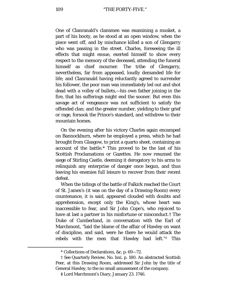One of Clanranald's clansmen was examining a musket, a part of his booty, as he stood at an open window, when the piece went off, and by mischance killed a son of Glengarry who was passing in the street. Charles, foreseeing the ill effects that might ensue, exerted himself to show every respect to the memory of the deceased, attending the funeral himself as chief mourner. The tribe of Glengarry, nevertheless, far from appeased, loudly demanded life for life; and Clanranald having reluctantly agreed to surrender his follower, the poor man was immediately led out and shot dead with a volley of bullets,—his own father joining in the fire, that his sufferings might end the sooner. But even this savage act of vengeance was not sufficient to satisfy the offended clan; and the greater number, yielding to their grief or rage, forsook the Prince's standard, and withdrew to their mountain homes.

On the evening after his victory Charles again encamped on Bannockburn, where he employed a press, which he had brought from Glasgow, to print a quarto sheet, containing an account of the battle.[\\*](#page-108-0) This proved to be the last of his Scottish Proclamations or Gazettes. He now resumed the siege of Stirling Castle, deeming it derogatory to his arms to relinquish any enterprise of danger once begun, and thus leaving his enemies full leisure to recover from their recent defeat.

When the tidings of the battle of Falkirk reached the Court of St. James's (it was on the day of a Drawing-Room) every countenance, it is said, appeared clouded with doubts and apprehension, except only the King's, whose heart was inaccessible to fear, and Sir John Cope's, who rejoiced to have at last a partner in his misfortune or misconduct.[†](#page-108-1) The Duke of Cumberland, in conversation with the Earl of Marchmont, "laid the blame of the affair of Hawley on want of discipline, and said, were he there he would attack the rebels with the men that Hawley had left."[‡](#page-108-2) This

<sup>\*</sup> Collections of Declarations, &c. p. 69—72.

<span id="page-108-2"></span><span id="page-108-1"></span><span id="page-108-0"></span><sup>†</sup> See Quarterly Review, No. lxxi. p. 180. An abstracted Scottish Peer, at this Drawing Room, addressed Sir John by the title of General Hawley, to the no small amusement of the company.

**<sup>‡</sup>** Lord Marchmont's Diary, January 23. 1746.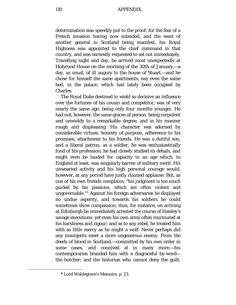determination was speedily put to the proof; for the fear of a French invasion having now subsided, and the want of another general in Scotland being manifest, his Royal Highness was appointed to the chief command in that country, and was earnestly requested to set out immediately. Travelling night and day, he arrived most unexpectedly at Holyrood House on the morning of the 30th of January,—a day, as usual, of ill augury to the house of Stuart,—and he chose for himself the same apartments, nay even the same bed, in the palace, which had lately been occupied by Charles.

The Royal Duke destined to wield so decisive an influence over the fortunes of his cousin and competitor, was of very nearly the same age, being only four months younger. He had not, however, the same graces of person, being corpulent and unwieldy to a remarkable degree, and in his manner rough and displeasing. His character was adorned by considerable virtues; honesty of purpose, adherence to his promises, attachment to his friends. He was a dutiful son, and a liberal patron; as a soldier, he was enthusiastically fond of his profession; he had closely studied its details, and might even be lauded for capacity in an age which, to England at least, was singularly barren of military merit. His unwearied activity and his high personal courage would, however, at any period have justly claimed applause. But, as one of his own friends complains, "his judgment is too much guided by his passions, which are often violent and ungovernable."[\\*](#page-109-0) Against his foreign adversaries he displayed no undue asperity, and towards his soldiers he could sometimes show compassion; thus, for instance, on arriving at Edinburgh be immediately arrested the course of Hawley's savage executions: yet even his own army often murmured at his harshness and rigour; and as to any rebel, he treated him with as little mercy as he might a wolf. Never perhaps did any insurgents meet a more ungenerous enemy. From the deeds of blood in Scotland,—committed by his own order in some cases, and connived at in many more,—his contemporaries branded him with a disgraceful by-word the butcher; and the historian who cannot deny the guilt,

<span id="page-109-0"></span>**<sup>\*</sup>** Lord Waldegrave's Memoirs, p. 23.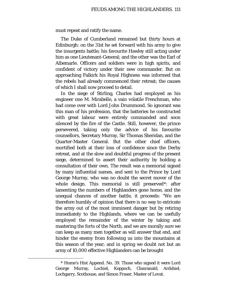must repeat and ratify the name.

The Duke of Cumberland remained but thirty hours at Edinburgh: on the 31st he set forward with his army to give the insurgents battle; his favourite Hawley still acting under him as one Lieutenant-General; and the other was the Earl of Albemarle. Officers and soldiers were in high spirits, and confident of victory under their new commander. But on approaching Falkirk his Royal Highness was informed that the rebels had already commenced their retreat; the causes of which I shall now proceed to detail.

In the siege of Stirling, Charles had employed as his engineer one M. Mirabelle, a vain volatile Frenchman, who had come over with Lord John Drummond. So ignorant was this man of his profession, that the batteries he constructed with great labour were entirely commanded and soon silenced by the fire of the Castle. Still, however, the prince persevered, taking only the advice of his favourite counsellors, Secretary Murray, Sir Thomas Sheridan, and the Quarter-Master General. But the other chief officers, mortified both at their loss of confidence since the Derby retreat, and at the slow and doubtful progress of the present siege, determined to assert their authority by holding a consultation of their own. The result was a memorial signed by many influential names, and sent to the Prince by Lord George Murray, who was no doubt the secret mover of the whole design. This memorial is still preserved[\\*](#page-110-0): after lamenting the numbers of Highlanders gone home, and the unequal chances of another battle, it proceeds: "We are therefore humbly of opinion that there is no way to extricate the army out of the most imminent danger but by retiring immediately to the Highlands, where we can be usefully employed the remainder of the winter by taking and mastering the forts of the North, and we are morally sure we can keep as many men together as will answer that end, and hinder the enemy from following us into the mountains at this season of the year; and in spring we doubt not but an army of 10,000 effective Highlanders can be brought

<span id="page-110-0"></span><sup>\*</sup> Home's Hist Append. No. 39. Those who signed it were Lord George Murray, Lochiel, Keppoch, Clanranald, Ardshiel, Lochgarry, Scothouse, and Simon Fraser, Master of Lovat.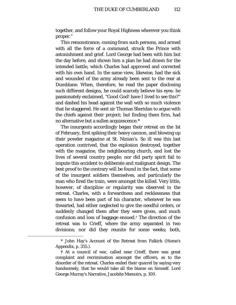together, and follow your Royal Highness wherever you think proper."

This remonstrance, coming from such persons, and armed with all the force of a command, struck the Prince with astonishment and grief. Lord George had been with him but the day before, and shown him a plan he had drawn for the intended battle, which Charles had approved and corrected with his own hand. In the same view, likewise, had the sick and wounded of the army already been sent to the rear at Dumblane. When, therefore, he read the paper disclosing such different designs, he could scarcely believe his eyes: he passionately exclaimed, "Good God! have I lived to see this?" and dashed his head against the wall with so much violence that he staggered. He sent sir Thomas Sheridan to argue with the chiefs against their project; but finding them firm, had no alternative but a sullen acquiescence.[\\*](#page-111-0)

The insurgents accordingly began their retreat on the 1st of February, first spiking their heavy cannon, and blowing up their powder magazine at St. Ninian's. So ill was this last operation contrived, that the explosion destroyed, together with the magazine, the neighbouring church, and lost the lives of several country people; nor did party spirit fail to impute this accident to deliberate and malignant design. The best proof to the contrary will be found in the fact, that some of the insurgent soldiers themselves, and particularly the man who fired the train, were amongst the killed. Very little, however, of discipline or regularity was observed in the retreat. Charles, with a forwardness and recklessness that seem to have been part of his character, whenever he was thwarted, had either neglected to give the needful orders, or suddenly changed them after they were given, and much confusion and loss of baggage ensued.[†](#page-111-1) The direction of the retreat was to Crieff, where the army separated in two divisions; nor did they reunite for some weeks; both,

<span id="page-111-0"></span><sup>\*</sup> John Hay's Account of the Retreat from Falkirk (Home's Appendix, p. 355.).

<span id="page-111-1"></span>**<sup>†</sup>** At a council of war, called near Crieff, there was great complaint and recrimination amongst the officers, as to the disorder of the retreat. Charles ended their quarrel by saying very handsomely, that he would take all the blame on himself. Lord George Murray's Narrative, Jacobite Memoirs, p. 100.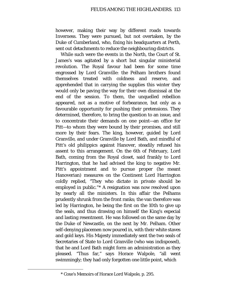however, making their way by different roads towards Inverness. They were pursued, but not overtaken, by the Duke of Cumberland, who, fixing his headquarters at Perth, sent out detachments to reduce the neighbouring districts.

While such were the events in the North, the Court of St. James's was agitated by a short but singular ministerial revolution. The Royal favour had been for some time engrossed by Lord Granville: the Pelham brothers found themselves treated with coldness and reserve, and apprehended that in carrying the supplies this winter they would only be paving the way for their own dismissal at the end of the session. To them, the unquelled rebellion appeared, not as a motive of forbearance, but only as a favourable opportunity for pushing their pretensions. They determined, therefore, to bring the question to an issue, and to concentrate their demands on one point—an office for Pitt—to whom they were bound by their promises, and still more by their fears. The king, however, guided by Lord Granville, and under Granville by Lord Bath, and mindful of Pitt's old philippics against Hanover, steadily refused his assent to this arrangement. On the 6th of February, Lord Bath, coming from the Royal closet, said frankly to Lord Harrington, that he had advised the king to negative Mr. Pitt's appointment and to pursue proper (he meant Hanoverian) measures on the Continent Lord Harrington coldly replied, "They who dictate in private should be employed in public."[\\*](#page-112-0) A resignation was now resolved upon by nearly all the ministers. In this affair the Pelhams prudently shrunk from the front ranks; the van therefore was led by Harrington, he being the first on the 10th to give up the seals, and thus drawing on himself the King's especial and lasting resentment. He was followed on the same day by the Duke of Newcastle, on the next by Mr. Pelham. Other self-denying placemen now poured in, with their white staves and gold keys. His Majesty immediately sent the two seals of Secretaries of State to Lord Granville (who was indisposed), that he and Lord Bath might form an administration as they pleased. "Thus far," says Horace Walpole, "all went swimmingly; they had only forgotten one little point, which

<span id="page-112-0"></span><sup>\*</sup> Coxe's Memoirs of Horace Lord Walpole, p. 295.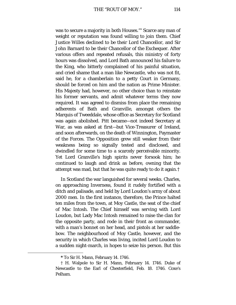was to secure a majority in both Houses."[\\*](#page-113-0) Scarce any man of weight or reputation was found willing to join them. Chief Justice Willes declined to be their Lord Chancellor, and Sir John Barnard to be their Chancellor of the Exchequer. After various offers and repeated refusals, this ministry of forty hours was dissolved, and Lord Bath announced his failure to the King, who bitterly complained of his painful situation, and cried shame that a man like Newcastle, who was not fit, said he, for a chamberlain to a petty Court in Germany, should be forced on him and the nation as Prime Minister. His Majesty had, however, no other choice than to reinstate his former servants, and admit whatever terms they now required. It was agreed to dismiss from place the remaining adherents of Bath and Granville, amongst others the Marquis of Tweeddale, whose office as Secretary for Scotland was again abolished. Pitt became—not indeed Secretary at War, as was asked at first—but Vice-Treasurer of Ireland, and soon afterwards, on the death of Winnington, Paymaster of the Forces. The Opposition grew still weaker from their weakness being so signally tested and disclosed, and dwindled for some time to a scarcely perceivable minority. Yet Lord Granville's high spirits never forsook him; he continued to laugh and drink as before, owning that the attempt was mad, but that he was quite ready to do it again.[†](#page-113-1)

In Scotland the war languished for several weeks. Charles, on approaching Inverness, found it rudely fortified with a ditch and palisade, and held by Lord Loudon's army of about 2000 men. In the first instance, therefore, the Prince halted ten miles from the town, at Moy Castle, the seat of the chief of Mac Intosh. The Chief himself was serving with Lord Loudon, but Lady Mac Intosh remained to raise the clan for the opposite party, and rode in their front as commander, with a man's bonnet on her head, and pistols at her saddlebow. The neighbourhood of Moy Castle, however, and the security in which Charles was living, incited Lord Loudon to a sudden night-march, in hopes to seize his person. But this

**<sup>\*</sup>** To Sir H. Mann, February 14. 1746.

<span id="page-113-1"></span><span id="page-113-0"></span><sup>†</sup> H. Walpole to Sir H. Mann, February 14. 1746. Duke of Newcastle to the Earl of Chesterfield, Feb. 18. 1746. Coxe's Pelham.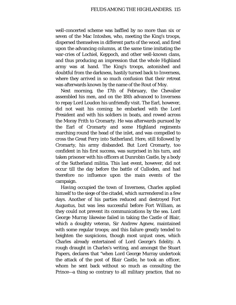well-concerted scheme was baffled by no more than six or seven of the Mac Intoshes, who, meeting the King's troops, dispersed themselves in different parts of the wood, and fired upon the advancing columns, at the same time imitating the war-cries of Lochiel, Keppoch, and other well-known clans, and thus producing an impression that the whole Highland army was at hand. The King's troops, astonished and doubtful from the darkness, hastily turned back to Inverness, where they arrived in so much confusion that their retreat was afterwards known by the name of the Rout of Moy.

Next morning, the 17th of February, the Chevalier assembled his men, and on the 18th advanced to Inverness to repay Lord Loudon his unfriendly visit. The Earl, however, did not wait his coming; he embarked with the Lord President and with his soldiers in boats, and rowed across the Moray Frith to Cromarty. He was afterwards pursued by the Earl of Cromarty and some Highland regiments marching round the head of the inlet, and was compelled to cross the Great Ferry into Sutherland. Here, still followed by Cromarty, his army disbanded. But Lord Cromarty, too confident in his first success, was surprised in his turn, and taken prisoner with his officers at Dunrobin Castle, by a body of the Sutherland militia. This last event, however, did not occur till the day before the battle of Culloden, and had therefore no influence upon the main events of the campaign.

Having occupied the town of Inverness, Charles applied himself to the siege of the citadel, which surrendered in a few days. Another of his parties reduced and destroyed Fort Augustus, but was less successful before Fort William, as they could not prevent its communications by the sea. Lord George Murray likewise failed in taking the Castle of Blair, which a doughty veteran, Sir Andrew Agnew, maintained with some regular troops; and this failure greatly tended to heighten the suspicions, though most unjust ones, which Charles already entertained of Lord George's fidelity. A rough draught in Charles's writing, and amongst the Stuart Papers, declares that *"*when Lord George Murray undertook the attack of the post of Blair Castle, he took an officer, whom he sent back without so much as consulting the Prince—a thing so contrary to all military practice, that no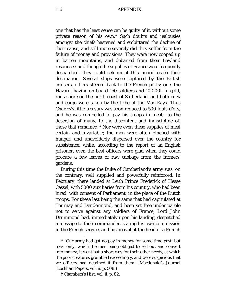one that has the least sense can be guilty of it, without some private reason of his own." Such doubts and jealousies amongst the chiefs hastened and embittered the decline of their cause, and still more severely did they suffer from the failure of money and provisions. They were now cooped up in barren mountains, and debarred from their Lowland resources: and though the supplies of France were frequently despatched, they could seldom at this period reach their destination. Several ships were captured by the British cruisers, others steered back to the French ports: one, the Hazard, having on board 150 soldiers and 10,000*l*. in gold, ran ashore on the north coast of Sutherland, and both crew and cargo were taken by the tribe of the Mac Kays. Thus Charles's little treasury was soon reduced to 500 louis-d'ors, and he was compelled to pay his troops in meal,—to the desertion of many, to the discontent and indiscipline of. those that remained.[\\*](#page-115-0) Nor were even these supplies of meal certain and invariable; the men were often pinched with hunger, and unavoidably dispersed over the country for subsistence, while, according to the report of an English prisoner, even the best officers were glad when they could procure a few leaves of raw cabbage from the farmers' gardens.[†](#page-115-1)

During this time the Duke of Cumberland's army was, on the contrary, well supplied and powerfully reinforced. In February, there landed at Leith Prince Frederick of Hesse Cassel, with 5000 auxiliaries from his country, who had been hired, with consent of Parliament, in the place of the Dutch troops. For these last being the same that had capitulated at Tournay and Dendermond, and been set free under parole not to serve against any soldiers of France, Lord John Drummond had, immediately upon his landing, despatched a message to their commander, stating his own commission in the French service, and his arrival at the head of a French

<span id="page-115-0"></span><sup>\*</sup> "Our army had got no pay in money for some time past, but meal only, which the men being obliged to sell out and convert into money, it went but a short way for their other needs, at which the poor creatures grumbled exceedingly, and were suspicious that we officers had detained it from them." Macdonald's Journal (Lockhart Papers, vol. ii. p. 508.)

<span id="page-115-1"></span>**<sup>†</sup>** Chambers's Hist. vol. ii. p. 82.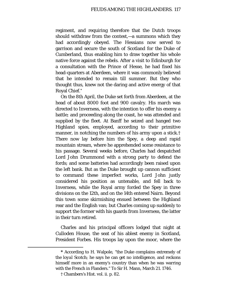regiment, and requiring therefore that the Dutch troops should withdraw from the contest,—a summons which they had accordingly obeyed. The Hessians now served to garrison and secure the south of Scotland for the Duke of Cumberland, thus enabling him to draw together his whole native force against the rebels. After a visit to Edinburgh for a consultation with the Prince of Hesse, he had fixed his head-quarters at Aberdeen, where it was commonly believed that he intended to remain till summer. But they who thought thus, knew not the daring and active energy of that Royal Chief.[\\*](#page-116-0)

On the 8th April, the Duke set forth from Aberdeen, at the head of about 8000 foot and 900 cavalry. His march was directed to Inverness, with the intention to offer his enemy a battle; and proceeding along the coast, he was attended and supplied by the fleet. At Banff he seized and hanged two Highland spies, employed, according to their primitive manner, in notching the numbers of his army upon a stick.[†](#page-116-1) There now lay before him the Spey, a deep and rapid mountain stream, where he apprehended some resistance to his passage. Several weeks before, Charles had despatched Lord John Drummond with a strong party to defend the fords; and some batteries had accordingly been raised upon the left bank. But as the Duke brought up cannon sufficient to command these imperfect works, Lord John justly considered his position as untenable, and fell back to Inverness, while the Royal army forded the Spey in three divisions on the 12th, and on the 14th entered Nairn. Beyond this town some skirmishing ensued between the Highland rear and the English van; but Charles coming up suddenly to support the former with his guards from Inverness, the latter in their turn retired.

Charles and his principal officers lodged that night at Culloden House, the seat of his ablest enemy in Scotland, President Forbes. His troops lay upon the moor, where the

<span id="page-116-1"></span><span id="page-116-0"></span>**<sup>\*</sup>** According to H. Walpole, "the Duke complains extremely of the *loyal* Scotch; he says he can get no intelligence, and reckons himself more in an enemy's country than when he was warring with the French in Flanders." To Sir H. Mann, March 21. 1746.

<sup>†</sup> Chambers's Hist. vol. ii. p. 82.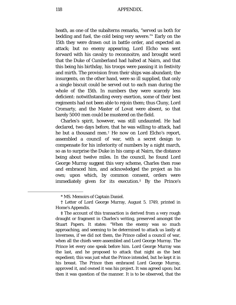heath, as one of the subalterns remarks, "served us both for bedding and fuel, the cold being very severe."[\\*](#page-117-0) Early on the 15th they were drawn out in battle order, and expected an attack; but no enemy appearing, Lord Elcho was sent forward with his cavalry to reconnoitre, and brought word that the Duke of Cumberland had halted at Nairn, and that this being his birthday, his troops were passing it in festivity and mirth. The provision from their ships was abundant; the insurgents, on the other hand, were so ill supplied, that only a single biscuit could be served out to each man during the whole of the 15th. In numbers they were scarcely less deficient: notwithstanding every exertion, some of their best regiments had not been able to rejoin them; thus Cluny, Lord Cromarty, and the Master of Lovat were absent, so that barely 5000 men could be mustered on the field.

Charles's spirit, however, was still undaunted. He had declared, two days before, that he was willing to attack, had he but a thousand men.[†](#page-117-1) He now on Lord Elcho's report, assembled a council of war, with a secret design to compensate for his inferiority of numbers by a night march, so as to surprise the Duke in his camp at Nairn, the distance being about twelve miles. In the council, he found Lord George Murray suggest this very scheme, Charles then rose and embraced him, and acknowledged the project as his own; upon which, by common consent, orders were immediately given for its execution.[‡](#page-117-2) By the Prince's

<sup>\*</sup> MS. Memoirs of Captain Daniel.

<span id="page-117-1"></span><span id="page-117-0"></span>**<sup>†</sup>** Letter of Lord George Murray, August 5. 1749, printed in Home's Appendix.

<span id="page-117-2"></span>**<sup>‡</sup>** The account of this transaction is derived from a very rough draught or fragment in Charles's writing, preserved amongst the Stuart Papers. It states: "When the enemy was so much approaching, and seeming to be determined to attack us lastly at Inverness, if we did not them, the Prince called a council of war, when all the chiefs were assembled and Lord George Murray. The Prince let every one speak before him. Lord George Murray was the last, and he proposed to attack that night as the best expedient; this was just what the Prince intended, but he kept it in his breast. The Prince then embraced Lord George Murray, approved it, and owned it was his project. It was agreed upon; but then it was question of the manner. It is to be observed, that the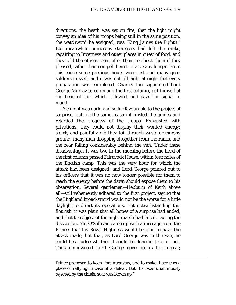directions, the heath was set on fire, that the light might convey an idea of his troops being still in the same position: the watchword he assigned, was *"*King James the Eighth." But meanwhile numerous stragglers had left the ranks, repairing to Inverness and other places in quest of food; and they told the officers sent after them to shoot them if they pleased, rather than compel them to starve any longer. From this cause some precious hours were lost and many good soldiers missed, and it was not till eight at night that every preparation was completed. Charles then appointed Lord George Murray to command the first column, put himself at the head of that which followed, and gave the signal to march.

The night was dark, and so far favourable to the project of surprise; but for the same reason it misled the guides and retarded the progress of the troops. Exhausted with privations, they could not display their wonted energy; slowly and painfully did they toil through waste or marshy ground, many men dropping altogether from the ranks, and the rear falling considerably behind the van. Under these disadvantages it was two in the morning before the head of the first column passed Kilravock House, within four miles of the English camp. This was the very hour for which the attack had been designed; and Lord George pointed out to his officers that it was no now longer possible for them to reach the enemy before the dawn should expose them to his observation. Several gentlemen—Hepburn of Keith above all—still vehemently adhered to the first project, saying that the Highland broad-sword would not be the worse for a little daylight to direct its operations. But notwithstanding this flourish, it was plain that all hopes of a surprise had ended, and that the object of the night-march had failed. During the discussion, Mr. O'Sullivan came up with a message from the Prince, that his Royal Highness would be glad to have the attack made; but that, as Lord George was in the van, he could best judge whether it could be done in time or not. Thus empowered Lord George gave orders for retreat;

Prince proposed to keep Fort Augustus, and to make it serve as a place of rallying in case of a defeat. But that was unanimously rejected by the chiefs: so it was blown up."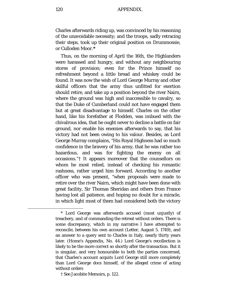Charles afterwards riding up, was convinced by his reasoning of the unavoidable necessity; and the troops, sadly retracing their steps, took up their original position on Drummossie, or Culloden Moor.**[\\*](#page-119-0)**

Thus, on the morning of April the 16th, the Highlanders were harassed and hungry, and without any neighbouring stores of provision; even for the Prince himself no refreshment beyond a little bread and whiskey could be found. It was now the wish of Lord George Murray and other skilful officers that the army thus unfitted for exertion should retire, and take up a position beyond the river Nairn, where the ground was high and inaccessible to cavalry, so that the Duke of Cumberland could not have engaged them but at great disadvantage to himself. Charles on the other hand, like his forefather at Flodden, was imbued with the chivalrous idea, that he ought never to decline a battle on fair ground, nor enable his enemies afterwards to say, that his victory had not been owing to his valour. Besides, as Lord George Murray complains, "His Royal Highness had so much confidence in the bravery of his army, that he was rather too hazardous, and was for fighting the enemy on all occasions."[†](#page-119-1) It appears moreover that the counsellors on whom he most relied, instead of checking his romantic rashness, rather urged him forward. According to another officer who was present, "when proposals were made to retire over the river Nairn, which might have been done with great facility, Sir Thomas Sheridan and others from France having lost all patience, and hoping no doubt for a miracle, in which light most of them had considered both the victory

<span id="page-119-1"></span>† See Jacobite Memoirs, p. 122.

<span id="page-119-0"></span><sup>\*</sup> Lord George was afterwards accused (most unjustly) of treachery, and of commanding the retreat without orders. There is some discrepancy, which in my narrative I have attempted to reconcile, between his own account (Letter, August 5. 1749), and an answer to a query sent to Charles in Italy, nearly thirty years later. (Home's Appendix, No. 44.) Lord George's recollection is likely to be the more correct so shortly after the transaction. But it is singular, and very honourable to both the parties concerned, that Charles's account acquits Lord George still more completely than Lord George docs himself, of the alleged crime of acting without orders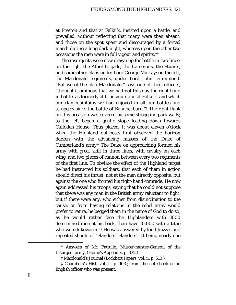at Preston and that at Falkirk, insisted upon a battle, and prevailed, without reflecting that many were then absent, and those on the spot spent and discouraged by a forced march during a long dark night, whereas upon the other two occasions the men were in full vigour and spirits."[\\*](#page-120-0)

The insurgents were now drawn up for battle in two lines: on the right the Athol brigade, the Camerons, the Stuarts, and some other clans under Lord George Murray; on the left, the Macdonald regiments, under Lord John Drummond. "But we of the clan Macdonald," says one of their officers, "thought it ominous that we had not this day the right hand in battle, as formerly at Gladsmuir and at Falkirk, and which our clan maintains we had enjoyed in all our battles and struggles since the battle of Bannockburn."[†](#page-120-1) The right flank on this occasion was covered by some straggling park walls; to the left began a gentle slope leading down towards Culloden House. Thus placed, it was about eleven o'clock when the Highland out-posts first observed the horizon darken with the advancing masses of the Duke of Cumberland's army[‡](#page-120-2) The Duke on approaching formed his army with great skill in three lines, with cavalry on each wing, and two pieces of cannon between every two regiments of the first line. To obviate the effect of the Highland target he had instructed his soldiers, that each of them in action should direct his thrust, not at the man directly opposite, but against the one who fronted his right-hand comrade. He now again addressed his troops, saying that he could not suppose that there was any man in the British army reluctant to fight, but if there were any, who either from disinclination to the cause, or from having relations in the rebel army would prefer to retire, he begged them in the name of God to do so, as he would rather face the Highlanders with 1000 determined men at his back, than have 10,000 with a tithe who were lukewarm."[§](#page-120-3) He was answered by loud huzzas and repeated shouts of "Flanders! Flanders!" It being nearly one

<span id="page-120-0"></span><sup>\*</sup> Answers of Mr. Pattullo, Muster-master-General of the Insurgent army. (Home's Appendix, p. 332.)

<sup>†</sup> Macdonald's Journal (Lockhart Papers, vol. ii. p. 510.)

<span id="page-120-3"></span><span id="page-120-2"></span><span id="page-120-1"></span><sup>‡</sup> Chambers's Hist. vol. ii. p. 103.; from the note-book of an English officer who was present.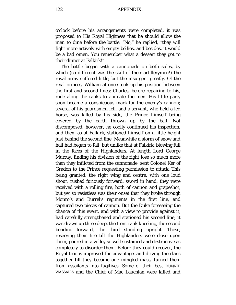o'clock before his arrangements were completed, it was proposed to His Royal Highness that he should allow the men to dine before the battle. "No," he replied, *"*they will fight more actively with empty bellies, and besides, it would be a bad omen. You remember what a dessert they got to their dinner at Falkirk!"

The battle began with a cannonade on both sides, by which (so different was the skill of their artillerymen!) the royal army suffered little, but the insurgent greatly. Of the rival princes, William at once took up his position between the first and second lines; Charles, before repairing to his, rode along the ranks to animate the men. His little party soon became a conspicuous mark for the enemy's cannon; several of his guardsmen fell, and a servant, who held a led horse, was killed by his side, the Prince himself being covered by the earth thrown up by the ball. Not discomposed, however, he coolly continued his inspection, and then, as at Falkirk, stationed himself on a little height just behind the second line. Meanwhile a storm of snow and hail had begun to fall, but unlike that at Falkirk, blowing full in the faces of the Highlanders. At length Lord George Murray, finding his division of the right lose so much more than they inflicted from the cannonade, sent Colonel Ker of Gradon to the Prince requesting permission to attack. This being granted, the right wing and centre, with one loud shout, rushed furiously forward, sword in hand; they were received with a rolling fire, both of cannon and grapeshot, but yet so resistless was their onset that they broke through Monro's and Burrel's regiments in the first line, and captured two pieces of cannon. But the Duke foreseeing the chance of this event, and with a view to provide against it, had carefully strengthened and stationed his second line; it was drawn up three deep, the front rank kneeling, the second bending forward, the third standing upright. These, reserving their fire till the Highlanders were close upon them, poured in a volley so well sustained and destructive as completely to disorder them. Before they could recover, the Royal troops improved the advantage, and driving the clans together till they became one mingled mass, turned them from assailants into fugitives. Some of their best DUNNIE WASSAILS and the Chief of Mac Lauchlan were killed and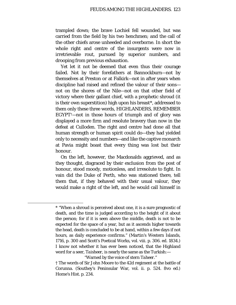trampled down; the brave Lochiel fell wounded, but was carried from the field by his two henchmen; and the call of the other chiefs arose unheeded and overborne. In short the whole right and centre of the insurgents were now in irretrievable rout, pursued by superior numbers, and drooping from previous exhaustion.

Yet let it not be deemed that even thus their courage failed. Not by their forefathers at Bannockburn—not by themselves at Preston or at Falkirk—not in after years when discipline had raised and refined the valour of their sons not on the shores of the Nile—not on that other field of victory where their gallant chief, with a prophetic shroud (it is their own superstition) high upon his breast[\\*,](#page-122-0) addressed to them only these three words, HIGHLANDERS, REMEMBER EGYPT[†](#page-122-1)—not in those hours of triumph and of glory was displayed a more firm and resolute bravery than now in the defeat at Culloden. The right and centre had done all that human strength or human spirit could do—they had yielded only to necessity and numbers—and like the captive monarch at Pavia might boast that every thing was lost but their honour.

On the left, however, the Macdonalds aggrieved, and as they thought, disgraced by their exclusion from the post of honour, stood moody, motionless, and irresolute to fight. In vain did the Duke of Perth, who was stationed there, tell them that, if they behaved with their usual valour, they would make a right of the left, and he would call himself in

<span id="page-122-0"></span>ī

"Warned by the voice of stern *Taheer."*

<sup>\*</sup> "When a shroud is perceived about one, it is a sure prognostic of death, and the time is judged according to the height of it about the person; for if it is seen above the middle, death is not to be expected for the space of a year, but as it ascends higher towards the head, death is concluded to be at hand, within a few days if not hours, as daily experience confirms." (Martin's Western Islands, 1716, p. 300 and Scott's Poetical Works, vol. viii. p. 306. ed. 1834.) I know not whether it has ever been noticed, that the Highland word for a seer, *Taisheer,* is nearly the same as the Turkish:—

<span id="page-122-1"></span><sup>†</sup> The words of Sir John Moore to the 42d regiment at the battle of Corunna. (Southey's Peninsular War, vol. ii. p. 524. 8vo ed.) Home's Hist. p. 234.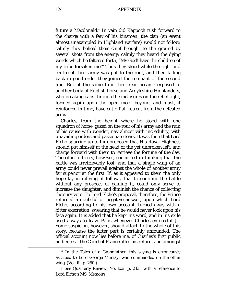future a Macdonald.[\\*](#page-123-0) In vain did Keppoch rush forward to the charge with a few of his kinsmen; the clan (an event almost unexampled in Highland warfare) would not follow: calmly they beheld their chief brought to the ground by several shots from the enemy; calmly they heard the dying words which he faltered forth, "My God! have the children of my tribe forsaken me!" Thus they stood while the right and centre of their army was put to the rout, and then falling back in good order they joined the remnant of the second line. But at the same time their rear became exposed to another body of English horse and Argyleshire Highlanders, who breaking gaps through the inclosures on the rebel right, formed again upon the open moor beyond, and must, if reinforced in time, have cut off all retreat from the defeated army.

Charles, from the height where he stood with one squadron of horse, gazed on the rout of his army and the ruin of his cause with wonder, nay almost with incredulity, with unavailing orders and passionate tears. It was then that Lord Elcho spurring up to him proposed that His Royal Highness should put himself at the head of the yet unbroken left, and charge forward with them to retrieve the fortune of the day. The other officers, however, concurred in thinking that the battle was irretrievably lost, and that a single wing of an army could never prevail against the whole of another army far superior at the first. If, as it appeared to them the only hope lay in rallying, it follows, that to continue the battle without any prospect of gaining it, could only serve to increase the slaughter, and diminish the chance of collecting the survivors. To Lord Elcho's proposal, therefore, the Prince returned a doubtful or negative answer, upon which Lord Elcho, according to his own account, turned away with a bitter execration, swearing that he would never look upon his face again. It is added that he kept his word, and in his exile used always to leave Paris whenever Charles entered it.[†—](#page-123-1) Some suspicion, however, should attach to the whole of this story, because the latter part is certainly unfounded. The official account now lies before me, of Charles's first public audience at the Court of France after his return, and amongst

<span id="page-123-0"></span><sup>\*</sup> In the Tales of a Grandfather, this saying is erroneously ascribed to Lord George Murray, who commanded on the other wing. (Vol. iii. p. 250.)

<span id="page-123-1"></span><sup>†</sup> See Quarterly Review, No. lxxi. p. 213., with a reference to Lord Elcho's MS. Memoirs.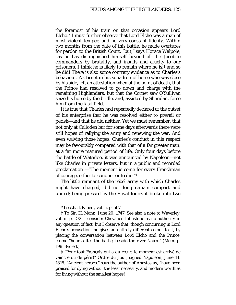the foremost of his train on that occasion appears Lord Elcho.[\\*](#page-124-0) I must further observe that Lord Elcho was a man of most violent temper, and no very constant fidelity. Within two months from the date of this battle, he made overtures for pardon to the British Court, "but," says Horace Walpole, "as he has distinguished himself beyond all the Jacobite commanders by brutality, and insults and cruelty to our prisoners, I think he is likely to remain where he is;<sup>[†](#page-124-1)</sup> and so he did! There is also some contrary evidence as to Charles's behaviour. A Cornet in his squadron of horse who was close by his side, left an attestation when at the point of death, that the Prince had resolved to go down and charge with the remaining Highlanders, but that the Cornet saw O'Sullivan seize his horse by the bridle, and, assisted by Sheridan, force him from the fatal field.

It is true that Charles had repeatedly declared at the outset of his enterprise that he was resolved either to prevail or perish—and that he did neither. Yet we must remember, that not only at Culloden but for some days afterwards there were still hopes of rallying the army and renewing the war. And even waiving those hopes, Charles's conduct in this respect may be favourably compared with that of a far greater man, at a far more matured period of life. Only four days before the battle of Waterloo, it was announced by Napoleon—not like Charles in private letters, but in a public and recorded proclamation —"The moment is come for every Frenchman of courage, either to conquer or to die!"[‡](#page-124-2)

The little remnant of the rebel army with which Charles might have charged, did not long remain compact and united; being pressed by the Royal forces it broke into two

<span id="page-124-1"></span><span id="page-124-0"></span>ī

<span id="page-124-2"></span>**‡** "Pour tout Français qui a du cœur, le moment est arrivé de vaincre ou de périr!" *Ordre du Jour*, signed Napoleon, June 14. 1815. "Ancient heroes," says the author of Anastasius, "have been praised for dying without the least necessity, and modern worthies for living without the smallest hopes!

<sup>\*</sup> Lockhart Papers, vol. ii. p. 567.

<sup>†</sup> To Sir. H. Mann, June 20. 1747. See also a note to Waverley, vol. ii. p. 272. I consider Chevalier Johnstone as no authority in any question of fact; but I observe that, though concurring in Lord Elcho's accusation, he gives an entirely different colour to it, by placing the conversation between Lord Elcho and the Prince, "some "hours *after* the battle, beside the river Nairn." (Mem. p. 198. 8vo ed.)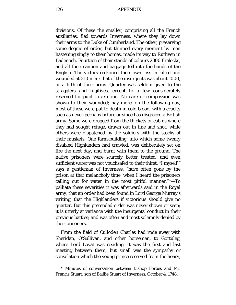divisions. Of these the smaller, comprising all the French auxiliaries, fled towards Inverness, where they lay down their arms to the Duke of Cumberland. The other, preserving some degree of order, but thinned every moment by men hastening singly to their homes, made its way to Ruthven in Badenoch. Fourteen of their stands of colours 2300 firelocks, and all their cannon and baggage fell into the hands of the English. The victors reckoned their own loss in killed and wounded at 310 men; that of the insurgents was about 1000, or a fifth of their army. Quarter was seldom given to the stragglers and fugitives, except to a few considerately reserved for public execution. No care or compassion was shown to their wounded; nay more, on the following day, most of these were put to death in cold blood, with a cruelty such as never perhaps before or since has disgraced a British army. Some were dragged from the thickets or cabins where they had sought refuge, drawn out in line and shot, while others were dispatched by the soldiers with the stocks of their muskets. One farm-building, into which some twenty disabled Highlanders had crawled, was deliberately set on fire the next day, and burnt with them to the ground. The native prisoners were scarcely better treated; and even sufficient water was not vouchsafed to their thirst. "I myself," says a gentleman of Inverness, "have often gone by the prison at that melancholy time, when I heard the prisoners calling out for water in the most pitiful manner."[\\*—](#page-125-0)To palliate these severities it was afterwards said in the Royal army, that an order had been found in Lord George Murray's writing, that the Highlanders if victorious should give no quarter. But this pretended order was never shown or seen; it is utterly at variance with the insurgents' conduct in their previous battles; and was often and most solemnly denied by their prisoners.

From the field of Culloden Charles had rode away with Sheridan, O'Sullivan, and other horsemen, to Gortuleg, where Lord Lovat was residing. It was the first and last meeting between them; but small was the sympathy or consolation which the young prince received from the hoary,

<span id="page-125-0"></span><sup>\*</sup> Minutes of conversation between Bishop Forbes and Mr. Francis Stuart, son of Baillie Stuart of Inverness, October 4. 1748.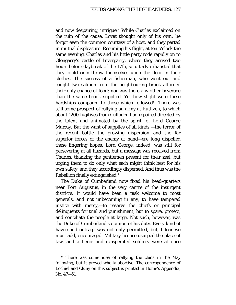and now despairing, intriguer. While Charles exclaimed on the ruin of the cause, Lovat thought only of his own; he forgot even the common courtesy of a host, and they parted in mutual displeasure. Resuming his flight, at ten o'clock the same evening, Charles and his little party rode rapidly on to Glengarry's castle of Invergarry, where they arrived two hours before daybreak of the 17th, so utterly exhausted that they could only throw themselves upon the floor in their clothes. The success of a fisherman, who went out and caught two salmon from the neighbouring brook afforded their only chance of food; nor was there any other beverage than the same brook supplied. Yet how slight were these hardships compared to those which followed!—There was still some prospect of rallying an army at Ruthven, to which about 1200 fugitives from Culloden had repaired directed by the talent and animated by the spirit, of Lord George Murray. But the want of supplies of all kinds —the terror of the recent battle—the growing dispersion—and the far superior forces of the enemy at hand—ere long dispelled these lingering hopes. Lord George, indeed, was still for persevering at all hazards, but a message was received from Charles, thanking the gentlemen present for their zeal, but urging them to do only what each might think best for his own safety, and they accordingly dispersed. And thus was the Rebellion finally extinguished.[\\*](#page-126-0)

The Duke of Cumberland now fixed his head-quarters near Fort Augustus, in the very centre of the insurgent districts. It would have been a task welcome to most generals, and not unbecoming in any, to have tempered justice with mercy,—to reserve the chiefs or principal delinquents for trial and punishment, but to spare, protect, and conciliate the people at large. Not such, however, was the Duke of Cumberland's opinion of his duty. Every kind of havoc and outrage was not only permitted, but, I fear we must add, encouraged. Military licence usurped the place of law, and a fierce and exasperated soldiery were at once

<span id="page-126-0"></span>**<sup>\*</sup>** There was some idea of rallying the clans in the May following, but it proved wholly abortive. The correspondence of Lochiel and Cluny on this subject is printed in Home's Appendix, No. 47—51.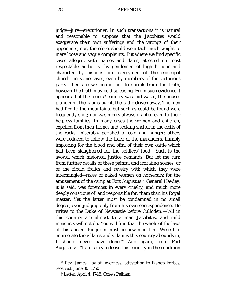128 APPENDIX.

judge—jury—executioner. In such transactions it is natural and reasonable to suppose that the Jacobites would exaggerate their own sufferings and the wrongs of their opponents, nor, therefore, should we attach much weight to mere loose and vague complaints. But where we find specific cases alleged, with names and dates, attested on most respectable authority—by gentlemen of high honour and character—by bishops and clergymen of the episcopal church—in some cases, even by members of the victorious party—then are we bound not to shrink from the truth, however the truth may be displeasing. From such evidence it appears that the rebels\* country was laid waste, the houses plundered, the cabins burnt, the cattle driven away. The men had fled to the mountains, but such as could be found were frequently shot; nor was mercy always granted even to their helpless families. In many cases the women and children, expelled from their homes and seeking shelter in the clefts of the rocks, miserably perished of cold and hunger; others were reduced to follow the track of the marauders, humbly imploring for the blood and offal of their own cattle which had been slaughtered for the soldiers' food!—Such is the avowal which historical justice demands. But let me turn from further details of these painful and irritating scenes, or of the ribald frolics and revelry with which they were intermingled—races of naked women on horseback for the amusement of the camp at Fort Augustus![\\*](#page-127-0) General Hawley, it is said, was foremost in every cruelty, and much more deeply conscious of, and responsible for, them than his Royal master. Yet the latter must be condemned in no small degree, even judging only from his own correspondence. He writes to the Duke of Newcastle before Culloden:—"All in this country are almost to a man Jacobites, and mild measures will not do. You will find that the whole of the laws of this ancient kingdom must be new modelled. Were I to enumerate the villains and villanies this country abounds in, I should never have done."[†](#page-127-1) And again, from Fort Augustus:—"I am sorry to leave this country in the condition

<span id="page-127-1"></span><span id="page-127-0"></span><sup>\*</sup> Rev. James Hay of Inverness; attestation to Bishop Forbes, received, June 30. 1750.

<sup>†</sup> Letter, April 4. 1746. Coxe's Pelham.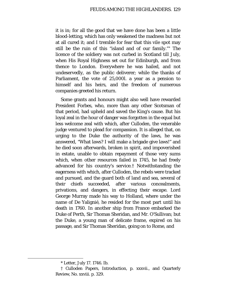it is in; for all the good that we have done has been a little blood-letting, which has only weakened the madness but not at all cured it; and I tremble for fear that this vile spot may still be the ruin of this "island and of our family."[\\*](#page-128-0) The licence of the soldiery was not curbed in Scotland till July, when His Royal Highness set out for Edinburgh, and from thence to London. Everywhere he was hailed, and not undeservedly, as the public deliverer; while the thanks of Parliament, the vote of 25,000*l*. a year as a pension to himself and his heirs, and the freedom of numerous companies greeted his return.

Some grants and honours might also well have rewarded President Forbes, who, more than any other Scotsman of that period, had upheld and saved the King's cause. But his loyal zeal in the hour of danger was forgotten in the equal but less welcome zeal with which, after Culloden, the venerable judge ventured to plead for compassion. It is alleged that, on urging to the Duke the authority of the laws, he was answered, "What laws? I will make a brigade give laws!" and he died soon afterwards, broken in spirit, and impoverished in estate, unable to obtain repayment of those very sums which, when other resources failed in 1745, he had freely advanced for his country's service.[†](#page-128-1) Notwithstanding the eagerness with which, after Culloden, the rebels were tracked and pursued, and the guard both of land and sea, several of their chiefs succeeded, after various concealments, privations, and dangers, in effecting their escape. Lord George Murray made his way to Holland, where under the name of De Yalignié, he resided for the most part until his death in 1760. In another ship from France embarked the Duke of Perth, Sir Thomas Sheridan, and Mr. O'Sullivan; but the Duke, a young man of delicate frame, expired on his passage, and Sir Thomas Sheridan, going on to Rome, and

<sup>\*</sup> Letter, July 17. 1746. Ib.

<span id="page-128-1"></span><span id="page-128-0"></span><sup>†</sup> Culloden Papers, Introduction, p. xxxvii., and Quarterly Review, No. xxviii. p. 329.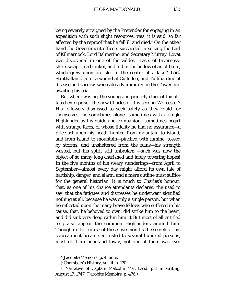being severely arraigned by the Pretender for engaging in an expedition with such slight resources, was, it is said, so far affected by the reproof that he fell ill and died.[\\*](#page-129-0) On the other hand the Government officers succeeded in seizing the Earl of Kilmarnock, Lord Balmerino, and Secretary Murray. Lovat was discovered in one of the wildest tracts of Invernessshire, wrapt in a blanket, and hid in the hollow of an old tree, which grew upon an islet in the centre of a lake.[†](#page-129-1) Lord Strathallan died of a wound at Culloden, and Tullibardine of disease and sorrow, when already immured in the Tower and awaiting his trial.

But where was he, the young and princely chief of this illfated enterprise—the new Charles of this second Worcester? His followers dismissed to seek safety as they could for themselves—he sometimes alone—sometimes with a single Highlander as his guide and companion—sometimes begirt with strange faces, of whose fidelity he had no assurance—a price set upon his head—hunted from mountain to island, and from island to mountain—pinched with famine, tossed by storms, and unsheltered from the rains—his strength wasted, but his spirit still unbroken —such was now the object of so many long cherished and lately towering hopes! In the five months of his weary wanderings—from April to September—almost every day might afford its own tale of hardship, danger, and alarm, and a mere outline must suffice for the general historian. It is much to Charles's honour, that, as one of his chance attendants declares, "he used to say, that the fatigues and distresses he underwent signified nothing at all, because he was only a single person, but when he reflected upon the many brave fellows who suffered in his cause, that, he behoved to own, did strike him to the heart, and did sink very deep within him."[‡](#page-129-2) But most of all entitled to praise appear the common Highlanders around him. Though in the course of these five months the secrets of his concealment became entrusted to several hundred persons, most of them poor and lowly, not one of them was ever

<sup>\*</sup> Jacobite Memoirs, p. 4. note.

<sup>†</sup> Chambers's History, vol. ii. p. 170.

<span id="page-129-2"></span><span id="page-129-1"></span><span id="page-129-0"></span><sup>‡</sup> Narrative of Captain Malcolm Mac Leod, put in writing, August 17. 1747. (Jacobite Memoirs, p. 476.)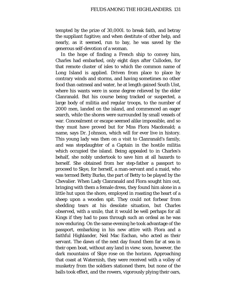tempted by the prize of 30,000*l*. to break faith, and betray the suppliant fugitive; and when destitute of other help, and nearly, as it seemed, run to bay, he was saved by the generous self-devotion of a woman.

In the hope of finding a French ship to convey him, Charles had embarked, only eight days after Culloden, for that remote cluster of isles to which the common name of Long Island is applied. Driven from place to place by contrary winds and storms, and having sometimes no other food than oatmeal and water, he at length gained South Uist, where his wants were in some degree relieved by the elder Clanranald. But his course being tracked or suspected, a large body of militia and regular troops, to the number of 2000 men, landed on the island, and commenced an eager search, while the shores were surrounded by small vessels of war. Concealment or escape seemed alike impossible, and so they must have proved but for Miss Flora Macdonald; a name, says Dr. Johnson, which will for ever live in history. This young lady was then on a visit to Clanranald's family, and was stepdaughter of a Captain in the hostile militia which occupied the island. Being appealed to in Charles's behalf, she nobly undertook to save him at all hazards to herself. She obtained from her step-father a passport to proceed to Skye, for herself, a man-servant and a maid, who was termed Betty Burke, the part of Betty to be played by the Chevalier. When Lady Clanranald and Flora sought him out, bringing with them a female dress, they found him alone in a little hut upon the shore, employed in roasting the heart of a sheep upon a wooden spit. They could not forbear from shedding tears at his desolate situation, but Charles observed, with a smile, that it would be well perhaps for all Kings if they had to pass through such an ordeal as he was now enduring. On the same evening he took advantage of the passport, embarking in his new attire with Flora and a faithful Highlander, Neil Mac Eachan, who acted as their servant. The dawn of the next day found them far at sea in their open boat, without any land in view; soon, however, the dark mountains of Skye rose on the horizon. Approaching that coast at Waternish, they were received with a volley of musketry from the soldiers stationed there, but none of the balls took effect, and the rowers, vigorously plying their oars,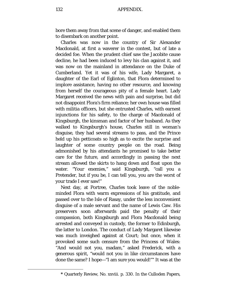bore them away from that scene of danger, and enabled them to disembark on another point.

Charles was now in the country of Sir Alexander Macdonald, at first a waverer in the contest, but of late a decided foe. When the prudent chief saw the Jacobite cause decline, he had been induced to levy his clan against it, and was now on the mainland in attendance on the Duke of Cumberland. Yet it was of his wife, Lady Margaret, a daughter of the Earl of Eglinton, that Flora determined to implore assistance, having no other resource, and knowing from herself the courageous pity of a female heart. Lady Margaret received the news with pain and surprise, but did not disappoint Flora's firm reliance; her own house was filled with militia officers, but she entrusted Charles, with earnest injunctions for his safety, to the charge of Macdonald of Kingsburgh, the kinsman and factor of her husband. As they walked to Kingsburgh's house, Charles still in woman's disguise, they had several streams to pass, and the Prince held up his petticoats so high as to excite the surprise and laughter of some country people on the road. Being admonished by his attendants he promised to take better care for the future, and accordingly in passing the next stream allowed the skirts to hang down and float upon the water. "Your enemies," said Kingsburgh, "call you a Pretender, but if you be, I can tell you, you are the worst of your trade I ever saw!"

Next day, at Portree, Charles took leave of the nobleminded Flora with warm expressions of his gratitude, and passed over to the Isle of Rasay, under the less inconvenient disguise of a male servant and the name of Lewis Caw. His preservers soon afterwards paid the penalty of their compassion, both Kingsburgh and Flora Macdonald being arrested and conveyed in custody, the former to Edinburgh, the latter to London. The conduct of Lady Margaret likewise was much inveighed against at Court; but once, when it provoked some such censure from the Princess of Wales: "And would not you, madam," asked Frederick, with a generous spirit, "would not you in like circumstances have done the same? I hope—"I am sure you would!"[\\*](#page-131-0) It was at the

<span id="page-131-0"></span>**<sup>\*</sup>** Quarterly Review, No. xxviii. p. 330. In the Culloden Papers,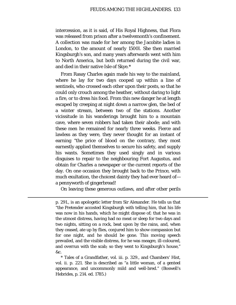intercession, as it is said, of His Royal Highness, that Flora was released from prison after a twelvemonth's confinement. A collection was made for her among the Jacobite ladies in London, to the amount of nearly 1500*l*. She then married Kingsburgh's son, and many years afterwards went with him to North America, but both returned during the civil war, and died in their native Isle of Skye.[\\*](#page-132-0)

From Rasay Charles again made his way to the mainland, where he lay for two days cooped up within a line of sentinels, who crossed each other upon their posts, so that he could only crouch among the heather, without daring to light a fire, or to dress his food. From this new danger he at length escaped by creeping at night down a narrow glen, the bed of a winter stream, between two of the stations. Another vicissitude in his wanderings brought him to a mountain cave, where seven robbers had taken their abode; and with these men he remained for nearly three weeks. Fierce and lawless as they were, they never thought for an instant of earning "the price of blood on the contrary, they most earnestly applied themselves to secure his safety, and supply his wants. Sometimes they used singly and in various disguises to repair to the neighbouring Fort Augustus, and obtain for Charles a newspaper or the current reports of the day. On one occasion they brought back to the Prince, with much exultation, the choicest dainty they had ever heard of a pennyworth of gingerbread!

On leaving these generous outlaws, and after other perils

Ĩ.

<span id="page-132-0"></span>\* Tales of a Grandfather, vol. iii. p. 329., and Chambers' Hist, vol. ii. p. 221. She is described as "a little woman, of a genteel appearance, and uncommonly mild and well-bred." (Boswell's Hebrides, p. 214. ed. 1785.)

p. 291., is an apologetic letter from Sir Alexander. He tells us that "the Pretender accosted Kingsburgh with telling him, that his life was now in his hands, which he might dispose of; that he was in the utmost distress, having had no meat or sleep for two days and two nights, sitting on a rock, beat upon by the rains, and, when they ceased, ate up by flies, conjured him to show compassion but for one night, and he should be gone. This moving speech prevailed, and the visible distress, for he was meagre, ill-coloured, and overrun with the scab; so they went to Kingsburgh's house," &c.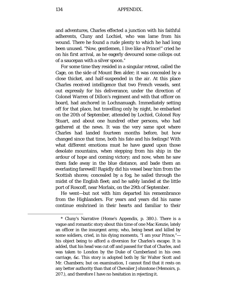and adventures, Charles effected a junction with his faithful adherents, Cluny and Lochiel, who was lame from his wound. There he found a rude plenty to which he had long been unused. "Now, gentlemen, I live like a Prince!" cried he on his first arrival, as he eagerly devoured some collops out of a saucepan with a silver spoon.[\\*](#page-133-0)

For some time they resided in a singular retreat, called the Cage, on the side of Mount Ben alder; it was concealed by a close thicket, and half-suspended in the air. At this place Charles received intelligence that two French vessels, sent out expressly for his deliverance, under the direction of Colonel Warren of Dillon's regiment and with that officer on board, had anchored in Lochnanuagh. Immediately setting off for that place, but travelling only by night, he embarked on the 20th of September, attended by Lochiel, Colonel Roy Stuart, and about one hundred other persons, who had gathered at the news. It was the very same spot where Charles had landed fourteen months before, but how changed since that time, both his fate and his feelings! With what different emotions must he have gazed upon those desolate mountains, when stepping from his ship in the ardour of hope and coming victory; and now, when he saw them fade away in the blue distance, and bade them an everlasting farewell! Rapidly did his vessel bear him from the Scottish shores; concealed by a fog, he sailed through the midst of the English fleet; and he safely landed at the little port of Roscoff, near Morlaix, on the 29th of September.

He went—but not with him departed his remembrance from the Highlanders. For years and years did his name continue enshrined in their hearts and familiar to their

<span id="page-133-0"></span><sup>\*</sup> Cluny's Narrative (Home's Appendix, p. 380.). There is a vague and romantic story about this time of one Mac Kenzie, lately an officer in the insurgent army, who, being beset and killed by some soldiers, cried, in his dying moments, "I am your Prince," his object being to afford a diversion for Charles's escape. It is added, that his head was cut off and passed for that of Charles, and was taken to London by the Duke of Cumberland in his own carriage, &c. This story is adopted both by Sir Walter Scott and Mr. Chambers; but on examination, I cannot find that it rests on any better authority than that of Chevalier Johnstone (Memoirs, p. 207.), and therefore I have no hesitation in rejecting it.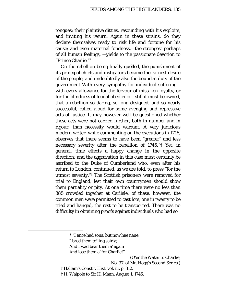tongues; their plaintive ditties, resounding with his exploits, and inviting his return. Again in these strains, do they declare themselves ready to risk life and fortune for his cause; and even maternal fondness,—the strongest perhaps of all human feelings, —yields to the passionate devotion to "Prince Charlie."[\\*](#page-134-0)

On the rebellion being finally quelled, the punishment of its principal chiefs and instigators became the earnest desire of the people, and undoubtedly also the bounden duty of the government With every sympathy for individual suffering with every allowance for the fervour of mistaken loyalty, or for the blindness of feudal obedience—still it must be owned, that a rebellion so daring, so long designed, and so nearly successful, called aloud for some avenging and repressive acts of justice. It may however well be questioned whether these acts were not carried further, both in number and in rigour, than necessity would warrant. A very judicious modern writer, while commenting on the executions in 1716, observes that there seems to have been "greater" and less necessary severity after the rebellion of 1745."[†](#page-134-1) Yet, in general, time effects a happy change in the opposite direction; and the aggravation in this case must certainly be ascribed to the Duke of Cumberland who, even after his return to London, continued, as we are told, to press "for the utmost severity."[‡](#page-134-2) The Scottish prisoners were removed for trial to England, lest their own countrymen should show them partiality or pity. At one time there were no less than 385 crowded together at Carlisle; of these, however, the common men were permitted to cast lots, one in twenty to be tried and hanged, the rest to be transported. There was no difficulty in obtaining proofs against individuals who had so

<span id="page-134-2"></span><span id="page-134-1"></span><span id="page-134-0"></span>Ĩ.

And lose them a' for Charlie!"

(O'er *the Water to Charlie*,

No. 37. of Mr. Hogg's Second Series.)

- † Hallam's Constit. Hist. vol. iii. p. 312.
- ‡ H. Walpole to Sir H. Mann, August 1. 1746.

<sup>\*</sup> "I ance had sons, but now hae nane,

I bred them toiling sairly;

And I wad bear them a' again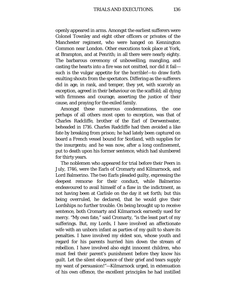openly appeared in arms. Amongst the earliest sufferers were Colonel Townley and eight other officers or privates of the Manchester regiment, who were hanged on Kennington Common near London. Other executions took place at York, at Brampton, and at Penrith; in all there were nearly eighty. The barbarous ceremony of unbowelling, mangling, and casting the hearts into a fire was not omitted, nor did it fail such is the vulgar appetite for the horrible!—to draw forth exulting shouts from the spectators. Differing as the sufferers did in age, in rank, and temper, they yet, with scarcely an exception, agreed in their behaviour on the scaffold; all dying with firmness and courage, asserting the justice of their cause, and praying for the exiled family.

Amongst these numerous condemnations, the one perhaps of all others most open to exception, was that of Charles Radcliffe, brother of the Earl of Derwentwater, beheaded in 1716. Charles Radcliffe had then avoided a like fate by breaking from prison; he had lately been captured on board a French vessel bound for Scotland, with supplies for the insurgents; and he was now, after a long confinement, put to death upon his former sentence, which had slumbered for thirty years.

The noblemen who appeared for trial before their Peers in July, 1746, were the Earls of Cromarty and Kilmarnock, and Lord Balmerino. The two Earls pleaded guilty, expressing the deepest remorse for their conduct, while Balmerino endeavoured to avail himself of a flaw in the indictment, as not having been at Carlisle on the day it set forth; but this being overruled, he declared, that he would give their Lordships no further trouble. On being brought up to receive sentence, both Cromarty and Kilmarnock earnestly sued for mercy. "My own fate," said Cromarty, "is the least part of my sufferings. But, my Lords, I have involved an affectionate wife with an unborn infant as parties of my guilt to share its penalties. I have involved my eldest son, whose youth and regard for his parents hurried him down the stream of rebellion. I have involved also eight innocent children, who must feel their parent's punishment before they know his guilt. Let the silent eloquence of their grief and tears supply my want of persuasion!"—Kilmarnock urged, in extenuation of his own offence, the excellent principles he had instilled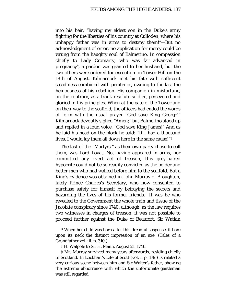into his heir, "having my eldest son in the Duke's army fighting for the liberties of his country at Culloden, where his unhappy father was in arms to destroy them!"—But no acknowledgment of error, no application for mercy could be wrung from the haughty soul of Balmerino. In compassion chiefly to Lady Cromarty, who was far advanced in pregnancy[\\*,](#page-136-0) a pardon was granted to her husband, but the two others were ordered for execution on Tower Hill on the 18th of August. Kilmarnock met his fate with sufficient steadiness combined with penitence, owning to the last the heinousness of his rebellion. His companion in misfortune, on the contrary, as a frank resolute soldier, persevered and gloried in his principles. When at the gate of the Tower and on their way to the scaffold, the officers had ended the words of form with the usual prayer "God save King George!" Kilmarnock devoutly sighed "Amen;" but Balmerino stood up and replied in a loud voice, "God save King James!" And as he laid his head on the block he said: "If I had a thousand lives, I would lay them all down here in the same cause!"[†](#page-136-1)

The last of the "Martyrs," as their own party chose to call them, was Lord Lovat. Not having appeared in arms, nor committed any overt act of treason, this grey-haired hypocrite could not be so readily convicted as the bolder and better men who had walked before him to the scaffold. But a King's evidence was obtained in John Murray of Broughton, lately Prince Charles's Secretary, who now consented to purchase safety for himself by betraying the secrets and hazarding the lives of his former friends.<sup>[‡](#page-136-2)</sup> It was he who revealed to the Government the whole train and tissue of the Jacobite conspiracy since 1740, although, as the law requires two witnesses in charges of treason, it was not possible to proceed further against the Duke of Beaufort, Sir Watkin

<span id="page-136-0"></span>**<sup>\*</sup>** When her child was born after this dreadful suspense, it bore upon its neck the distinct impression of an axe. (Tales of a Grandfather vol. iii. p. 310.)

**<sup>†</sup>** H. Walpole to Sir H. Mann, August 21. 1746.

<span id="page-136-2"></span><span id="page-136-1"></span>**<sup>‡</sup>** Mr. Murray survived many years afterwards, residing chiefly in Scotland. In Lockhart's Life of Scott (vol. i. p. 179.) is related a very curious scene between him and Sir Walter's father, showing the extreme abhorrence with which the unfortunate gentleman was still regarded.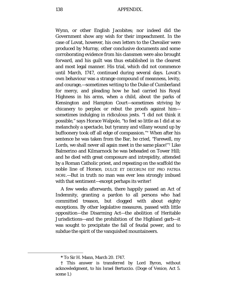138 APPENDIX.

Wynn, or other English Jacobites; nor indeed did the Government show any wish for their impeachment. In the case of Lovat, however, his own letters to the Chevalier were produced by Murray, other conclusive documents and some corroborating evidence from his clansmen were also brought forward, and his guilt was thus established in the clearest and most legal manner. His trial, which did not commence until March, 1747, continued during several days. Lovat's own behaviour was a strange compound of meanness, levity, and courage,—sometimes writing to the Duke of Cumberland for mercy, and pleading how he had carried his Royal Highness in his arms, when a child, about the parks of Kensington and Hampton Court—sometimes striving by chicanery to perplex or rebut the proofs against him sometimes indulging in ridiculous jests. "I did not think it possible," says Horace Walpole, "to feel so little as I did at so melancholy a spectacle, but tyranny and villany wound up by buffoonery took off all edge of compassion."[\\*](#page-137-0) When after his sentence he was taken from the Bar, he cried, *"*Farewell, my Lords, we shall never all again meet in the same place!"[†](#page-137-1) Like Balmerino and Kilmarnock he was beheaded on Tower Hill; and he died with great composure and intrepidity, attended by a Roman Catholic priest, and repeating on the scaffold the noble line of Horace, DULCE ET DECORUM EST PRO PATRIA MORI.—But in truth no man was ever less strongly imbued with that sentiment—except perhaps its writer!

A few weeks afterwards, there happily passed an Act of Indemnity, granting a pardon to all persons who had committed treason, but clogged with about eighty exceptions. By other legislative measures, passed with little opposition—the Disarming Act—the abolition of Heritable Jurisdictions—and the prohibition of the Highland garb—it was sought to precipitate the fall of feudal power, and to subdue the spirit of the vanquished mountaineers.

**<sup>\*</sup>** To Sir H. Mann, March 20. 1747.

<span id="page-137-1"></span><span id="page-137-0"></span>**<sup>†</sup>** This answer is transferred by Lord Byron, without acknowledgment, to his Israel Bertuccio. (Doge of Venice, Act 5. scene 1.)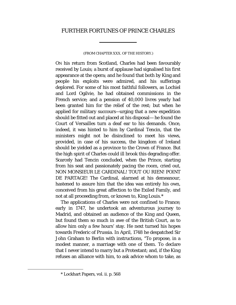## FURTHER FORTUNES OF PRINCE CHARLES

## (FROM CHAPTER XXX. OF THE HISTORY.)

ON his return from Scotland, Charles had been favourably received by Louis; a burst of applause had signalised his first appearance at the opera; and he found that both by King and people his exploits were admired, and his sufferings deplored. For some of his most faithful followers, as Lochiel and Lord Ogilvie, he had obtained commissions in the French service; and a pension of 40,000 livres yearly had been granted him for the relief of the rest; but when he applied for military succours—urging that a new expedition should be fitted out and placed at his disposal— he found the Court of Versailles turn a deaf ear to his demands. Once, indeed, it was hinted to him by Cardinal Tencin, that the ministers might not be disinclined to meet his views, provided, in case of his success, the kingdom of Ireland should be yielded as a province to the Crown of France. But the high spirit of Charles could ill brook this degrading offer. Scarcely had Tencin concluded, when the Prince, starting from his seat and passionately pacing the room, cried out, NON MONSIEUR LE CARDINAL! TOUT OU RIEN! POINT DE PARTAGE! The Cardinal, alarmed at his demeanour, hastened to assure him that the idea was entirely his own, conceived from his great affection to the Exiled Family, and not at all proceeding from, or known to, King Louis.[\\*](#page-138-0)

The applications of Charles were not confined to France; early in 1747, he undertook an adventurous journey to Madrid, and obtained an audience of the King and Queen, but found them so much in awe of the British Court, as to allow him only a few hours' stay. He next turned his hopes towards Frederic of Prussia. In April, 1748 he despatched Sir John Graham to Berlin with instructions, "To propose, in a modest manner, a marriage with one of them. To declare that I never intend to marry but a Protestant; and, if the King refuses an alliance with him, to ask advice whom to take, as

<span id="page-138-0"></span><sup>\*</sup> Lockhart Papers, vol. ii. p. 568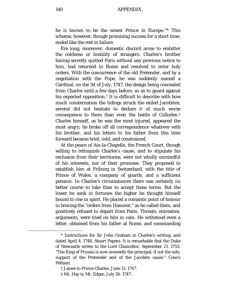he is known to be the wisest Prince in Europe."[\\*](#page-139-0) This scheme, however, though promising success for a short time, ended like the rest in failure.

Ere long, moreover, domestic discord arose to embitter the coldness or hostility of strangers. Charles's brother having secretly quitted Paris without any previous notice to him, had returned to Rome and resolved to enter holy orders. With the concurrence of the old Pretender, and by a negotiation with the Pope, he was suddenly named a Cardinal, on the 3d of July, 1747, the design being concealed from Charles until a few days before, so as to guard against his expected opposition.<sup>[†](#page-139-1)</sup> It is difficult to describe with how much consternation the tidings struck the exiled Jacobites; several did not hesitate to declare it of much worse consequence to them than even the battle of Culloden.[‡](#page-139-2) Charles himself, as he was the most injured, appeared the most angry; he broke off all correspondence whatever with his brother, and his letters to his father from this time forward became brief, cold, and constrained.

At the peace of Aix-la-Chapelle, the French Court, though willing to relinquish Charles's cause, and to stipulate his exclusion from their territories, were not wholly unmindful of his interests, nor of their promises. They proposed to establish him at Friburg in Switzerland, with the title of Prince of Wales, a company of guards, and a sufficient pension. In Charles's circumstances there was certainly no better course to take than to accept these terms. But the lower he sank in fortunes the higher he thought himself bound to rise in spirit. He placed a romantic point of honour in braving the "orders from Hanover," as he called them, and positively refused to depart from Paris. Threats, entreaties, arguments, were tried on him in vain. He withstood even a letter, obtained from his father at Rome, and commanding

<span id="page-139-0"></span><sup>\*</sup> Instructions for Sir John Graham in Charles's writing, and dated April 4. 1748. Stuart Papers. It is remarkable that the Duke of Newcastle writes to the Lord Chancellor, September 21. 1753: "The King of Prussia is now avowedly the principal, if not the sole, support of the Pretender and of the Jacobite cause." Coxe's Pelham.

<sup>†</sup> James to Prince Charles, June 13. 1747.

<span id="page-139-2"></span><span id="page-139-1"></span><sup>‡</sup> Mr. Hay to Mr. Edgar, July 26. 1747.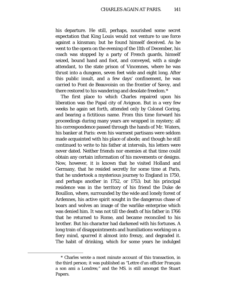his departure. He still, perhaps, nourished some secret expectation that King Louis would not venture to use force against a kinsman; but he found himself deceived. As he went to the opera on the evening of the 11th of December, his coach was stopped by a party of French guards, himself seized, bound hand and foot, and conveyed, with a single attendant, to the state prison of Vincennes, where he was thrust into a dungeon, seven feet wide and eight long. After this public insult, and a few days' confinement, he was carried to Pont de Beauvoisin on the frontier of Savoy, and there restored to his wandering and desolate freedom.[\\*](#page-140-0)

The first place to which Charles repaired upon his liberation was the Papal city of Avignon. But in a very few weeks he again set forth, attended only by Colonel Goring, and bearing a fictitious name. From this time forward his proceedings during many years are wrapped in mystery; all his correspondence passed through the hands of Mr. Waters, his banker at Paris: even his warmest partisans were seldom made acquainted with his place of abode; and though he still continued to write to his father at intervals, his letters were never dated. Neither friends nor enemies at that time could obtain any certain information of his movements or designs. Now, however, it is known that he visited Holland and Germany, that he resided secretly for some time at Paris, that he undertook a mysterious journey to England in 1750, and perhaps another in 1752, or 1753; but his principal residence was in the territory of his friend the Duke de Bouillon, where, surrounded by the wide and lonely forest of Ardennes, his active spirit sought in the dangerous chase of boars and wolves an image of the warlike enterprise which was denied him. It was not till the death of his father in 1766 that he returned to Rome, and became reconciled to his brother. But his character had darkened with his fortunes. A long train of disappointments and humiliations working on a fiery mind, spurred it almost into frenzy, and degraded it. The habit of drinking, which for some years he indulged

<span id="page-140-0"></span><sup>\*</sup> Charles wrote a most minute account of this transaction, in the third person; it was published as "Lettre d'un officier Français a son ami a Londres;" and the MS. is still amongst the Stuart Papers.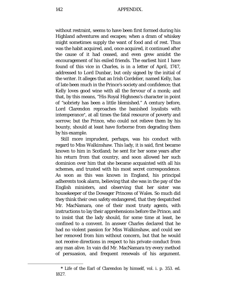without restraint, seems to have been first formed during his Highland adventures and escapes; when a dram of whiskey might sometimes supply the want of food and of rest. Thus was the habit acquired, and, once acquired, it continued after the cause of it had ceased, and even grew amidst the encouragement of his exiled friends. The earliest hint I have found of this vice in Charles, is in a letter of April, 1747, addressed to Lord Dunbar, but only signed by the initial of the writer. It alleges that an Irish Cordelier, named Kelly, has of late been much in the Prince's society and confidence; that Kelly loves good wine with all the fervour of a monk; and that, by this means, "His Royal Highness's character in point of "sobriety has been a little blemished." A century before, Lord Clarendon reproaches the banished loyalists with intemperance[\\*](#page-141-0), at all times the fatal resource of poverty and sorrow; but the Prince, who could not relieve them by his bounty, should at least have forborne from degrading them by his example.

Still more imprudent, perhaps, was his conduct with regard to Miss Walkinshaw. This lady, it is said, first became known to him in Scotland; he sent for her some years after his return from that country, and soon allowed her such dominion over him that she became acquainted with all his schemes, and trusted with his most secret correspondence. As soon as this was known in England, his principal adherents took alarm, believing that she was in the pay of the English ministers, and observing that her sister was housekeeper of the Dowager Princess of Wales. So much did they think their own safety endangered, that they despatched Mr. MacNamara, one of their most trusty agents, with instructions to lay their apprehensions before the Prince, and to insist that the lady should, for some time at least, be confined to a convent. In answer Charles declared that he had no violent passion for Miss Walkinshaw, and could see her removed from him without concern, but that he would not receive directions in respect to his private conduct from any man alive. In vain did Mr. MacNamara try every method of persuasion, and frequent renewals of his argument.

<span id="page-141-0"></span>**<sup>\*</sup>** Life of the Earl of Clarendon by himself, vol. i. p. 353. ed. 1827.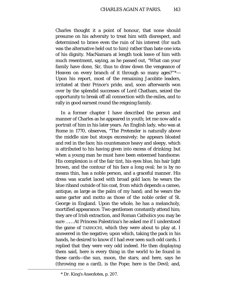Charles thought it a point of honour, that none should presume on his adversity to treat him with disrespect, and determined to brave even the ruin of his interest (for such was the alternative held out to him) rather than bate one iota of his dignity. MacNamara at length took leave of him with much resentment, saying, as he passed out, "What can your family have done, Sir, thus to draw down the vengeance of Heaven on every branch of it through so many ages?"[\\*—](#page-142-0) Upon his report, most of the remaining Jacobite leaders, irritated at their Prince's pride, and, soon afterwards won over by the splendid successes of Lord Chatham, seized the opportunity to break off all connection with the exiles, and to rally in good earnest round the reigning family.

In a former chapter I have described the person and manner of Charles as he appeared in youth; let me now add a portrait of him in his later years. An English lady, who was at Rome in 1770, observes, "The Pretender is naturally above the middle size but stoops excessively; he appears bloated and red in the face; his countenance heavy and sleepy, which is attributed to his having given into excess of drinking: but when a young man he must have been esteemed handsome. His complexion is of the fair tint, his eyes blue, his hair light brown, and the contour of his face a long oval; he is by no means thin, has a noble person, and a graceful manner. His dress was scarlet laced with broad gold lace; he wears the blue riband outside of his coat, from which depends a cameo, antique, as large as the palm of my hand; and he wears the same garter and motto as those of the noble order of St. George in England. Upon the whole, he has a melancholy, mortified appearance. Two gentlemen constantly attend him; they are of Irish extraction, and Roman Catholics you may be sure …… At Princess Palestrina's he asked me if I understood the game of TARROCHI, which they were about to play at. I answered in the negative; upon which, taking the pack in his hands, he desired to know if I had ever seen such odd cards. I replied that they were very odd indeed. He then displaying them said, here is every thing in the world to be found in these cards—the sun, moon, the stars; and here, says he (throwing me a card), is the Pope; here is the Devil; and,

<span id="page-142-0"></span><sup>\*</sup> Dr. King's Anecdotes, p. 207.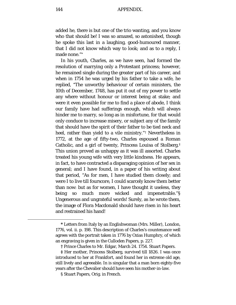added he, there is but one of the trio wanting, and you know who that should be! I was so amazed, so astonished, though he spoke this last in a laughing, good-humoured manner, that I did not know which way to look; and as to a reply, I made none."[\\*](#page-143-0)

In his youth, Charles, as we have seen, had formed the resolution of marrying only a Protestant princess; however, he remained single during the greater part of his career, and when in 1754 he was urged by his father to take a wife, he replied, "The unworthy behaviour of certain ministers, the 10th of December, 1748, has put it out of my power to settle any where without honour or interest being at stake; and were it even possible for me to find a place of abode, I think our family have had sufferings enough, which will always hinder me to marry, so long as in misfortune, for that would only conduce to increase misery, or subject any of the family that should have the spirit of their father to be tied neck and heel, rather than yield to a vile ministry."[†](#page-143-1) Nevertheless in 1772, at the age of fifty-two, Charles espoused a Roman Catholic, and a girl of twenty, Princess Louisa of Stolberg.[‡](#page-143-2) This union proved as unhappy as it was ill assorted. Charles treated his young wife with very little kindness. He appears, in fact, to have contracted a disparaging opinion of her sex in general; and I have found, in a paper of his writing about that period, "As for men, I have studied them closely; and were I to live till fourscore, I could scarcely know them better than now: but as for women, I have thought it useless, they being so much more wicked and impenetrable."[§](#page-143-3) Ungenerous and ungrateful words! Surely, as he wrote them, the image of Flora Macdonald should have risen in his heart and restrained his hand!

<span id="page-143-0"></span>**<sup>\*</sup>** Letters from Italy by an Englishwoman (Mrs. Miller), London, 1776, vol. ii. p. 198. This description of Charles's countenance well agrees with the portrait taken in 1776 by Ozias Humphry, of which an engraving is given in the Culloden Papers, p. 227.

**<sup>†</sup>** Prince Charles to Mr. Edgar, March 24. 1754. Stuart Papers.

<span id="page-143-3"></span><span id="page-143-2"></span><span id="page-143-1"></span>**<sup>‡</sup>** Her mother, Princess Stolberg, survived till 1826. I was once introduced to her at Frankfort, and found her in extreme old age, still lively and agreeable. In is singular that a man born eighty-five years after the Chevalier should have seen his mother-in-law.

<sup>§</sup> Stuart Papers, Orig. in French.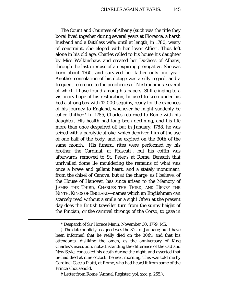The Count and Countess of Albany (such was the title they bore) lived together during several years at Florence, a harsh husband and a faithless wife; until at length, in 1780, weary of constraint, she eloped with her lover Alfieri. Thus left alone in his old age, Charles called to his house his daughter by Miss Walkinshaw, and created her Duchess of Albany, through the last exercise of an expiring prerogative. She was born about 1760, and survived her father only one year. Another consolation of his dotage was a silly regard, and a frequent reference to the prophecies of Nostradamus, several of which I have found among his papers. Still clinging to a visionary hope of his restoration, he used to keep under his bed a strong box with 12,000 sequins, ready for the expences of his journey to England, whenever he might suddenly be called thither.[\\*](#page-144-0) In 1785, Charles returned to Rome with his daughter. His health had long been declining, and his life more than once despaired of; but in January, 1788, he was seized with a paralytic stroke, which deprived him of the use of one half of the body, and he expired on the 30th of the same month.[†](#page-144-1) His funeral rites were performed by his brother the Cardinal, at Frascati[‡,](#page-144-2) but his coffin was afterwards removed to St. Peter's at Rome. Beneath that unrivalled dome lie mouldering the remains of what was once a brave and gallant heart; and a stately monument, from the chisel of Canova, but at the charge, as I believe, of the House of Hanover, has since arisen to the Memory of JAMES THE THIRD, CHARLES THE THIRD, AND HENRY THE NINTH, KINGS OF ENGLAND—names which an Englishman can scarcely read without a smile or a sigh! Often at the present day does the British traveller turn from the sunny height of the Pincian, or the carnival throngs of the Corso, to gaze in

**<sup>\*</sup>** Despatch of Sir Horace Mann, November 30. 1779. MS.

<span id="page-144-1"></span><span id="page-144-0"></span>**<sup>†</sup>** The date publicly assigned was the 31st of January; but I have been informed that he really died on the 30th; and that his attendants, disliking the omen, as the anniversary of King Charles's execution, notwithstanding the difference of the Old and New Style, concealed his death during the night, and asserted that he had died at nine o'clock the next morning. This was told me by Cardinal Caccia Piatti, at Rome, who had heard it from some of the Prince's household.

<span id="page-144-2"></span>**<sup>‡</sup>** Letter from Rome (Annual Register, yol. xxx. p. 255.).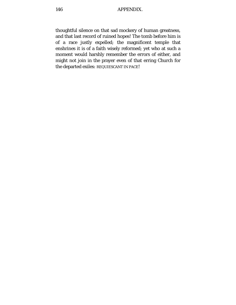thoughtful silence on that sad mockery of human greatness, and that last record of ruined hopes! The tomb before him is of a race justly expelled; the magnificent temple that enshrines it is of a faith wisely reformed; yet who at such a moment would harshly remember the errors of either, and might not join in the prayer even of that erring Church for the departed exiles: REQUIESCANT IN PACE!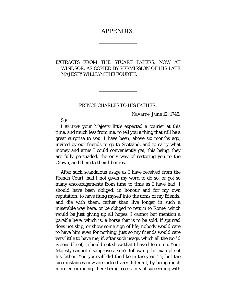# APPENDIX.

# EXTRACTS FROM THE STUART PAPERS, NOW AT WINDSOR, AS COPIED BY PERMISSION OF HIS LATE MAJESTY WILLIAM THE FOURTH.

### PRINCE CHARLES TO HIS FATHER.

*Navarre*, *June* 12. 1745.

SIR,

I BELIEVE your Majesty little expected a courier at this time, and much less from me; to tell you a thing that will be a great surprise to you. I have been, above six months ago, invited by our friends to go to Scotland, and to carry what money and arms I could conveniently get; this being, they are fully persuaded, the only way of restoring you to the Crown, and them to their liberties.

After such scandalous usage as I have received from the French Court, had I not given my word to do so, or got so many encouragements from time to time as I have had, I should have been obliged, in honour and for my own reputation, to have flung myself into the arms of my friends, and die with them, rather than live longer in such a miserable way here, or be obliged to return to Rome, which would be just giving up all hopes. I cannot but mention a parable here, which is; a horse that is to be sold, if spurred does not skip, or show some sign of life, nobody would care to have him even for nothing; just so my friends would care very little to have me, if, after such usage, which all the world is sensible of, I should not show that I have life in me. Your Majesty cannot disapprove a son's following the example of his father. You yourself did the like in the year '15; but the circumstances now are indeed very different, by being much more encouraging, there being a certainty of succeeding with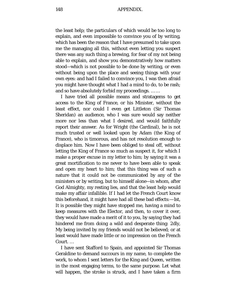the least help; the particulars of which would be too long to explain, and even impossible to convince you of by writing, which has been the reason that I have presumed to take upon me the managing all this, without even letting you suspect there was any such thing a brewing, for fear of my not being able to explain, and show you demonstratively how matters stood—which is not possible to be done by writing, or even without being upon the place and seeing things with your own eyes: and had I failed to convince you, I was then afraid you might have thought what I had a mind to do, to be rash; and so have absolutely forbid my proceedings. … …

I have tried all possible means and stratagems to get access to the King of France, or his Minister, without the least effect, nor could I even get Littleton (Sir Thomas Sheridan) an audience, who I was sure would say neither more nor less than what I desired, and would faithfully report their answer. As for Wright (the Cardinal), he is not much trusted or well looked upon by Adam (the King of France), who is timorous, and has not resolution enough to displace him. Now I have been obliged to steal off, without letting the King of France so much as suspect it, for which I make a proper excuse in my letter to him; by saying it was a great mortification to me never to have been able to speak and open my heart to him; that this thing was of such a nature that it could not be communicated by any of the ministers or by writing, but to himself alone—in whom, after God Almighty, my resting lies, and that the least help would make my affair infallible. If I had let the French Court know this beforehand, it might have had all these bad effects:—1st, It is possible they might have stopped me, having a mind to keep measures with the Elector, and then, to cover it over, they would have made a merit of it to you, by saying they had hindered me from doing a wild and desperate thing: 2dly, My being invited by my friends would not be believed; or at least would have made little or no impression on the French Court. …

I have sent Stafford to Spain, and appointed Sir Thomas Geraldine to demand succours in my name, to complete the work, to whom I sent letters for the King and Queen, written in the most engaging terms, to the same purpose. Let what will happen, the stroke is struck, and I have taken a firm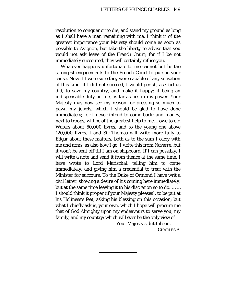resolution to conquer or to die, and stand my ground as long as I shall have a man remaining with me. I think it of the greatest importance your Majesty should come as soon as possible to Avignon, but take the liberty to advise that you would not ask leave of the French Court; for if I be not immediately succoured, they will certainly refuse you.

Whatever happens unfortunate to me cannot but be the strongest engagements to the French Court to pursue your cause. Now if I were sure they were capable of any sensation of this kind, if I did not succeed, I would perish, as Curtius did, to save my country, and make it happy; it being an indispensable duty on me, as far as lies in my power. Your Majesty may now see my reason for pressing so much to pawn my jewels, which I should be glad to have done immediately; for I never intend to come back; and money, next to troops, will be of the greatest help to me. I owe to old Waters about 60,000 livres, and to the young one above 120,000 livres. I and Sir Thomas will write more fully to Edgar about these matters, both as to the sum I carry with me and arms, as also how I go. I write this from Navarre, but it won't be sent off till I am on shipboard. If I can possibly, I will write a note and send it from thence at the same time. I have wrote to Lord Marischal, telling him to come immediately, and giving him a credential to treat with the Minister for succours. To the Duke of Ormond I have writ a civil letter, showing a desire of his coming here immediately, but at the same time leaving it to his discretion so to do. … … I should think it proper (if your Majesty pleases), to be put at his Holiness's feet, asking his blessing on this occasion; but what I chiefly ask is, your own, which I hope will procure me that of God Almighty upon my endeavours to serve you, my family, and my country; which will ever be the only view of

> Your Majesty's dutiful son, CHARLES P.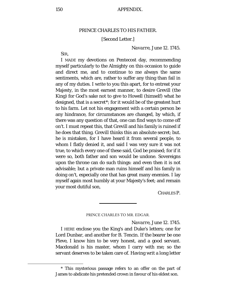## PRINCE CHARLES TO HIS FATHER.

#### [Second Letter.]

#### *Navarre*, *June* 12. 1745.

SIR,

<span id="page-149-0"></span>Ĩ.

I MADE my devotions on Pentecost day, recommending myself particularly to the Almighty on this occasion to guide and direct me, and to continue to me always the same sentiments, which are, rather to suffer any thing than fail in any of my duties. I write to you this apart, for to entreat your Majesty, in the most earnest manner, to desire Grevill (the King) for God's sake not to give to Howell (himself) what he designed, that is a secret[\\*;](#page-149-0) for it would be of the greatest hurt to his farm. Let not his engagement with a certain person be any hindrance, for circumstances are changed, by which, if there was any question of that, one can find ways to come off on't. I must repeat this, that Grevill and his family is ruined if he does that thing. Grevill thinks this an absolute secret; but. he is mistaken, for I have heard it from several people, to whom I flatly denied it, and said I was very sure it was not true, to which every one of these said, God be praised; for if it were so, both father and son would be undone. Sovereigns upon the throne can do such things: and even then it is not advisable; but a private man ruins himself and his family in doing on't, especially one that has great many enemies. I lay myself again most humbly at your Majesty's feet; and remain your most dutiful son,

CHARLES P.

#### PRINCE CHARLES TO MR. EDGAR.

*Navarre*, *June* 12. 1745.

I HERE enclose you the King's and Duke's letters; one for Lord Dunbar, and another for B. Tencin. If the bearer be one Pleve, I know him to be very honest, and a good servant. Macdonald is his master, whom I carry with me; so the servant deserves to be taken care of. Having writ a long letter

<sup>\*</sup> This mysterious passage refers to an offer on the part of James to abdicate his pretended crown in favour of his eldest son.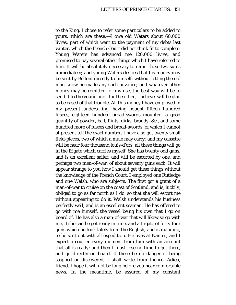to the King, I chose to refer some particulars to be added to yours, which are these:—I owe old Waters about 60,000 livres, part of which went to the payment of my debts last winter, which the French Court did not think fit to complete. Young Waters has advanced me 120,000 livres, and promised to pay several other things which I have referred to him. It will be absolutely necessary to remit these two sums immediately; and young Waters desires that his money may be sent by Belloni directly to himself, without letting the old man know he made any such advance; and whatever other money may be remitted for my use, the best way will be to send it to the young one—for the other, I believe, will be glad to be eased of that trouble. All this money I have employed in my present undertaking, having bought fifteen hundred fusees, eighteen hundred broad-swords mounted, a good quantity of powder, ball, flints, dirks, brandy, &c., and some hundred more of fusees and broad-swords, of which I cannot at present tell the exact number. I have also got twenty small field-pieces, two of which a mule may carry; and my *cassette* will be near four thousand louis-d'ors: all these things will go in the frigate which carries myself. She has twenty odd guns, and is an excellent sailer; and will be escorted by one, and perhaps two men-of-war, of about seventy guns each. It will appear strange to you how I should get these things without the knowledge of the French Court. I employed one Rutledge and one Walsh, who are subjects. The first got a grant of a man-of-war to cruise on the coast of Scotland, and is, luckily, obliged to go as far north as I do, so that she will escort me without appearing to do it. Walsh understands his business perfectly well, and is an excellent seaman. He has offered to go with me himself, the vessel being his own that I go on board of. He has also a man-of-war that will likewise go with me, if she can be got ready in time, and a frigate of forty-four guns which he took lately from the English, and is manning, to be sent out with all expedition. He lives at Nantes; and I expect a courier every moment from him with an account that all is ready; and then I must lose no time to get there, and go directly on board. If there be no danger of being stopped or discovered, I shall write from thence. Adieu, friend. I hope it will not be long before you hear comfortable news. In the meantime, be assured of my constant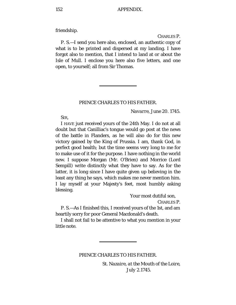friendship.

CHARLES P.

P. S.—I send you here also, enclosed, an authentic copy of what is to be printed and dispersed at my landing. I have forgot also to mention, that I intend to land at or about the Isle of Mull. I enclose you here also five letters, and one open, to yourself; all from Sir Thomas.

### PRINCE CHARLES TO HIS FATHER.

*Navarre*, *June* 20. 1745.

SIR,

I HAVE just received yours of the 24th May. I do not at all doubt but that Canilliac's tongue would go post at the news of the battle in Flanders, as he will also do for this new victory gained by the King of Prussia. I am, thank God, in perfect good health; but the time seems very long to me for to make use of it for the purpose. I have nothing in the world new. I suppose Morgan (Mr. O'Brien) and Morrice (Lord Sempill) write distinctly what they have to say. As for the latter, it is long since I have quite given up believing in the least any thing he says, which makes me never mention him. I lay myself at your Majesty's feet, most humbly asking blessing.

Your most dutiful son,

CHARLES P.

P. S.—As I finished this, I received yours of the 1st, and am heartily sorry for poor General Macdonald's death.

I shall not fail to be attentive to what you mention in your little note.

PRINCE CHARLES TO HIS FATHER.

*St. Nazaire, at the Mouth of the Loire, July 2.*1745.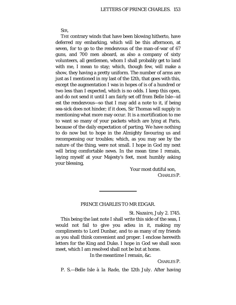SIR,

THE contrary winds that have been blowing hitherto, have deferred my embarking, which will be this afternoon, at seven, for to go to the rendezvous of the man-of-war of 67 guns, and 700 men aboard, as also a company of sixty volunteers, all gentlemen, whom I shall probably get to land with me, I mean to stay; which, though few, will make a show, they having a pretty uniform. The number of arms are just as I mentioned in my last of the 12th, that goes with this, except the augmentation I was in hopes of is of a hundred or two less than I expected, which is no odds. I keep this open, and do not send it until I am fairly set off from Belle Isle*—id est* the rendezvous—so that I may add a note to it, if being sea-sick does not hinder; if it does, Sir Thomas will supply in mentioning what more may occur. It is a mortification to me to want so many of your packets which are lying at Paris, because of the daily expectation of parting. We have nothing to do now but to hope in the Almighty favouring us and recompensing our troubles; which, as you may see by the nature of the thing, were not small. I hope in God my next will bring comfortable news. In the mean time I remain, laying myself at your Majesty's feet, most humbly asking your blessing,

> Your most dutiful son, CHARLES P.

### PRINCE CHARLES TO MR EDGAR.

*St. Nazaire*, *July* 2. 1745.

This being the last note I shall write this side of the seas, I would not fail to give you adieu in it, making my compliments to Lord Dunbar, and to as many of my friends as you shall think convenient and proper. I enclose herewith letters for the King and Duke. I hope in God we shall soon meet, which I am resolved shall not be but at home.

In the meantime I remain, &c.

CHARLES P.

P. S.—*Belle Isle à la Rade, the* 12*th July.* After having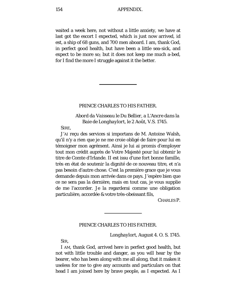waited a week here, not without a little anxiety, we have at last got the escort I expected, which is just now arrived, *id est*, a ship of 68 guns, and 700 men aboard. I am, thank God, in perfect good health, but have been a little sea-sick, and expect to be more so; but it does not keep me much a-bed, for I find the more I struggle against it the better.

### PRINCE CHARLES TO HIS FATHER.

*Abord da Vaisseau le Du Bellier*, *a L'Ancre dans la Baie de Longhaylort, le* 2 *Août, V.S.* 1745.

SIRE,

J'AI reçu des services si importans de M. Antoine Walsh, qu'il n'y a rien que je ne me croie obligé de faire pour lui en témoigner mon agrément. Ainsi je lui ai promis d'employer tout mon crédit auprès de Votre Majesté pour lui obtenir le titre de Comte d'Irlande. II est issu d'une fort bonne famille, très en état de soutenir la dignité de ce nouveau titre, et n'a pas besoin d'autre chose. C'est la première grace que je vous demande depuis mon arrivée dans ce pays. J'espère bien que ce ne sera pas la dernière, mais en tout cas, je vous supplie de me l'accorder. Je la regarderai comme une obligation particulière, accordée & votre très-obeissant fils,

CHARLES P.

### PRINCE CHARLES TO HIS FATHER.

*Longhaylort*, *August* 4. *O.* S*.* 1745.

SIR,

I AM, thank God, arrived here in perfect good health, but not with little trouble and danger, as you will hear by the bearer, who has been along with me all along, that it makes it useless for me to give any accounts and particulars on that head I am joined here by brave people, as I expected. As I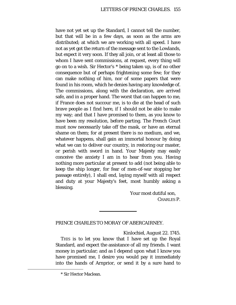have not yet set up the Standard, I cannot tell the number, but that will be in a few days, as soon as the arms are distributed; at which we are working with all speed. I have not as yet got the return of the message sent to the Lowlands, but expect it very soon. If they all join, or at least all those to whom I have sent commissions, at request, every thing will go on to a wish. Sir Hector's [\\*](#page-154-0) being taken up, is of no other consequence but of perhaps frightening some few; for they can make nothing of him, nor of some papers that were found in his room, which he denies having any knowledge of. The commissions, along with the declaration, are arrived safe, and in a proper hand. The worst that can happen to me, if France does not succour me, is to die at the head of such brave people as I find here, if I should not be able to make my way; and that I have promised to them, as you know to have been my resolution, before parting. The French Court must now necessarily take off the mask, or have an eternal shame on them; for at present there is no medium, and we, whatever happens, shall gain an immortal honour by doing what we can to deliver our country, in restoring our master, or perish with sword in hand. Your Majesty may easily conceive the anxiety I am in to hear from you. Having nothing more particular at present to add (not being able to keep the ship longer, for fear of men-of-war stopping her passage entirely), I shall end, laying myself with all respect and duty at your Majesty's feet, most humbly asking a blessing.

> Your most dutiful son, CHARLES P.

# PRINCE CHARLES TO MORAY OF ABERCAIRNEY.

*Kinlochiel, August* 22. 1745.

THIS is to let you know that I have set up the Royal Standard, and expect the assistance of all my friends. I want money in particular; and as I depend upon what I know you have promised me, I desire you would pay it immediately into the hands of Arnprior, or send it by a sure hand to

<span id="page-154-0"></span><sup>\*</sup> Sir Hector Maclean.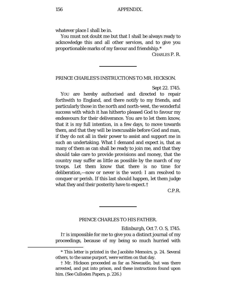whatever place I shall be in.

You must not doubt me but that I shall be always ready to acknowledge this and all other services, and to give you proportionable marks of my favour and friendship.[\\*](#page-155-0)

CHARLES P. R.

PRINCE CHARLES'S INSTRUCTIONS TO MR. HICKSON.

*Sept* 22. 1745.

YOU are hereby authorised and directed to repair forthwith to England, and there notify to my friends, and particularly those in the north and north-west, the wonderful success with which it has hitherto pleased God to favour my endeavours for their deliverance. You are to let them know, that it is my full intention, in a few days, to move towards them, and that they will be inexcusable before God and man, if they do not all in their power to assist and support me in such an undertaking. What I demand and expect is, that as many of them as can shall be ready to join me, and that they should take care to provide provisions and money, that the country may suffer as little as possible by the march of my troops. Let them know that there is no time for deliberation,—now or never is the word: I am resolved to conquer or perish. If this last should happen, let them judge what they and their posterity have to expect.[†](#page-155-1)

C.P.R.

### PRINCE CHARLES TO HIS FATHER.

*Edinburgh, Oct* 7. *O*. *S,* 1745.

IT is impossible for me to give you a distinct journal of my proceedings, because of my being so much hurried with

<span id="page-155-0"></span><sup>\*</sup> This letter is printed in the Jacobite Memoirs, p. 24. Several others, to the same purport, were written on that day.

<span id="page-155-1"></span><sup>†</sup> Mr. Hickson proceeded as far as Newcastle, but was there arrested, and put into prison, and these instructions found upon him. (See Culloden Papers, p. 226.)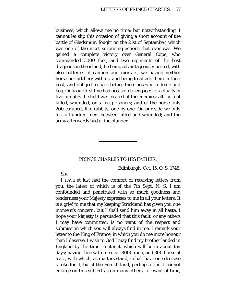business, which allows me no time; but notwithstanding, I cannot let slip this occasion of giving a short account of the battle of Gladsmuir, fought on the 21st of September, which was one of the most surprising actions that ever was. We gained a complete victory over General Cope, who commanded 3000 foot, and two regiments of the best dragoons in the island, he being advantageously posted, with also batteries of cannon and mortars, we having neither horse nor artillery with us, and being to attack them in their post, and obliged to pass before their noses in a defile and bog. Only our first line had occasion to engage; for actually in five minutes the field was cleared of the enemies; all the foot killed, wounded, or taken prisoners; and of the horse only 200 escaped, like rabbits, one by one. On our side we only lost a hundred men, between killed and wounded; and the army afterwards had a fine plunder.

### PRINCE CHARLES TO HIS FATHER.

*Edinburgh*, *Oct,* 15. *O*. *S.* 1745.

SIR,

I HAVE at last had the comfort of receiving letters from you, the latest of which is of the 7th Sept. N. S. I am confounded and penetrated with so much goodness and tenderness your Majesty expresses to me in all your letters. It is a grief to me that my keeping Strickland has given you one moment's concern, but I shall send him away in all haste. I hope your Majesty is persuaded that this fault, or any others I may have committed, is no want of the respect and submission which you will always find in me. I remark your letter to the King of France, in which you do me more honour than I deserve. I wish to God I may find my brother landed in England by the time I enter it, which will be in about ten days; having then with me near 8000 men, and 300 horse at least, with which, as matters stand, I shall have one decisive stroke for it, but if the French land, perhaps none. I cannot enlarge on this subject as on many others, for want of time,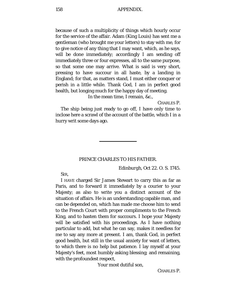because of such a multiplicity of things which hourly occur for the service of the affair. Adam (King Louis) has sent me a gentleman (who brought me your letters) to stay with me, for to give notice of any thing that I may want, which, as he says, will be done immediately; accordingly I am sending off immediately three or four expresses, all to the same purpose, so that some one may arrive. What is said is very short, pressing to have succour in all haste, by a landing in England; for that, as matters stand, I must either conquer or perish in a little while. Thank God, I am in perfect good health, but longing much for the happy day of meeting.

In the mean time, I remain, &c.,

CHARLES P.

The ship being just ready to go off, I have only time to inclose here a scrawl of the account of the battle, which I in a hurry writ some days ago.

### PRINCE CHARLES TO HIS FATHER.

*Edinburgh, Oct* 22. *O*. *S.* 1745.

SIR,

I HAVE charged Sir James Stewart to carry this as far as Paris, and to forward it immediately by a courier to your Majesty; as also to write you a distinct account of the situation of affairs. He is an understanding capable man, and can be depended on, which has made me choose him to send to the French Court with proper compliments to the French King, and to hasten them for succours. I hope your Majesty will be satisfied with his proceedings. As I have nothing particular to add, but what he can say, makes it needless for me to say any more at present. I am, thank God, in perfect good health, but still in the usual anxiety for want of letters, to which there is no help but patience. I lay myself at your Majesty's feet, most humbly asking blessing; and remaining, with the profoundest respect,

Your most dutiful son,

CHARLES P.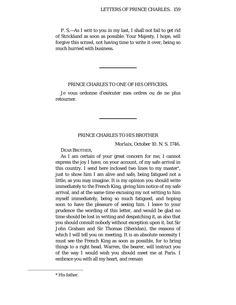P. S.—As I writ to you in my last, I shall not fail to get rid of Strickland as soon as possible. Your Majesty, I hope, will forgive this scrawl, not having time to write it over, being so much hurried with business.

### PRINCE CHARLES TO ONE OF HIS OFFICERS.

Je vous ordonne d'exécuter mes ordres ou de ne plus retourner.

### PRINCE CHARLES TO HIS BROTHER

*Morlaix*, *October* 10. *N. S.* 1746.

DEAR BROTHER,

As I am certain of your great concern for me, I cannot express the joy I have, on your account, of my safe arrival in this country. I send here inclosed two lines to my master[\\*,](#page-158-0) just to show him I am alive and safe, being fatigued not a little, as you may imagine. It is my opinion you should write immediately to the French King, giving him notice of my safe arrival, and at the same time excusing my not writing to him myself immediately, being so much fatigued, and hoping soon to have the pleasure of seeing him. I leave to your prudence the wording of this letter, and would be glad no time should be lost in writing and despatching it, as also that you should consult nobody without exception upon it, but Sir John Graham and Sir Thomas (Sheridan), the reasons of which I will tell you on meeting. It is an absolute necessity I must see the French King as soon as possible, for to bring things to a right head. Warren, the bearer, will instruct you of the way I would wish you should meet me at Paris. I embrace you with all my heart, and remain

<span id="page-158-0"></span>ī

<sup>\*</sup> His father.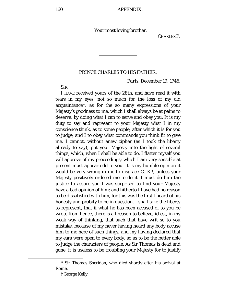Your most loving brother,

CHARLES P.

#### PRINCE CHARLES TO HIS FATHER.

*Paris, December* 19. 1746.

SIR,

I HAVE received yours of the 28th, and have read it with tears in my eyes, not so much for the loss of my old acquaintance[\\*](#page-159-0), as for the so many expressions of your Majesty's goodness to me, which I shall always be at pains to deserve, by doing what I can to serve and obey you. It is my duty to say and represent to your Majesty what I in my conscience think, as to some people; after which it is for you to judge, and I to obey what commands you think fit to give me. I cannot, without anew cipher (as I took the liberty already to say), put your Majesty into the light of several things, which, when I shall be able to do, I flatter myself you will approve of my proceedings; which I am very sensible at present must appear odd to you. It is my humble opinion it would be very wrong in me to disgrace G. K.[†,](#page-159-1) unless your Majesty positively ordered me to do it. I must do him the justice to assure you I was surprised to find your Majesty have a bad opinion of him; and hitherto I have had no reason to be dissatisfied with him, for this was the first I heard of his honesty and probity to be in question. I shall take the liberty to represent, that if what he has been accused of to you be wrote from hence, there is all reason to believe, *id est,* in my weak way of thinking, that such that have writ so to you mistake, because of my never having heard any body accuse him to me here of such things, and my having declared that my ears were open to every body, so as to be the better able to judge the characters of people. As Sir Thomas is dead and gone, it is useless to be troubling your Majesty for to justify

<span id="page-159-1"></span><span id="page-159-0"></span>ī

<sup>\*</sup> Sir Thomas Sheridan, who died shortly after his arrival at Rome.

<sup>†</sup> George Kelly.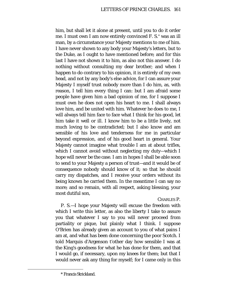him, but shall let it alone at present, until you to do it order me. I must own I am now entirely convinced F. S.[\\*](#page-160-0) was an ill man, by a circumstance your Majesty mentions to me of him. I have never shown to any body your Majesty's letters, but to the Duke, as I ought to have mentioned before; and for this last I have not shown it to him, as also not this answer. I do nothing without consulting my dear brother; and when I happen to do contrary to his opinion, it is entirely of my own head, and not by any body's else advice, for I can assure your Majesty I myself trust nobody more than I do him, as, with reason, I tell him every thing I can: but I am afraid some people have given him a bad opinion of me, for I suppose I must own he does not open his heart to me. I shall always love him, and be united with him. Whatever he does to me, I will always tell him face to face what I think for his good, let him take it well or ill. I know him to be a little lively, not much loving to be contradicted; but I also know and am sensible of his love and tenderness for me in particular beyond expression, and of his good heart in general. Your Majesty cannot imagine what trouble I am at about trifles, which I cannot avoid without neglecting my duty—which I hope will never be the case. I am in hopes I shall be able soon to send to your Majesty a person of trust—and it would be of consequence nobody should know of it; so that he should carry my dispatches, and I receive your orders without its being known he carried them. In the meantime I can say no more; and so remain, with all respect, asking blessing, your most dutiful son,

# CHARLES P.

P. S.—I hope your Majesty will excuse the freedom with which I write this letter, as also the liberty I take to assure you that whatever I say to you will never proceed from partiality or pique, but plainly what I think. I suppose O'Brien has already given an account to you of what pains I am at, and what has been done concerning the poor Scotch. I told Marquis d'Argenson t'other day how sensible I was at the King's goodness for what he has done for them, and that I would go, if necessary, upon my knees for them; but that I would never ask any thing for myself; for I came only in this

<span id="page-160-0"></span><sup>\*</sup> Francis Strickland.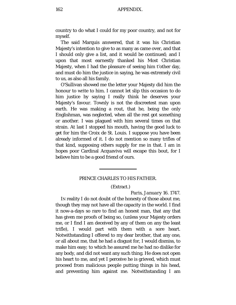country to do what I could for my poor country, and not for myself.

The said Marquis answered, that it was his Christian Majesty's intention to give to as many as came over, and that I should only give a list, and it would be continued; and I upon that most earnestly thanked his Most Christian Majesty, when I had the pleasure of seeing him t'other day, and must do him the justice in saying, he was extremely civil to us, as also all his family.

O'Sullivan showed me the letter your Majesty did him the honour to write to him. I cannot let slip this occasion to do him justice by saying I really think he deserves your Majesty's favour. Townly is not the discreetest man upon earth. He was making a rout, that he, being the only Englishman, was neglected, when all the rest got something or another. I was plagued with him several times on that strain. At last I stopped his mouth, having the good luck to get for him the Croix de St. Louis. I suppose you have been already informed of it. I do not mention so many trifles of that kind, supposing others supply for me in that. I am in hopes poor Cardinal Acquaviva will escape this bout, for I believe him to be a good friend of ours.

# PRINCE CHARLES TO HIS FATHER.

(Extract.)

*Paris, January* 16. 1747.

IN reality I do not doubt of the honesty of those about me, though they may not have all the capacity in the world. I find it now-a-days so rare to find an honest man, that any that has given me proofs of being so, (unless your Majesty orders me, or I find I am deceived by any of them on any the least trifle), I would part with them with a sore heart. Notwithstanding I offered to my dear brother, that any one, or all about me, that he had a disgust for, I would dismiss, to make him easy; to which he assured me he had no dislike for any body, and did not want any such thing. He does not open his heart to me, and yet I perceive he is grieved, which must proceed from malicious people putting things in his head, and preventing him against me. Notwithstanding I am